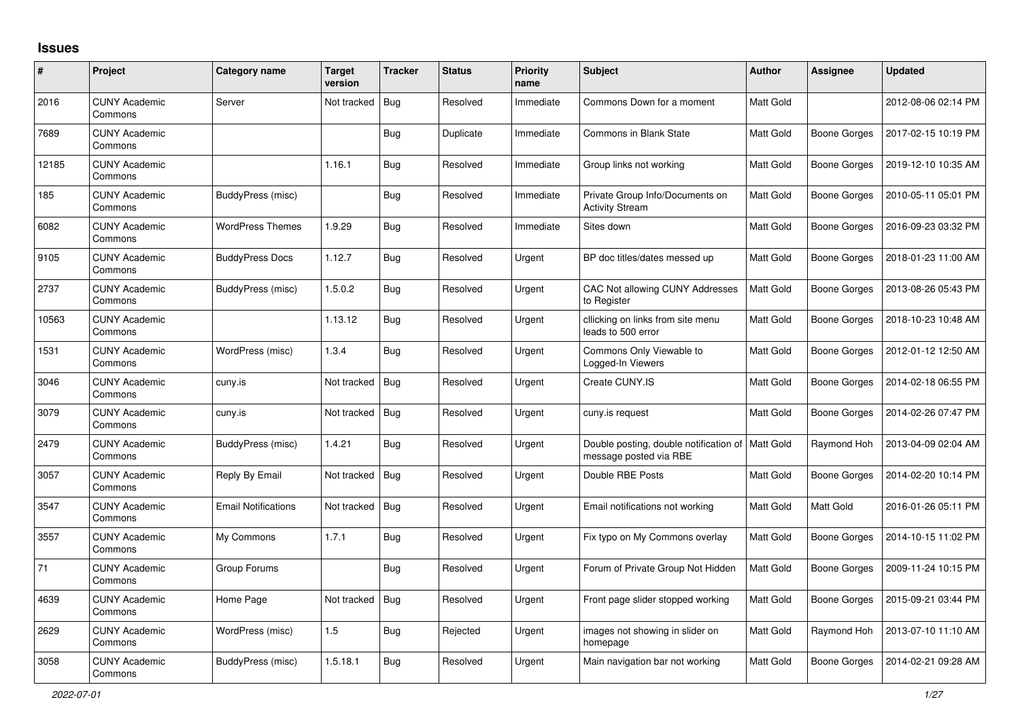## **Issues**

| #     | Project                         | Category name              | Target<br>version | <b>Tracker</b> | <b>Status</b> | <b>Priority</b><br>name | <b>Subject</b>                                                               | <b>Author</b>    | <b>Assignee</b>     | <b>Updated</b>      |
|-------|---------------------------------|----------------------------|-------------------|----------------|---------------|-------------------------|------------------------------------------------------------------------------|------------------|---------------------|---------------------|
| 2016  | <b>CUNY Academic</b><br>Commons | Server                     | Not tracked       | Bug            | Resolved      | Immediate               | Commons Down for a moment                                                    | <b>Matt Gold</b> |                     | 2012-08-06 02:14 PM |
| 7689  | <b>CUNY Academic</b><br>Commons |                            |                   | <b>Bug</b>     | Duplicate     | Immediate               | Commons in Blank State                                                       | <b>Matt Gold</b> | <b>Boone Gorges</b> | 2017-02-15 10:19 PM |
| 12185 | <b>CUNY Academic</b><br>Commons |                            | 1.16.1            | Bug            | Resolved      | Immediate               | Group links not working                                                      | <b>Matt Gold</b> | Boone Gorges        | 2019-12-10 10:35 AM |
| 185   | <b>CUNY Academic</b><br>Commons | BuddyPress (misc)          |                   | <b>Bug</b>     | Resolved      | Immediate               | Private Group Info/Documents on<br><b>Activity Stream</b>                    | Matt Gold        | <b>Boone Gorges</b> | 2010-05-11 05:01 PM |
| 6082  | <b>CUNY Academic</b><br>Commons | <b>WordPress Themes</b>    | 1.9.29            | Bug            | Resolved      | Immediate               | Sites down                                                                   | <b>Matt Gold</b> | <b>Boone Gorges</b> | 2016-09-23 03:32 PM |
| 9105  | <b>CUNY Academic</b><br>Commons | <b>BuddyPress Docs</b>     | 1.12.7            | <b>Bug</b>     | Resolved      | Urgent                  | BP doc titles/dates messed up                                                | Matt Gold        | Boone Gorges        | 2018-01-23 11:00 AM |
| 2737  | <b>CUNY Academic</b><br>Commons | BuddyPress (misc)          | 1.5.0.2           | Bug            | Resolved      | Urgent                  | CAC Not allowing CUNY Addresses<br>to Register                               | <b>Matt Gold</b> | <b>Boone Gorges</b> | 2013-08-26 05:43 PM |
| 10563 | <b>CUNY Academic</b><br>Commons |                            | 1.13.12           | <b>Bug</b>     | Resolved      | Urgent                  | cllicking on links from site menu<br>leads to 500 error                      | Matt Gold        | <b>Boone Gorges</b> | 2018-10-23 10:48 AM |
| 1531  | <b>CUNY Academic</b><br>Commons | WordPress (misc)           | 1.3.4             | Bug            | Resolved      | Urgent                  | Commons Only Viewable to<br>Logged-In Viewers                                | <b>Matt Gold</b> | Boone Gorges        | 2012-01-12 12:50 AM |
| 3046  | <b>CUNY Academic</b><br>Commons | cuny.is                    | Not tracked       | <b>Bug</b>     | Resolved      | Urgent                  | Create CUNY.IS                                                               | <b>Matt Gold</b> | <b>Boone Gorges</b> | 2014-02-18 06:55 PM |
| 3079  | <b>CUNY Academic</b><br>Commons | cuny.is                    | Not tracked       | Bug            | Resolved      | Urgent                  | cuny.is request                                                              | <b>Matt Gold</b> | Boone Gorges        | 2014-02-26 07:47 PM |
| 2479  | <b>CUNY Academic</b><br>Commons | BuddyPress (misc)          | 1.4.21            | <b>Bug</b>     | Resolved      | Urgent                  | Double posting, double notification of   Matt Gold<br>message posted via RBE |                  | Raymond Hoh         | 2013-04-09 02:04 AM |
| 3057  | <b>CUNY Academic</b><br>Commons | Reply By Email             | Not tracked       | Bug            | Resolved      | Urgent                  | Double RBE Posts                                                             | <b>Matt Gold</b> | <b>Boone Gorges</b> | 2014-02-20 10:14 PM |
| 3547  | <b>CUNY Academic</b><br>Commons | <b>Email Notifications</b> | Not tracked       | <b>Bug</b>     | Resolved      | Urgent                  | Email notifications not working                                              | <b>Matt Gold</b> | Matt Gold           | 2016-01-26 05:11 PM |
| 3557  | <b>CUNY Academic</b><br>Commons | My Commons                 | 1.7.1             | Bug            | Resolved      | Urgent                  | Fix typo on My Commons overlay                                               | <b>Matt Gold</b> | <b>Boone Gorges</b> | 2014-10-15 11:02 PM |
| 71    | <b>CUNY Academic</b><br>Commons | Group Forums               |                   | <b>Bug</b>     | Resolved      | Urgent                  | Forum of Private Group Not Hidden                                            | <b>Matt Gold</b> | <b>Boone Gorges</b> | 2009-11-24 10:15 PM |
| 4639  | <b>CUNY Academic</b><br>Commons | Home Page                  | Not tracked       | Bug            | Resolved      | Urgent                  | Front page slider stopped working                                            | Matt Gold        | Boone Gorges        | 2015-09-21 03:44 PM |
| 2629  | <b>CUNY Academic</b><br>Commons | WordPress (misc)           | 1.5               | <b>Bug</b>     | Rejected      | Urgent                  | images not showing in slider on<br>homepage                                  | Matt Gold        | Raymond Hoh         | 2013-07-10 11:10 AM |
| 3058  | <b>CUNY Academic</b><br>Commons | BuddyPress (misc)          | 1.5.18.1          | Bug            | Resolved      | Urgent                  | Main navigation bar not working                                              | <b>Matt Gold</b> | Boone Gorges        | 2014-02-21 09:28 AM |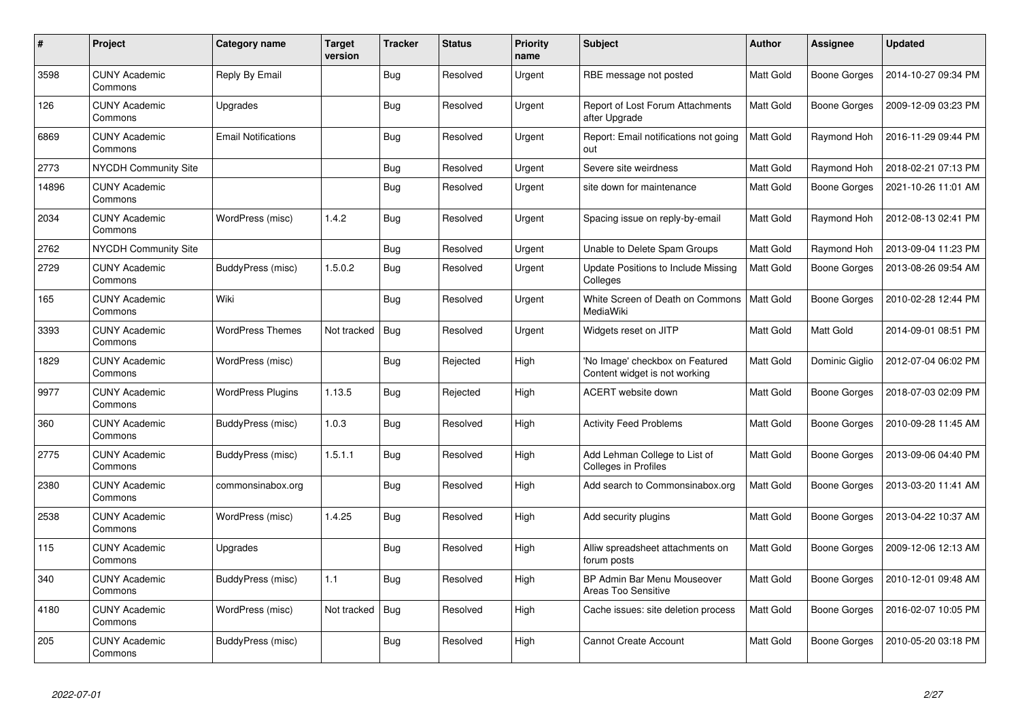| $\pmb{\#}$ | Project                         | Category name              | <b>Target</b><br>version | <b>Tracker</b> | <b>Status</b> | <b>Priority</b><br>name | <b>Subject</b>                                                   | <b>Author</b>    | <b>Assignee</b>     | <b>Updated</b>      |
|------------|---------------------------------|----------------------------|--------------------------|----------------|---------------|-------------------------|------------------------------------------------------------------|------------------|---------------------|---------------------|
| 3598       | <b>CUNY Academic</b><br>Commons | Reply By Email             |                          | <b>Bug</b>     | Resolved      | Urgent                  | RBE message not posted                                           | <b>Matt Gold</b> | Boone Gorges        | 2014-10-27 09:34 PM |
| 126        | <b>CUNY Academic</b><br>Commons | Upgrades                   |                          | <b>Bug</b>     | Resolved      | Urgent                  | Report of Lost Forum Attachments<br>after Upgrade                | Matt Gold        | Boone Gorges        | 2009-12-09 03:23 PM |
| 6869       | <b>CUNY Academic</b><br>Commons | <b>Email Notifications</b> |                          | Bug            | Resolved      | Urgent                  | Report: Email notifications not going<br>out                     | Matt Gold        | Raymond Hoh         | 2016-11-29 09:44 PM |
| 2773       | NYCDH Community Site            |                            |                          | <b>Bug</b>     | Resolved      | Urgent                  | Severe site weirdness                                            | Matt Gold        | Raymond Hoh         | 2018-02-21 07:13 PM |
| 14896      | <b>CUNY Academic</b><br>Commons |                            |                          | Bug            | Resolved      | Urgent                  | site down for maintenance                                        | Matt Gold        | <b>Boone Gorges</b> | 2021-10-26 11:01 AM |
| 2034       | <b>CUNY Academic</b><br>Commons | WordPress (misc)           | 1.4.2                    | <b>Bug</b>     | Resolved      | Urgent                  | Spacing issue on reply-by-email                                  | Matt Gold        | Raymond Hoh         | 2012-08-13 02:41 PM |
| 2762       | <b>NYCDH Community Site</b>     |                            |                          | Bug            | Resolved      | Urgent                  | Unable to Delete Spam Groups                                     | Matt Gold        | Raymond Hoh         | 2013-09-04 11:23 PM |
| 2729       | <b>CUNY Academic</b><br>Commons | BuddyPress (misc)          | 1.5.0.2                  | <b>Bug</b>     | Resolved      | Urgent                  | Update Positions to Include Missing<br>Colleges                  | <b>Matt Gold</b> | <b>Boone Gorges</b> | 2013-08-26 09:54 AM |
| 165        | <b>CUNY Academic</b><br>Commons | Wiki                       |                          | Bug            | Resolved      | Urgent                  | White Screen of Death on Commons<br>MediaWiki                    | Matt Gold        | Boone Gorges        | 2010-02-28 12:44 PM |
| 3393       | <b>CUNY Academic</b><br>Commons | <b>WordPress Themes</b>    | Not tracked              | Bug            | Resolved      | Urgent                  | Widgets reset on JITP                                            | <b>Matt Gold</b> | Matt Gold           | 2014-09-01 08:51 PM |
| 1829       | <b>CUNY Academic</b><br>Commons | WordPress (misc)           |                          | Bug            | Rejected      | High                    | 'No Image' checkbox on Featured<br>Content widget is not working | Matt Gold        | Dominic Giglio      | 2012-07-04 06:02 PM |
| 9977       | <b>CUNY Academic</b><br>Commons | <b>WordPress Plugins</b>   | 1.13.5                   | <b>Bug</b>     | Rejected      | High                    | <b>ACERT</b> website down                                        | Matt Gold        | Boone Gorges        | 2018-07-03 02:09 PM |
| 360        | <b>CUNY Academic</b><br>Commons | BuddyPress (misc)          | 1.0.3                    | <b>Bug</b>     | Resolved      | High                    | <b>Activity Feed Problems</b>                                    | Matt Gold        | <b>Boone Gorges</b> | 2010-09-28 11:45 AM |
| 2775       | <b>CUNY Academic</b><br>Commons | BuddyPress (misc)          | 1.5.1.1                  | Bug            | Resolved      | High                    | Add Lehman College to List of<br>Colleges in Profiles            | Matt Gold        | <b>Boone Gorges</b> | 2013-09-06 04:40 PM |
| 2380       | <b>CUNY Academic</b><br>Commons | commonsinabox.org          |                          | <b>Bug</b>     | Resolved      | High                    | Add search to Commonsinabox.org                                  | Matt Gold        | Boone Gorges        | 2013-03-20 11:41 AM |
| 2538       | <b>CUNY Academic</b><br>Commons | WordPress (misc)           | 1.4.25                   | Bug            | Resolved      | High                    | Add security plugins                                             | Matt Gold        | Boone Gorges        | 2013-04-22 10:37 AM |
| 115        | <b>CUNY Academic</b><br>Commons | Upgrades                   |                          | <b>Bug</b>     | Resolved      | High                    | Alliw spreadsheet attachments on<br>forum posts                  | Matt Gold        | Boone Gorges        | 2009-12-06 12:13 AM |
| 340        | <b>CUNY Academic</b><br>Commons | BuddyPress (misc)          | 1.1                      | Bug            | Resolved      | High                    | BP Admin Bar Menu Mouseover<br>Areas Too Sensitive               | Matt Gold        | Boone Gorges        | 2010-12-01 09:48 AM |
| 4180       | <b>CUNY Academic</b><br>Commons | WordPress (misc)           | Not tracked              | Bug            | Resolved      | High                    | Cache issues: site deletion process                              | <b>Matt Gold</b> | Boone Gorges        | 2016-02-07 10:05 PM |
| 205        | <b>CUNY Academic</b><br>Commons | BuddyPress (misc)          |                          | <b>Bug</b>     | Resolved      | High                    | <b>Cannot Create Account</b>                                     | Matt Gold        | <b>Boone Gorges</b> | 2010-05-20 03:18 PM |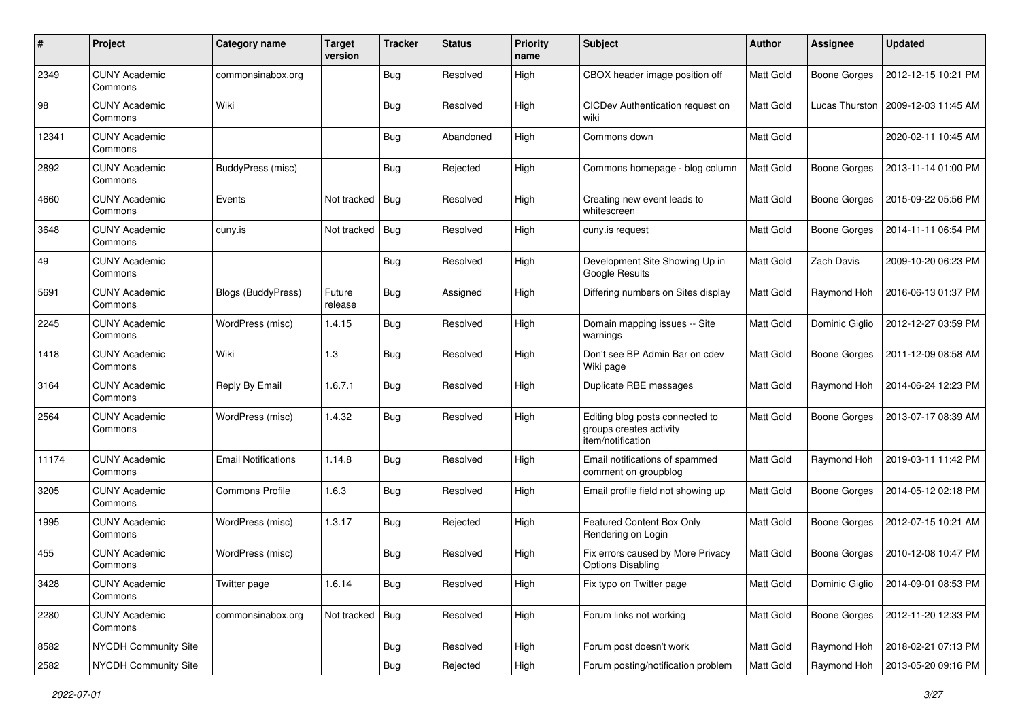| #     | Project                         | <b>Category name</b>       | Target<br>version | <b>Tracker</b> | <b>Status</b> | <b>Priority</b><br>name | <b>Subject</b>                                                                  | Author           | <b>Assignee</b>     | <b>Updated</b>      |
|-------|---------------------------------|----------------------------|-------------------|----------------|---------------|-------------------------|---------------------------------------------------------------------------------|------------------|---------------------|---------------------|
| 2349  | <b>CUNY Academic</b><br>Commons | commonsinabox.org          |                   | <b>Bug</b>     | Resolved      | High                    | CBOX header image position off                                                  | Matt Gold        | <b>Boone Gorges</b> | 2012-12-15 10:21 PM |
| 98    | <b>CUNY Academic</b><br>Commons | Wiki                       |                   | Bug            | Resolved      | High                    | CICDev Authentication request on<br>wiki                                        | Matt Gold        | Lucas Thurston      | 2009-12-03 11:45 AM |
| 12341 | <b>CUNY Academic</b><br>Commons |                            |                   | Bug            | Abandoned     | High                    | Commons down                                                                    | Matt Gold        |                     | 2020-02-11 10:45 AM |
| 2892  | <b>CUNY Academic</b><br>Commons | BuddyPress (misc)          |                   | <b>Bug</b>     | Rejected      | High                    | Commons homepage - blog column                                                  | Matt Gold        | Boone Gorges        | 2013-11-14 01:00 PM |
| 4660  | <b>CUNY Academic</b><br>Commons | Events                     | Not tracked       | Bug            | Resolved      | High                    | Creating new event leads to<br>whitescreen                                      | <b>Matt Gold</b> | <b>Boone Gorges</b> | 2015-09-22 05:56 PM |
| 3648  | <b>CUNY Academic</b><br>Commons | cuny.is                    | Not tracked       | Bug            | Resolved      | High                    | cuny.is request                                                                 | Matt Gold        | <b>Boone Gorges</b> | 2014-11-11 06:54 PM |
| 49    | <b>CUNY Academic</b><br>Commons |                            |                   | Bug            | Resolved      | High                    | Development Site Showing Up in<br>Google Results                                | Matt Gold        | Zach Davis          | 2009-10-20 06:23 PM |
| 5691  | <b>CUNY Academic</b><br>Commons | Blogs (BuddyPress)         | Future<br>release | Bug            | Assigned      | High                    | Differing numbers on Sites display                                              | Matt Gold        | Raymond Hoh         | 2016-06-13 01:37 PM |
| 2245  | <b>CUNY Academic</b><br>Commons | WordPress (misc)           | 1.4.15            | Bug            | Resolved      | High                    | Domain mapping issues -- Site<br>warnings                                       | Matt Gold        | Dominic Giglio      | 2012-12-27 03:59 PM |
| 1418  | <b>CUNY Academic</b><br>Commons | Wiki                       | 1.3               | Bug            | Resolved      | High                    | Don't see BP Admin Bar on cdev<br>Wiki page                                     | Matt Gold        | Boone Gorges        | 2011-12-09 08:58 AM |
| 3164  | <b>CUNY Academic</b><br>Commons | Reply By Email             | 1.6.7.1           | Bug            | Resolved      | High                    | Duplicate RBE messages                                                          | Matt Gold        | Raymond Hoh         | 2014-06-24 12:23 PM |
| 2564  | <b>CUNY Academic</b><br>Commons | WordPress (misc)           | 1.4.32            | Bug            | Resolved      | High                    | Editing blog posts connected to<br>groups creates activity<br>item/notification | <b>Matt Gold</b> | <b>Boone Gorges</b> | 2013-07-17 08:39 AM |
| 11174 | <b>CUNY Academic</b><br>Commons | <b>Email Notifications</b> | 1.14.8            | <b>Bug</b>     | Resolved      | High                    | Email notifications of spammed<br>comment on groupblog                          | Matt Gold        | Raymond Hoh         | 2019-03-11 11:42 PM |
| 3205  | <b>CUNY Academic</b><br>Commons | <b>Commons Profile</b>     | 1.6.3             | Bug            | Resolved      | High                    | Email profile field not showing up                                              | Matt Gold        | <b>Boone Gorges</b> | 2014-05-12 02:18 PM |
| 1995  | <b>CUNY Academic</b><br>Commons | WordPress (misc)           | 1.3.17            | Bug            | Rejected      | High                    | Featured Content Box Only<br>Rendering on Login                                 | Matt Gold        | Boone Gorges        | 2012-07-15 10:21 AM |
| 455   | <b>CUNY Academic</b><br>Commons | WordPress (misc)           |                   | Bug            | Resolved      | High                    | Fix errors caused by More Privacy<br><b>Options Disabling</b>                   | Matt Gold        | <b>Boone Gorges</b> | 2010-12-08 10:47 PM |
| 3428  | <b>CUNY Academic</b><br>Commons | Twitter page               | 1.6.14            | <b>Bug</b>     | Resolved      | High                    | Fix typo on Twitter page                                                        | Matt Gold        | Dominic Giglio      | 2014-09-01 08:53 PM |
| 2280  | <b>CUNY Academic</b><br>Commons | commonsinabox.org          | Not tracked   Bug |                | Resolved      | High                    | Forum links not working                                                         | Matt Gold        | Boone Gorges        | 2012-11-20 12:33 PM |
| 8582  | NYCDH Community Site            |                            |                   | Bug            | Resolved      | High                    | Forum post doesn't work                                                         | Matt Gold        | Raymond Hoh         | 2018-02-21 07:13 PM |
| 2582  | NYCDH Community Site            |                            |                   | Bug            | Rejected      | High                    | Forum posting/notification problem                                              | Matt Gold        | Raymond Hoh         | 2013-05-20 09:16 PM |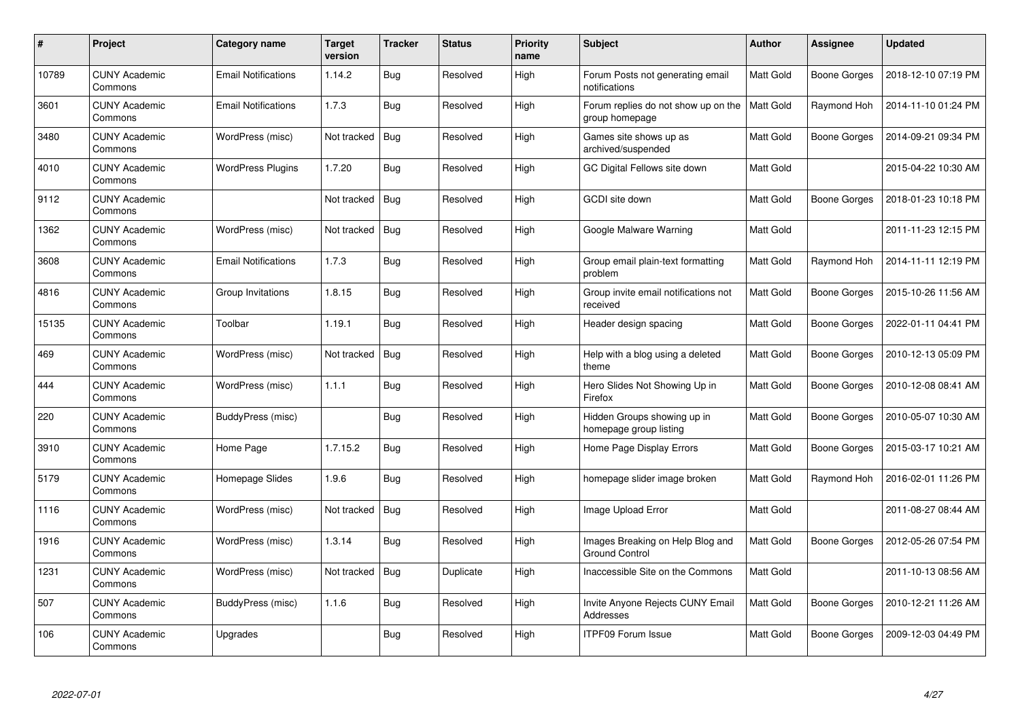| $\#$  | <b>Project</b>                  | Category name              | Target<br>version | <b>Tracker</b> | <b>Status</b> | <b>Priority</b><br>name | <b>Subject</b>                                            | <b>Author</b>    | Assignee            | <b>Updated</b>      |
|-------|---------------------------------|----------------------------|-------------------|----------------|---------------|-------------------------|-----------------------------------------------------------|------------------|---------------------|---------------------|
| 10789 | <b>CUNY Academic</b><br>Commons | <b>Email Notifications</b> | 1.14.2            | <b>Bug</b>     | Resolved      | High                    | Forum Posts not generating email<br>notifications         | Matt Gold        | <b>Boone Gorges</b> | 2018-12-10 07:19 PM |
| 3601  | <b>CUNY Academic</b><br>Commons | <b>Email Notifications</b> | 1.7.3             | <b>Bug</b>     | Resolved      | High                    | Forum replies do not show up on the<br>group homepage     | <b>Matt Gold</b> | Raymond Hoh         | 2014-11-10 01:24 PM |
| 3480  | <b>CUNY Academic</b><br>Commons | WordPress (misc)           | Not tracked       | Bug            | Resolved      | High                    | Games site shows up as<br>archived/suspended              | <b>Matt Gold</b> | <b>Boone Gorges</b> | 2014-09-21 09:34 PM |
| 4010  | <b>CUNY Academic</b><br>Commons | <b>WordPress Plugins</b>   | 1.7.20            | <b>Bug</b>     | Resolved      | High                    | GC Digital Fellows site down                              | Matt Gold        |                     | 2015-04-22 10:30 AM |
| 9112  | <b>CUNY Academic</b><br>Commons |                            | Not tracked       | Bug            | Resolved      | High                    | <b>GCDI</b> site down                                     | <b>Matt Gold</b> | <b>Boone Gorges</b> | 2018-01-23 10:18 PM |
| 1362  | <b>CUNY Academic</b><br>Commons | WordPress (misc)           | Not tracked       | <b>Bug</b>     | Resolved      | High                    | Google Malware Warning                                    | <b>Matt Gold</b> |                     | 2011-11-23 12:15 PM |
| 3608  | <b>CUNY Academic</b><br>Commons | <b>Email Notifications</b> | 1.7.3             | Bug            | Resolved      | High                    | Group email plain-text formatting<br>problem              | Matt Gold        | Raymond Hoh         | 2014-11-11 12:19 PM |
| 4816  | <b>CUNY Academic</b><br>Commons | Group Invitations          | 1.8.15            | <b>Bug</b>     | Resolved      | High                    | Group invite email notifications not<br>received          | Matt Gold        | Boone Gorges        | 2015-10-26 11:56 AM |
| 15135 | <b>CUNY Academic</b><br>Commons | Toolbar                    | 1.19.1            | Bug            | Resolved      | High                    | Header design spacing                                     | Matt Gold        | <b>Boone Gorges</b> | 2022-01-11 04:41 PM |
| 469   | <b>CUNY Academic</b><br>Commons | WordPress (misc)           | Not tracked       | Bug            | Resolved      | High                    | Help with a blog using a deleted<br>theme                 | Matt Gold        | <b>Boone Gorges</b> | 2010-12-13 05:09 PM |
| 444   | <b>CUNY Academic</b><br>Commons | WordPress (misc)           | 1.1.1             | Bug            | Resolved      | High                    | Hero Slides Not Showing Up in<br>Firefox                  | Matt Gold        | <b>Boone Gorges</b> | 2010-12-08 08:41 AM |
| 220   | <b>CUNY Academic</b><br>Commons | <b>BuddyPress (misc)</b>   |                   | <b>Bug</b>     | Resolved      | High                    | Hidden Groups showing up in<br>homepage group listing     | Matt Gold        | <b>Boone Gorges</b> | 2010-05-07 10:30 AM |
| 3910  | <b>CUNY Academic</b><br>Commons | Home Page                  | 1.7.15.2          | Bug            | Resolved      | High                    | Home Page Display Errors                                  | Matt Gold        | Boone Gorges        | 2015-03-17 10:21 AM |
| 5179  | <b>CUNY Academic</b><br>Commons | Homepage Slides            | 1.9.6             | <b>Bug</b>     | Resolved      | High                    | homepage slider image broken                              | Matt Gold        | Raymond Hoh         | 2016-02-01 11:26 PM |
| 1116  | <b>CUNY Academic</b><br>Commons | WordPress (misc)           | Not tracked       | Bug            | Resolved      | High                    | Image Upload Error                                        | Matt Gold        |                     | 2011-08-27 08:44 AM |
| 1916  | <b>CUNY Academic</b><br>Commons | WordPress (misc)           | 1.3.14            | Bug            | Resolved      | High                    | Images Breaking on Help Blog and<br><b>Ground Control</b> | Matt Gold        | <b>Boone Gorges</b> | 2012-05-26 07:54 PM |
| 1231  | <b>CUNY Academic</b><br>Commons | WordPress (misc)           | Not tracked       | Bug            | Duplicate     | High                    | Inaccessible Site on the Commons                          | Matt Gold        |                     | 2011-10-13 08:56 AM |
| 507   | <b>CUNY Academic</b><br>Commons | BuddyPress (misc)          | 1.1.6             | Bug            | Resolved      | High                    | Invite Anyone Rejects CUNY Email<br>Addresses             | Matt Gold        | <b>Boone Gorges</b> | 2010-12-21 11:26 AM |
| 106   | <b>CUNY Academic</b><br>Commons | Upgrades                   |                   | Bug            | Resolved      | High                    | <b>ITPF09 Forum Issue</b>                                 | <b>Matt Gold</b> | <b>Boone Gorges</b> | 2009-12-03 04:49 PM |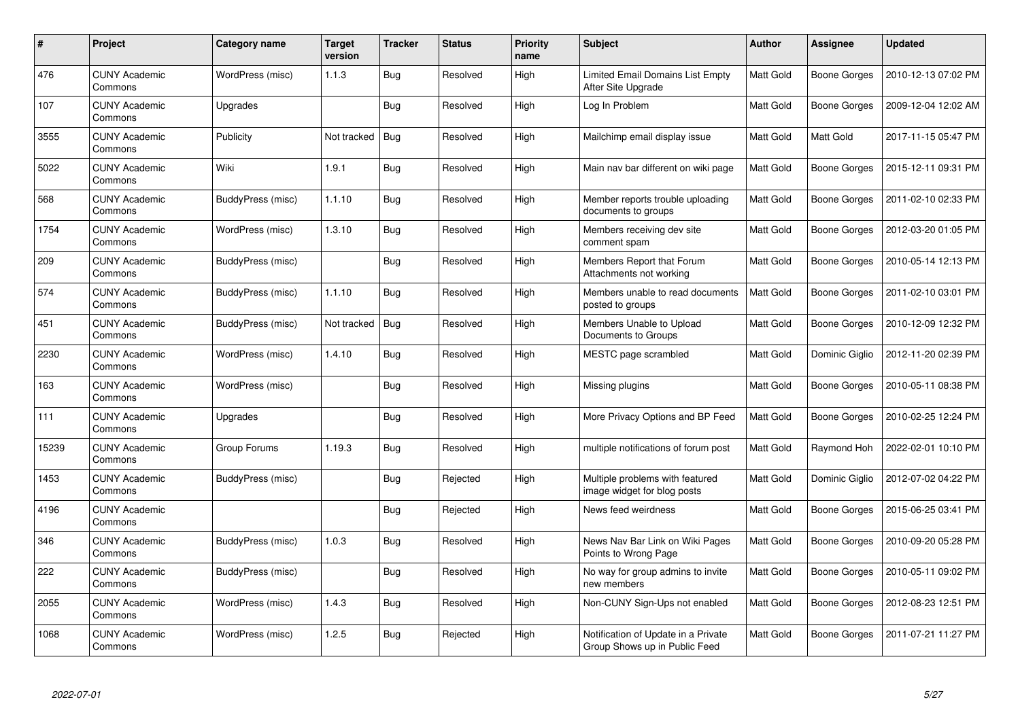| $\pmb{\#}$ | Project                         | Category name            | Target<br>version | <b>Tracker</b> | <b>Status</b> | <b>Priority</b><br>name | <b>Subject</b>                                                       | <b>Author</b>    | <b>Assignee</b>     | <b>Updated</b>      |
|------------|---------------------------------|--------------------------|-------------------|----------------|---------------|-------------------------|----------------------------------------------------------------------|------------------|---------------------|---------------------|
| 476        | <b>CUNY Academic</b><br>Commons | WordPress (misc)         | 1.1.3             | <b>Bug</b>     | Resolved      | High                    | Limited Email Domains List Empty<br>After Site Upgrade               | Matt Gold        | <b>Boone Gorges</b> | 2010-12-13 07:02 PM |
| 107        | <b>CUNY Academic</b><br>Commons | Upgrades                 |                   | <b>Bug</b>     | Resolved      | High                    | Log In Problem                                                       | <b>Matt Gold</b> | Boone Gorges        | 2009-12-04 12:02 AM |
| 3555       | <b>CUNY Academic</b><br>Commons | Publicity                | Not tracked       | Bug            | Resolved      | High                    | Mailchimp email display issue                                        | Matt Gold        | Matt Gold           | 2017-11-15 05:47 PM |
| 5022       | <b>CUNY Academic</b><br>Commons | Wiki                     | 1.9.1             | Bug            | Resolved      | High                    | Main nav bar different on wiki page                                  | Matt Gold        | <b>Boone Gorges</b> | 2015-12-11 09:31 PM |
| 568        | <b>CUNY Academic</b><br>Commons | BuddyPress (misc)        | 1.1.10            | <b>Bug</b>     | Resolved      | High                    | Member reports trouble uploading<br>documents to groups              | Matt Gold        | Boone Gorges        | 2011-02-10 02:33 PM |
| 1754       | <b>CUNY Academic</b><br>Commons | WordPress (misc)         | 1.3.10            | Bug            | Resolved      | High                    | Members receiving dev site<br>comment spam                           | Matt Gold        | Boone Gorges        | 2012-03-20 01:05 PM |
| 209        | <b>CUNY Academic</b><br>Commons | <b>BuddyPress (misc)</b> |                   | <b>Bug</b>     | Resolved      | High                    | Members Report that Forum<br>Attachments not working                 | Matt Gold        | <b>Boone Gorges</b> | 2010-05-14 12:13 PM |
| 574        | <b>CUNY Academic</b><br>Commons | <b>BuddyPress (misc)</b> | 1.1.10            | <b>Bug</b>     | Resolved      | High                    | Members unable to read documents<br>posted to groups                 | Matt Gold        | Boone Gorges        | 2011-02-10 03:01 PM |
| 451        | <b>CUNY Academic</b><br>Commons | <b>BuddyPress (misc)</b> | Not tracked       | Bug            | Resolved      | High                    | Members Unable to Upload<br>Documents to Groups                      | <b>Matt Gold</b> | Boone Gorges        | 2010-12-09 12:32 PM |
| 2230       | <b>CUNY Academic</b><br>Commons | WordPress (misc)         | 1.4.10            | Bug            | Resolved      | High                    | MESTC page scrambled                                                 | <b>Matt Gold</b> | Dominic Giglio      | 2012-11-20 02:39 PM |
| 163        | <b>CUNY Academic</b><br>Commons | WordPress (misc)         |                   | <b>Bug</b>     | Resolved      | High                    | Missing plugins                                                      | Matt Gold        | <b>Boone Gorges</b> | 2010-05-11 08:38 PM |
| 111        | <b>CUNY Academic</b><br>Commons | Upgrades                 |                   | <b>Bug</b>     | Resolved      | High                    | More Privacy Options and BP Feed                                     | Matt Gold        | <b>Boone Gorges</b> | 2010-02-25 12:24 PM |
| 15239      | <b>CUNY Academic</b><br>Commons | Group Forums             | 1.19.3            | Bug            | Resolved      | High                    | multiple notifications of forum post                                 | Matt Gold        | Raymond Hoh         | 2022-02-01 10:10 PM |
| 1453       | <b>CUNY Academic</b><br>Commons | <b>BuddyPress (misc)</b> |                   | <b>Bug</b>     | Rejected      | High                    | Multiple problems with featured<br>image widget for blog posts       | Matt Gold        | Dominic Giglio      | 2012-07-02 04:22 PM |
| 4196       | <b>CUNY Academic</b><br>Commons |                          |                   | Bug            | Rejected      | High                    | News feed weirdness                                                  | Matt Gold        | <b>Boone Gorges</b> | 2015-06-25 03:41 PM |
| 346        | <b>CUNY Academic</b><br>Commons | BuddyPress (misc)        | 1.0.3             | <b>Bug</b>     | Resolved      | High                    | News Nav Bar Link on Wiki Pages<br>Points to Wrong Page              | Matt Gold        | <b>Boone Gorges</b> | 2010-09-20 05:28 PM |
| 222        | <b>CUNY Academic</b><br>Commons | BuddyPress (misc)        |                   | Bug            | Resolved      | High                    | No way for group admins to invite<br>new members                     | Matt Gold        | <b>Boone Gorges</b> | 2010-05-11 09:02 PM |
| 2055       | <b>CUNY Academic</b><br>Commons | WordPress (misc)         | 1.4.3             | Bug            | Resolved      | High                    | Non-CUNY Sign-Ups not enabled                                        | Matt Gold        | <b>Boone Gorges</b> | 2012-08-23 12:51 PM |
| 1068       | <b>CUNY Academic</b><br>Commons | WordPress (misc)         | 1.2.5             | <b>Bug</b>     | Rejected      | High                    | Notification of Update in a Private<br>Group Shows up in Public Feed | Matt Gold        | Boone Gorges        | 2011-07-21 11:27 PM |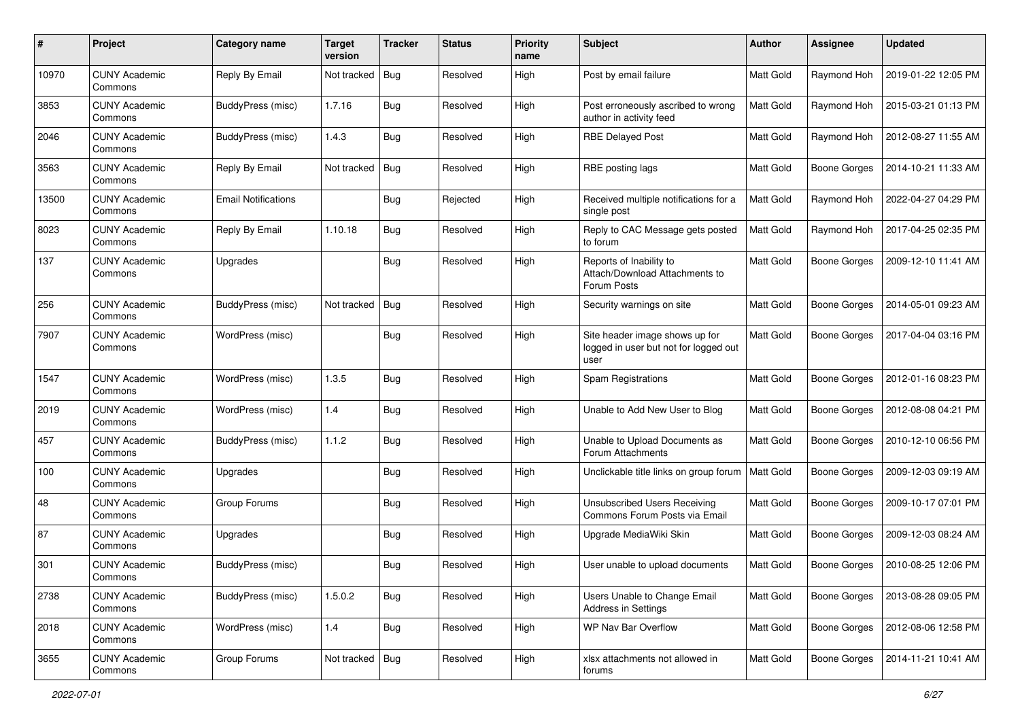| #     | Project                         | Category name              | <b>Target</b><br>version | <b>Tracker</b> | <b>Status</b> | <b>Priority</b><br>name | Subject                                                                         | Author           | Assignee            | <b>Updated</b>      |
|-------|---------------------------------|----------------------------|--------------------------|----------------|---------------|-------------------------|---------------------------------------------------------------------------------|------------------|---------------------|---------------------|
| 10970 | <b>CUNY Academic</b><br>Commons | Reply By Email             | Not tracked              | Bug            | Resolved      | High                    | Post by email failure                                                           | Matt Gold        | Raymond Hoh         | 2019-01-22 12:05 PM |
| 3853  | <b>CUNY Academic</b><br>Commons | BuddyPress (misc)          | 1.7.16                   | <b>Bug</b>     | Resolved      | High                    | Post erroneously ascribed to wrong<br>author in activity feed                   | <b>Matt Gold</b> | Raymond Hoh         | 2015-03-21 01:13 PM |
| 2046  | <b>CUNY Academic</b><br>Commons | <b>BuddyPress (misc)</b>   | 1.4.3                    | Bug            | Resolved      | High                    | <b>RBE Delayed Post</b>                                                         | Matt Gold        | Raymond Hoh         | 2012-08-27 11:55 AM |
| 3563  | <b>CUNY Academic</b><br>Commons | Reply By Email             | Not tracked              | Bug            | Resolved      | High                    | RBE posting lags                                                                | Matt Gold        | <b>Boone Gorges</b> | 2014-10-21 11:33 AM |
| 13500 | <b>CUNY Academic</b><br>Commons | <b>Email Notifications</b> |                          | <b>Bug</b>     | Rejected      | High                    | Received multiple notifications for a<br>single post                            | <b>Matt Gold</b> | Raymond Hoh         | 2022-04-27 04:29 PM |
| 8023  | <b>CUNY Academic</b><br>Commons | Reply By Email             | 1.10.18                  | Bug            | Resolved      | High                    | Reply to CAC Message gets posted<br>to forum                                    | Matt Gold        | Raymond Hoh         | 2017-04-25 02:35 PM |
| 137   | <b>CUNY Academic</b><br>Commons | Upgrades                   |                          | Bug            | Resolved      | High                    | Reports of Inability to<br>Attach/Download Attachments to<br>Forum Posts        | Matt Gold        | <b>Boone Gorges</b> | 2009-12-10 11:41 AM |
| 256   | <b>CUNY Academic</b><br>Commons | <b>BuddyPress (misc)</b>   | Not tracked              | Bug            | Resolved      | High                    | Security warnings on site                                                       | Matt Gold        | <b>Boone Gorges</b> | 2014-05-01 09:23 AM |
| 7907  | <b>CUNY Academic</b><br>Commons | WordPress (misc)           |                          | Bug            | Resolved      | High                    | Site header image shows up for<br>logged in user but not for logged out<br>user | Matt Gold        | <b>Boone Gorges</b> | 2017-04-04 03:16 PM |
| 1547  | <b>CUNY Academic</b><br>Commons | WordPress (misc)           | 1.3.5                    | <b>Bug</b>     | Resolved      | High                    | Spam Registrations                                                              | Matt Gold        | <b>Boone Gorges</b> | 2012-01-16 08:23 PM |
| 2019  | <b>CUNY Academic</b><br>Commons | WordPress (misc)           | 1.4                      | Bug            | Resolved      | High                    | Unable to Add New User to Blog                                                  | Matt Gold        | <b>Boone Gorges</b> | 2012-08-08 04:21 PM |
| 457   | <b>CUNY Academic</b><br>Commons | BuddyPress (misc)          | 1.1.2                    | Bug            | Resolved      | High                    | Unable to Upload Documents as<br>Forum Attachments                              | Matt Gold        | <b>Boone Gorges</b> | 2010-12-10 06:56 PM |
| 100   | <b>CUNY Academic</b><br>Commons | Upgrades                   |                          | <b>Bug</b>     | Resolved      | High                    | Unclickable title links on group forum                                          | Matt Gold        | <b>Boone Gorges</b> | 2009-12-03 09:19 AM |
| 48    | <b>CUNY Academic</b><br>Commons | Group Forums               |                          | Bug            | Resolved      | High                    | <b>Unsubscribed Users Receiving</b><br>Commons Forum Posts via Email            | Matt Gold        | <b>Boone Gorges</b> | 2009-10-17 07:01 PM |
| 87    | <b>CUNY Academic</b><br>Commons | Upgrades                   |                          | Bug            | Resolved      | High                    | Upgrade MediaWiki Skin                                                          | Matt Gold        | <b>Boone Gorges</b> | 2009-12-03 08:24 AM |
| 301   | <b>CUNY Academic</b><br>Commons | BuddyPress (misc)          |                          | Bug            | Resolved      | High                    | User unable to upload documents                                                 | Matt Gold        | <b>Boone Gorges</b> | 2010-08-25 12:06 PM |
| 2738  | <b>CUNY Academic</b><br>Commons | BuddyPress (misc)          | 1.5.0.2                  | <b>Bug</b>     | Resolved      | High                    | Users Unable to Change Email<br><b>Address in Settings</b>                      | Matt Gold        | Boone Gorges        | 2013-08-28 09:05 PM |
| 2018  | <b>CUNY Academic</b><br>Commons | WordPress (misc)           | 1.4                      | <b>Bug</b>     | Resolved      | High                    | WP Nav Bar Overflow                                                             | Matt Gold        | Boone Gorges        | 2012-08-06 12:58 PM |
| 3655  | <b>CUNY Academic</b><br>Commons | Group Forums               | Not tracked   Bug        |                | Resolved      | High                    | xlsx attachments not allowed in<br>forums                                       | Matt Gold        | <b>Boone Gorges</b> | 2014-11-21 10:41 AM |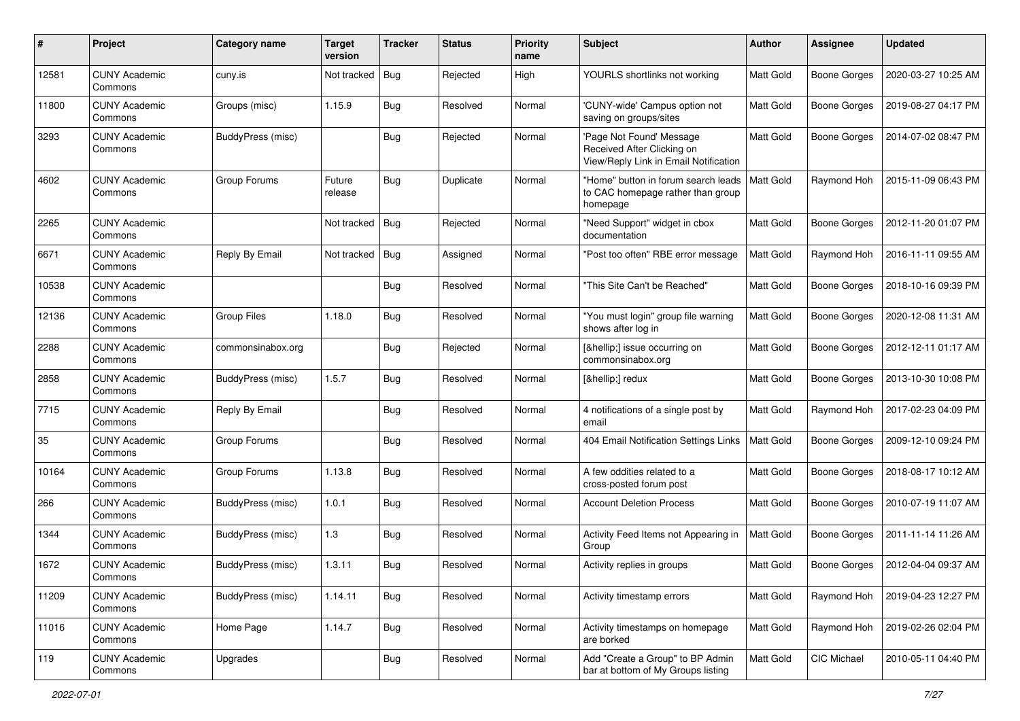| $\#$  | Project                         | Category name      | <b>Target</b><br>version | <b>Tracker</b> | <b>Status</b> | <b>Priority</b><br>name | <b>Subject</b>                                                                                  | Author           | <b>Assignee</b>     | <b>Updated</b>      |
|-------|---------------------------------|--------------------|--------------------------|----------------|---------------|-------------------------|-------------------------------------------------------------------------------------------------|------------------|---------------------|---------------------|
| 12581 | <b>CUNY Academic</b><br>Commons | cuny.is            | Not tracked              | Bug            | Rejected      | High                    | YOURLS shortlinks not working                                                                   | <b>Matt Gold</b> | <b>Boone Gorges</b> | 2020-03-27 10:25 AM |
| 11800 | <b>CUNY Academic</b><br>Commons | Groups (misc)      | 1.15.9                   | Bug            | Resolved      | Normal                  | 'CUNY-wide' Campus option not<br>saving on groups/sites                                         | Matt Gold        | <b>Boone Gorges</b> | 2019-08-27 04:17 PM |
| 3293  | <b>CUNY Academic</b><br>Commons | BuddyPress (misc)  |                          | <b>Bug</b>     | Rejected      | Normal                  | 'Page Not Found' Message<br>Received After Clicking on<br>View/Reply Link in Email Notification | <b>Matt Gold</b> | Boone Gorges        | 2014-07-02 08:47 PM |
| 4602  | <b>CUNY Academic</b><br>Commons | Group Forums       | Future<br>release        | Bug            | Duplicate     | Normal                  | "Home" button in forum search leads<br>to CAC homepage rather than group<br>homepage            | <b>Matt Gold</b> | Raymond Hoh         | 2015-11-09 06:43 PM |
| 2265  | <b>CUNY Academic</b><br>Commons |                    | Not tracked              | Bug            | Rejected      | Normal                  | "Need Support" widget in cbox<br>documentation                                                  | Matt Gold        | Boone Gorges        | 2012-11-20 01:07 PM |
| 6671  | <b>CUNY Academic</b><br>Commons | Reply By Email     | Not tracked              | Bug            | Assigned      | Normal                  | "Post too often" RBE error message                                                              | <b>Matt Gold</b> | Raymond Hoh         | 2016-11-11 09:55 AM |
| 10538 | <b>CUNY Academic</b><br>Commons |                    |                          | Bug            | Resolved      | Normal                  | "This Site Can't be Reached"                                                                    | <b>Matt Gold</b> | <b>Boone Gorges</b> | 2018-10-16 09:39 PM |
| 12136 | <b>CUNY Academic</b><br>Commons | <b>Group Files</b> | 1.18.0                   | <b>Bug</b>     | Resolved      | Normal                  | "You must login" group file warning<br>shows after log in                                       | Matt Gold        | <b>Boone Gorges</b> | 2020-12-08 11:31 AM |
| 2288  | <b>CUNY Academic</b><br>Commons | commonsinabox.org  |                          | Bug            | Rejected      | Normal                  | […] issue occurring on<br>commonsinabox.org                                                     | Matt Gold        | Boone Gorges        | 2012-12-11 01:17 AM |
| 2858  | <b>CUNY Academic</b><br>Commons | BuddyPress (misc)  | 1.5.7                    | Bug            | Resolved      | Normal                  | […] redux                                                                                       | Matt Gold        | Boone Gorges        | 2013-10-30 10:08 PM |
| 7715  | <b>CUNY Academic</b><br>Commons | Reply By Email     |                          | Bug            | Resolved      | Normal                  | 4 notifications of a single post by<br>email                                                    | Matt Gold        | Raymond Hoh         | 2017-02-23 04:09 PM |
| 35    | <b>CUNY Academic</b><br>Commons | Group Forums       |                          | Bug            | Resolved      | Normal                  | 404 Email Notification Settings Links                                                           | Matt Gold        | Boone Gorges        | 2009-12-10 09:24 PM |
| 10164 | <b>CUNY Academic</b><br>Commons | Group Forums       | 1.13.8                   | <b>Bug</b>     | Resolved      | Normal                  | A few oddities related to a<br>cross-posted forum post                                          | Matt Gold        | Boone Gorges        | 2018-08-17 10:12 AM |
| 266   | <b>CUNY Academic</b><br>Commons | BuddyPress (misc)  | 1.0.1                    | <b>Bug</b>     | Resolved      | Normal                  | <b>Account Deletion Process</b>                                                                 | <b>Matt Gold</b> | <b>Boone Gorges</b> | 2010-07-19 11:07 AM |
| 1344  | <b>CUNY Academic</b><br>Commons | BuddyPress (misc)  | 1.3                      | Bug            | Resolved      | Normal                  | Activity Feed Items not Appearing in<br>Group                                                   | Matt Gold        | <b>Boone Gorges</b> | 2011-11-14 11:26 AM |
| 1672  | <b>CUNY Academic</b><br>Commons | BuddyPress (misc)  | 1.3.11                   | Bug            | Resolved      | Normal                  | Activity replies in groups                                                                      | Matt Gold        | Boone Gorges        | 2012-04-04 09:37 AM |
| 11209 | <b>CUNY Academic</b><br>Commons | BuddyPress (misc)  | 1.14.11                  | Bug            | Resolved      | Normal                  | Activity timestamp errors                                                                       | Matt Gold        | Raymond Hoh         | 2019-04-23 12:27 PM |
| 11016 | <b>CUNY Academic</b><br>Commons | Home Page          | 1.14.7                   | <b>Bug</b>     | Resolved      | Normal                  | Activity timestamps on homepage<br>are borked                                                   | Matt Gold        | Raymond Hoh         | 2019-02-26 02:04 PM |
| 119   | <b>CUNY Academic</b><br>Commons | Upgrades           |                          | <b>Bug</b>     | Resolved      | Normal                  | Add "Create a Group" to BP Admin<br>bar at bottom of My Groups listing                          | Matt Gold        | CIC Michael         | 2010-05-11 04:40 PM |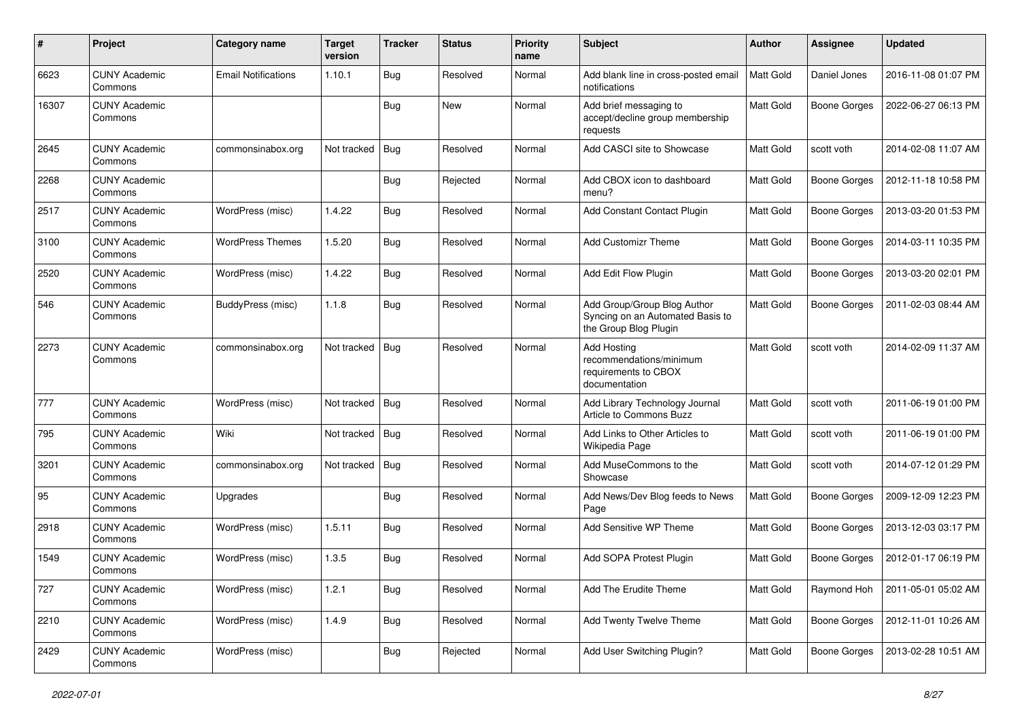| #     | Project                         | Category name              | <b>Target</b><br>version | <b>Tracker</b> | <b>Status</b> | <b>Priority</b><br>name | Subject                                                                                  | Author           | <b>Assignee</b>     | <b>Updated</b>      |
|-------|---------------------------------|----------------------------|--------------------------|----------------|---------------|-------------------------|------------------------------------------------------------------------------------------|------------------|---------------------|---------------------|
| 6623  | <b>CUNY Academic</b><br>Commons | <b>Email Notifications</b> | 1.10.1                   | Bug            | Resolved      | Normal                  | Add blank line in cross-posted email<br>notifications                                    | <b>Matt Gold</b> | Daniel Jones        | 2016-11-08 01:07 PM |
| 16307 | <b>CUNY Academic</b><br>Commons |                            |                          | Bug            | New           | Normal                  | Add brief messaging to<br>accept/decline group membership<br>requests                    | <b>Matt Gold</b> | <b>Boone Gorges</b> | 2022-06-27 06:13 PM |
| 2645  | <b>CUNY Academic</b><br>Commons | commonsinabox.org          | Not tracked              | Bug            | Resolved      | Normal                  | Add CASCI site to Showcase                                                               | <b>Matt Gold</b> | scott voth          | 2014-02-08 11:07 AM |
| 2268  | <b>CUNY Academic</b><br>Commons |                            |                          | Bug            | Rejected      | Normal                  | Add CBOX icon to dashboard<br>menu?                                                      | <b>Matt Gold</b> | <b>Boone Gorges</b> | 2012-11-18 10:58 PM |
| 2517  | <b>CUNY Academic</b><br>Commons | WordPress (misc)           | 1.4.22                   | Bug            | Resolved      | Normal                  | Add Constant Contact Plugin                                                              | <b>Matt Gold</b> | <b>Boone Gorges</b> | 2013-03-20 01:53 PM |
| 3100  | <b>CUNY Academic</b><br>Commons | <b>WordPress Themes</b>    | 1.5.20                   | Bug            | Resolved      | Normal                  | <b>Add Customizr Theme</b>                                                               | Matt Gold        | <b>Boone Gorges</b> | 2014-03-11 10:35 PM |
| 2520  | <b>CUNY Academic</b><br>Commons | WordPress (misc)           | 1.4.22                   | Bug            | Resolved      | Normal                  | Add Edit Flow Plugin                                                                     | Matt Gold        | <b>Boone Gorges</b> | 2013-03-20 02:01 PM |
| 546   | <b>CUNY Academic</b><br>Commons | BuddyPress (misc)          | 1.1.8                    | Bug            | Resolved      | Normal                  | Add Group/Group Blog Author<br>Syncing on an Automated Basis to<br>the Group Blog Plugin | Matt Gold        | <b>Boone Gorges</b> | 2011-02-03 08:44 AM |
| 2273  | <b>CUNY Academic</b><br>Commons | commonsinabox.org          | Not tracked              | Bug            | Resolved      | Normal                  | <b>Add Hosting</b><br>recommendations/minimum<br>requirements to CBOX<br>documentation   | Matt Gold        | scott voth          | 2014-02-09 11:37 AM |
| 777   | <b>CUNY Academic</b><br>Commons | WordPress (misc)           | Not tracked              | Bug            | Resolved      | Normal                  | Add Library Technology Journal<br>Article to Commons Buzz                                | Matt Gold        | scott voth          | 2011-06-19 01:00 PM |
| 795   | <b>CUNY Academic</b><br>Commons | Wiki                       | Not tracked              | Bug            | Resolved      | Normal                  | Add Links to Other Articles to<br>Wikipedia Page                                         | Matt Gold        | scott voth          | 2011-06-19 01:00 PM |
| 3201  | <b>CUNY Academic</b><br>Commons | commonsinabox.org          | Not tracked              | Bug            | Resolved      | Normal                  | Add MuseCommons to the<br>Showcase                                                       | Matt Gold        | scott voth          | 2014-07-12 01:29 PM |
| 95    | <b>CUNY Academic</b><br>Commons | Upgrades                   |                          | <b>Bug</b>     | Resolved      | Normal                  | Add News/Dev Blog feeds to News<br>Page                                                  | Matt Gold        | <b>Boone Gorges</b> | 2009-12-09 12:23 PM |
| 2918  | <b>CUNY Academic</b><br>Commons | WordPress (misc)           | 1.5.11                   | Bug            | Resolved      | Normal                  | Add Sensitive WP Theme                                                                   | Matt Gold        | <b>Boone Gorges</b> | 2013-12-03 03:17 PM |
| 1549  | <b>CUNY Academic</b><br>Commons | WordPress (misc)           | 1.3.5                    | Bug            | Resolved      | Normal                  | Add SOPA Protest Plugin                                                                  | Matt Gold        | <b>Boone Gorges</b> | 2012-01-17 06:19 PM |
| 727   | <b>CUNY Academic</b><br>Commons | WordPress (misc)           | 1.2.1                    | <b>Bug</b>     | Resolved      | Normal                  | Add The Erudite Theme                                                                    | Matt Gold        | Raymond Hoh         | 2011-05-01 05:02 AM |
| 2210  | <b>CUNY Academic</b><br>Commons | WordPress (misc)           | 1.4.9                    | <b>Bug</b>     | Resolved      | Normal                  | Add Twenty Twelve Theme                                                                  | Matt Gold        | <b>Boone Gorges</b> | 2012-11-01 10:26 AM |
| 2429  | <b>CUNY Academic</b><br>Commons | WordPress (misc)           |                          | <b>Bug</b>     | Rejected      | Normal                  | Add User Switching Plugin?                                                               | Matt Gold        | <b>Boone Gorges</b> | 2013-02-28 10:51 AM |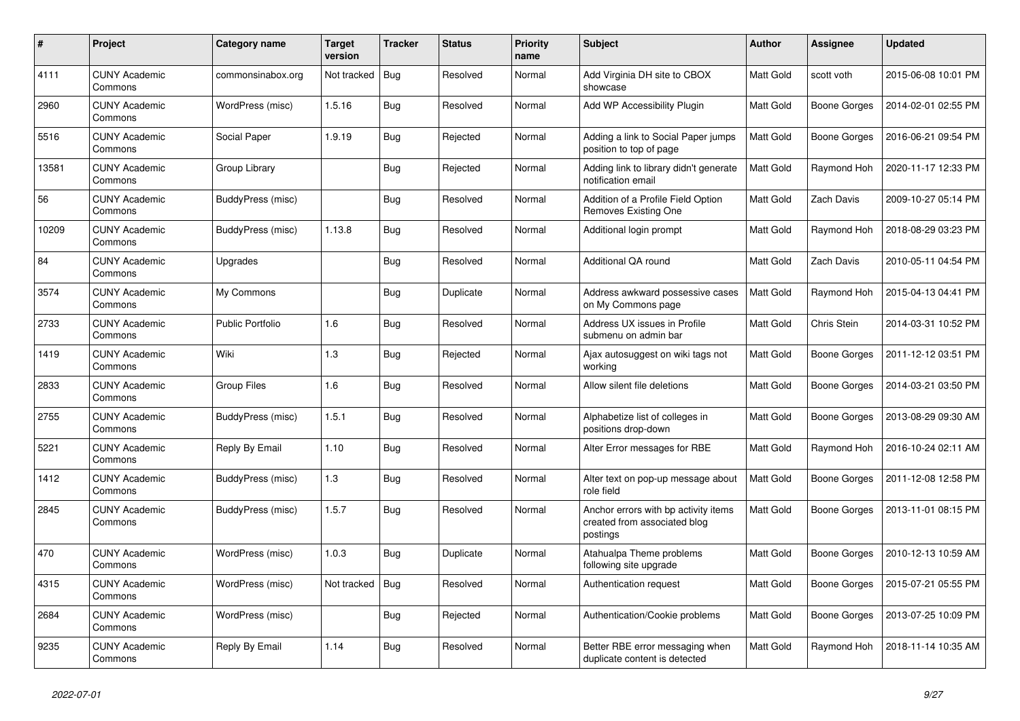| $\#$  | Project                         | Category name            | Target<br>version | <b>Tracker</b> | <b>Status</b> | <b>Priority</b><br>name | <b>Subject</b>                                                                   | <b>Author</b>    | <b>Assignee</b>     | <b>Updated</b>      |
|-------|---------------------------------|--------------------------|-------------------|----------------|---------------|-------------------------|----------------------------------------------------------------------------------|------------------|---------------------|---------------------|
| 4111  | <b>CUNY Academic</b><br>Commons | commonsinabox.org        | Not tracked       | Bug            | Resolved      | Normal                  | Add Virginia DH site to CBOX<br>showcase                                         | <b>Matt Gold</b> | scott voth          | 2015-06-08 10:01 PM |
| 2960  | <b>CUNY Academic</b><br>Commons | WordPress (misc)         | 1.5.16            | Bug            | Resolved      | Normal                  | Add WP Accessibility Plugin                                                      | Matt Gold        | Boone Gorges        | 2014-02-01 02:55 PM |
| 5516  | <b>CUNY Academic</b><br>Commons | Social Paper             | 1.9.19            | <b>Bug</b>     | Rejected      | Normal                  | Adding a link to Social Paper jumps<br>position to top of page                   | Matt Gold        | <b>Boone Gorges</b> | 2016-06-21 09:54 PM |
| 13581 | <b>CUNY Academic</b><br>Commons | Group Library            |                   | <b>Bug</b>     | Rejected      | Normal                  | Adding link to library didn't generate<br>notification email                     | Matt Gold        | Raymond Hoh         | 2020-11-17 12:33 PM |
| 56    | <b>CUNY Academic</b><br>Commons | <b>BuddyPress (misc)</b> |                   | <b>Bug</b>     | Resolved      | Normal                  | Addition of a Profile Field Option<br>Removes Existing One                       | Matt Gold        | Zach Davis          | 2009-10-27 05:14 PM |
| 10209 | <b>CUNY Academic</b><br>Commons | BuddyPress (misc)        | 1.13.8            | <b>Bug</b>     | Resolved      | Normal                  | Additional login prompt                                                          | Matt Gold        | Raymond Hoh         | 2018-08-29 03:23 PM |
| 84    | <b>CUNY Academic</b><br>Commons | Upgrades                 |                   | Bug            | Resolved      | Normal                  | Additional QA round                                                              | Matt Gold        | Zach Davis          | 2010-05-11 04:54 PM |
| 3574  | <b>CUNY Academic</b><br>Commons | My Commons               |                   | <b>Bug</b>     | Duplicate     | Normal                  | Address awkward possessive cases<br>on My Commons page                           | Matt Gold        | Raymond Hoh         | 2015-04-13 04:41 PM |
| 2733  | <b>CUNY Academic</b><br>Commons | <b>Public Portfolio</b>  | 1.6               | Bug            | Resolved      | Normal                  | Address UX issues in Profile<br>submenu on admin bar                             | Matt Gold        | Chris Stein         | 2014-03-31 10:52 PM |
| 1419  | <b>CUNY Academic</b><br>Commons | Wiki                     | 1.3               | <b>Bug</b>     | Rejected      | Normal                  | Ajax autosuggest on wiki tags not<br>working                                     | Matt Gold        | Boone Gorges        | 2011-12-12 03:51 PM |
| 2833  | <b>CUNY Academic</b><br>Commons | Group Files              | 1.6               | <b>Bug</b>     | Resolved      | Normal                  | Allow silent file deletions                                                      | Matt Gold        | Boone Gorges        | 2014-03-21 03:50 PM |
| 2755  | <b>CUNY Academic</b><br>Commons | BuddyPress (misc)        | 1.5.1             | Bug            | Resolved      | Normal                  | Alphabetize list of colleges in<br>positions drop-down                           | Matt Gold        | <b>Boone Gorges</b> | 2013-08-29 09:30 AM |
| 5221  | <b>CUNY Academic</b><br>Commons | Reply By Email           | 1.10              | <b>Bug</b>     | Resolved      | Normal                  | Alter Error messages for RBE                                                     | Matt Gold        | Raymond Hoh         | 2016-10-24 02:11 AM |
| 1412  | <b>CUNY Academic</b><br>Commons | BuddyPress (misc)        | 1.3               | Bug            | Resolved      | Normal                  | Alter text on pop-up message about<br>role field                                 | Matt Gold        | <b>Boone Gorges</b> | 2011-12-08 12:58 PM |
| 2845  | <b>CUNY Academic</b><br>Commons | BuddyPress (misc)        | 1.5.7             | Bug            | Resolved      | Normal                  | Anchor errors with bp activity items<br>created from associated blog<br>postings | Matt Gold        | <b>Boone Gorges</b> | 2013-11-01 08:15 PM |
| 470   | <b>CUNY Academic</b><br>Commons | WordPress (misc)         | 1.0.3             | Bug            | Duplicate     | Normal                  | Atahualpa Theme problems<br>following site upgrade                               | Matt Gold        | Boone Gorges        | 2010-12-13 10:59 AM |
| 4315  | <b>CUNY Academic</b><br>Commons | WordPress (misc)         | Not tracked       | <b>Bug</b>     | Resolved      | Normal                  | Authentication request                                                           | Matt Gold        | Boone Gorges        | 2015-07-21 05:55 PM |
| 2684  | <b>CUNY Academic</b><br>Commons | WordPress (misc)         |                   | <b>Bug</b>     | Rejected      | Normal                  | Authentication/Cookie problems                                                   | <b>Matt Gold</b> | <b>Boone Gorges</b> | 2013-07-25 10:09 PM |
| 9235  | <b>CUNY Academic</b><br>Commons | Reply By Email           | 1.14              | <b>Bug</b>     | Resolved      | Normal                  | Better RBE error messaging when<br>duplicate content is detected                 | Matt Gold        | Raymond Hoh         | 2018-11-14 10:35 AM |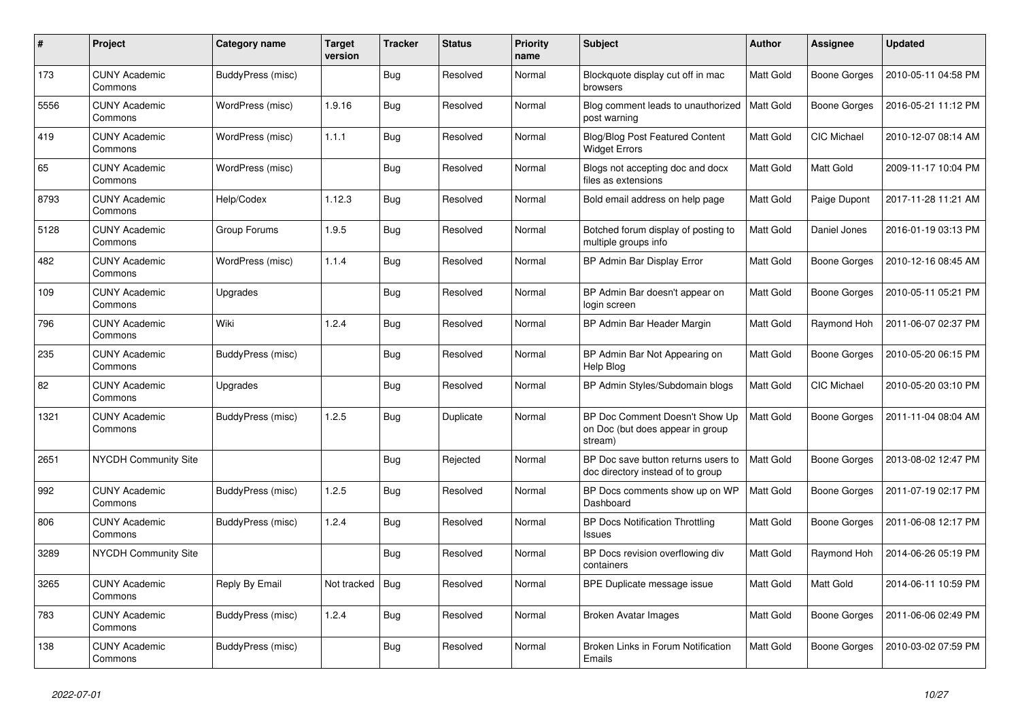| #    | Project                         | Category name     | Target<br>version | <b>Tracker</b> | <b>Status</b> | <b>Priority</b><br>name | <b>Subject</b>                                                                | <b>Author</b>    | Assignee            | <b>Updated</b>      |
|------|---------------------------------|-------------------|-------------------|----------------|---------------|-------------------------|-------------------------------------------------------------------------------|------------------|---------------------|---------------------|
| 173  | <b>CUNY Academic</b><br>Commons | BuddyPress (misc) |                   | <b>Bug</b>     | Resolved      | Normal                  | Blockquote display cut off in mac<br>browsers                                 | <b>Matt Gold</b> | Boone Gorges        | 2010-05-11 04:58 PM |
| 5556 | <b>CUNY Academic</b><br>Commons | WordPress (misc)  | 1.9.16            | Bug            | Resolved      | Normal                  | Blog comment leads to unauthorized<br>post warning                            | Matt Gold        | Boone Gorges        | 2016-05-21 11:12 PM |
| 419  | <b>CUNY Academic</b><br>Commons | WordPress (misc)  | 1.1.1             | Bug            | Resolved      | Normal                  | <b>Blog/Blog Post Featured Content</b><br>Widget Errors                       | Matt Gold        | <b>CIC Michael</b>  | 2010-12-07 08:14 AM |
| 65   | <b>CUNY Academic</b><br>Commons | WordPress (misc)  |                   | <b>Bug</b>     | Resolved      | Normal                  | Blogs not accepting doc and docx<br>files as extensions                       | Matt Gold        | Matt Gold           | 2009-11-17 10:04 PM |
| 8793 | <b>CUNY Academic</b><br>Commons | Help/Codex        | 1.12.3            | Bug            | Resolved      | Normal                  | Bold email address on help page                                               | Matt Gold        | Paige Dupont        | 2017-11-28 11:21 AM |
| 5128 | <b>CUNY Academic</b><br>Commons | Group Forums      | 1.9.5             | <b>Bug</b>     | Resolved      | Normal                  | Botched forum display of posting to<br>multiple groups info                   | Matt Gold        | Daniel Jones        | 2016-01-19 03:13 PM |
| 482  | <b>CUNY Academic</b><br>Commons | WordPress (misc)  | 1.1.4             | <b>Bug</b>     | Resolved      | Normal                  | BP Admin Bar Display Error                                                    | Matt Gold        | Boone Gorges        | 2010-12-16 08:45 AM |
| 109  | <b>CUNY Academic</b><br>Commons | Upgrades          |                   | Bug            | Resolved      | Normal                  | BP Admin Bar doesn't appear on<br>login screen                                | <b>Matt Gold</b> | Boone Gorges        | 2010-05-11 05:21 PM |
| 796  | <b>CUNY Academic</b><br>Commons | Wiki              | 1.2.4             | <b>Bug</b>     | Resolved      | Normal                  | BP Admin Bar Header Margin                                                    | Matt Gold        | Raymond Hoh         | 2011-06-07 02:37 PM |
| 235  | <b>CUNY Academic</b><br>Commons | BuddyPress (misc) |                   | Bug            | Resolved      | Normal                  | BP Admin Bar Not Appearing on<br>Help Blog                                    | Matt Gold        | Boone Gorges        | 2010-05-20 06:15 PM |
| 82   | <b>CUNY Academic</b><br>Commons | Upgrades          |                   | Bug            | Resolved      | Normal                  | BP Admin Styles/Subdomain blogs                                               | Matt Gold        | CIC Michael         | 2010-05-20 03:10 PM |
| 1321 | <b>CUNY Academic</b><br>Commons | BuddyPress (misc) | 1.2.5             | <b>Bug</b>     | Duplicate     | Normal                  | BP Doc Comment Doesn't Show Up<br>on Doc (but does appear in group<br>stream) | Matt Gold        | Boone Gorges        | 2011-11-04 08:04 AM |
| 2651 | NYCDH Community Site            |                   |                   | Bug            | Rejected      | Normal                  | BP Doc save button returns users to<br>doc directory instead of to group      | <b>Matt Gold</b> | <b>Boone Gorges</b> | 2013-08-02 12:47 PM |
| 992  | <b>CUNY Academic</b><br>Commons | BuddyPress (misc) | 1.2.5             | <b>Bug</b>     | Resolved      | Normal                  | BP Docs comments show up on WP<br>Dashboard                                   | Matt Gold        | Boone Gorges        | 2011-07-19 02:17 PM |
| 806  | <b>CUNY Academic</b><br>Commons | BuddyPress (misc) | 1.2.4             | <b>Bug</b>     | Resolved      | Normal                  | <b>BP Docs Notification Throttling</b><br>Issues                              | Matt Gold        | Boone Gorges        | 2011-06-08 12:17 PM |
| 3289 | <b>NYCDH Community Site</b>     |                   |                   | <b>Bug</b>     | Resolved      | Normal                  | BP Docs revision overflowing div<br>containers                                | Matt Gold        | Raymond Hoh         | 2014-06-26 05:19 PM |
| 3265 | <b>CUNY Academic</b><br>Commons | Reply By Email    | Not tracked       | Bug            | Resolved      | Normal                  | BPE Duplicate message issue                                                   | Matt Gold        | Matt Gold           | 2014-06-11 10:59 PM |
| 783  | <b>CUNY Academic</b><br>Commons | BuddyPress (misc) | 1.2.4             | <b>Bug</b>     | Resolved      | Normal                  | Broken Avatar Images                                                          | Matt Gold        | Boone Gorges        | 2011-06-06 02:49 PM |
| 138  | <b>CUNY Academic</b><br>Commons | BuddyPress (misc) |                   | Bug            | Resolved      | Normal                  | Broken Links in Forum Notification<br>Emails                                  | Matt Gold        | Boone Gorges        | 2010-03-02 07:59 PM |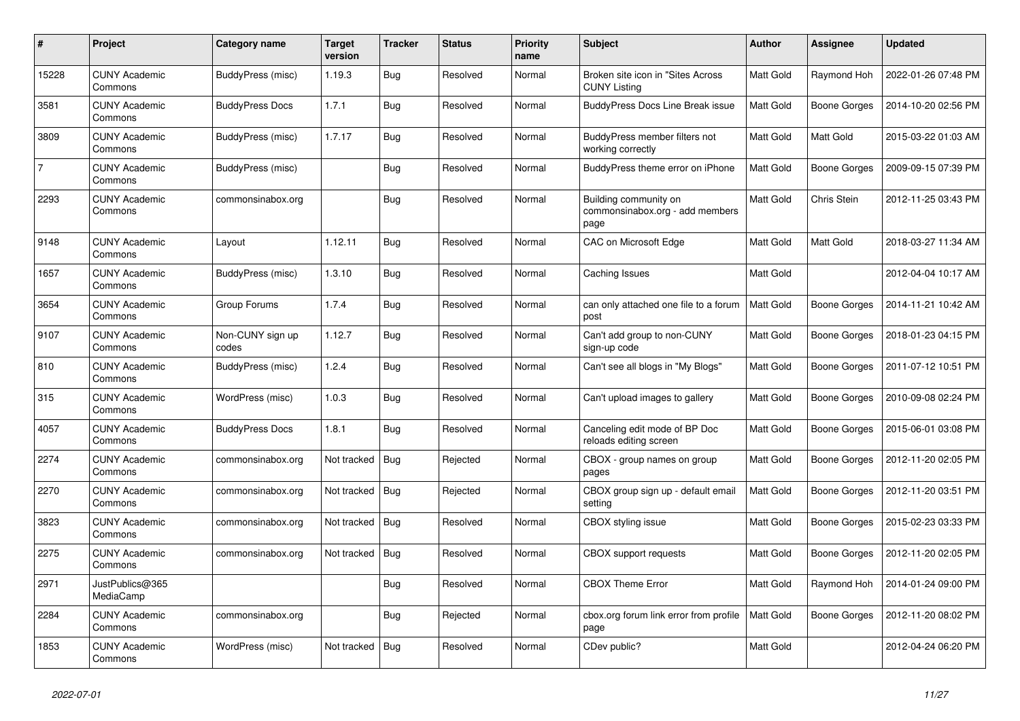| $\#$           | Project                         | Category name             | <b>Target</b><br>version | <b>Tracker</b> | <b>Status</b> | <b>Priority</b><br>name | <b>Subject</b>                                                   | <b>Author</b>    | <b>Assignee</b>     | <b>Updated</b>      |
|----------------|---------------------------------|---------------------------|--------------------------|----------------|---------------|-------------------------|------------------------------------------------------------------|------------------|---------------------|---------------------|
| 15228          | <b>CUNY Academic</b><br>Commons | <b>BuddyPress (misc)</b>  | 1.19.3                   | <b>Bug</b>     | Resolved      | Normal                  | Broken site icon in "Sites Across<br><b>CUNY Listing</b>         | <b>Matt Gold</b> | Raymond Hoh         | 2022-01-26 07:48 PM |
| 3581           | <b>CUNY Academic</b><br>Commons | <b>BuddyPress Docs</b>    | 1.7.1                    | <b>Bug</b>     | Resolved      | Normal                  | <b>BuddyPress Docs Line Break issue</b>                          | Matt Gold        | <b>Boone Gorges</b> | 2014-10-20 02:56 PM |
| 3809           | <b>CUNY Academic</b><br>Commons | BuddyPress (misc)         | 1.7.17                   | Bug            | Resolved      | Normal                  | BuddyPress member filters not<br>working correctly               | Matt Gold        | Matt Gold           | 2015-03-22 01:03 AM |
| $\overline{7}$ | <b>CUNY Academic</b><br>Commons | BuddyPress (misc)         |                          | <b>Bug</b>     | Resolved      | Normal                  | BuddyPress theme error on iPhone                                 | Matt Gold        | <b>Boone Gorges</b> | 2009-09-15 07:39 PM |
| 2293           | <b>CUNY Academic</b><br>Commons | commonsinabox.org         |                          | <b>Bug</b>     | Resolved      | Normal                  | Building community on<br>commonsinabox.org - add members<br>page | Matt Gold        | Chris Stein         | 2012-11-25 03:43 PM |
| 9148           | <b>CUNY Academic</b><br>Commons | Layout                    | 1.12.11                  | <b>Bug</b>     | Resolved      | Normal                  | CAC on Microsoft Edge                                            | Matt Gold        | Matt Gold           | 2018-03-27 11:34 AM |
| 1657           | <b>CUNY Academic</b><br>Commons | BuddyPress (misc)         | 1.3.10                   | <b>Bug</b>     | Resolved      | Normal                  | Caching Issues                                                   | Matt Gold        |                     | 2012-04-04 10:17 AM |
| 3654           | <b>CUNY Academic</b><br>Commons | Group Forums              | 1.7.4                    | Bug            | Resolved      | Normal                  | can only attached one file to a forum<br>post                    | <b>Matt Gold</b> | <b>Boone Gorges</b> | 2014-11-21 10:42 AM |
| 9107           | <b>CUNY Academic</b><br>Commons | Non-CUNY sign up<br>codes | 1.12.7                   | Bug            | Resolved      | Normal                  | Can't add group to non-CUNY<br>sign-up code                      | Matt Gold        | Boone Gorges        | 2018-01-23 04:15 PM |
| 810            | <b>CUNY Academic</b><br>Commons | <b>BuddyPress (misc)</b>  | 1.2.4                    | <b>Bug</b>     | Resolved      | Normal                  | Can't see all blogs in "My Blogs"                                | Matt Gold        | <b>Boone Gorges</b> | 2011-07-12 10:51 PM |
| 315            | <b>CUNY Academic</b><br>Commons | WordPress (misc)          | 1.0.3                    | <b>Bug</b>     | Resolved      | Normal                  | Can't upload images to gallery                                   | Matt Gold        | Boone Gorges        | 2010-09-08 02:24 PM |
| 4057           | <b>CUNY Academic</b><br>Commons | <b>BuddyPress Docs</b>    | 1.8.1                    | <b>Bug</b>     | Resolved      | Normal                  | Canceling edit mode of BP Doc<br>reloads editing screen          | Matt Gold        | <b>Boone Gorges</b> | 2015-06-01 03:08 PM |
| 2274           | <b>CUNY Academic</b><br>Commons | commonsinabox.org         | Not tracked              | Bug            | Rejected      | Normal                  | CBOX - group names on group<br>pages                             | Matt Gold        | Boone Gorges        | 2012-11-20 02:05 PM |
| 2270           | <b>CUNY Academic</b><br>Commons | commonsinabox.org         | Not tracked              | Bug            | Rejected      | Normal                  | CBOX group sign up - default email<br>setting                    | Matt Gold        | Boone Gorges        | 2012-11-20 03:51 PM |
| 3823           | <b>CUNY Academic</b><br>Commons | commonsinabox.org         | Not tracked              | Bug            | Resolved      | Normal                  | CBOX styling issue                                               | Matt Gold        | Boone Gorges        | 2015-02-23 03:33 PM |
| 2275           | <b>CUNY Academic</b><br>Commons | commonsinabox.org         | Not tracked              | Bug            | Resolved      | Normal                  | CBOX support requests                                            | Matt Gold        | Boone Gorges        | 2012-11-20 02:05 PM |
| 2971           | JustPublics@365<br>MediaCamp    |                           |                          | <b>Bug</b>     | Resolved      | Normal                  | <b>CBOX Theme Error</b>                                          | Matt Gold        | Raymond Hoh         | 2014-01-24 09:00 PM |
| 2284           | <b>CUNY Academic</b><br>Commons | commonsinabox.org         |                          | Bug            | Rejected      | Normal                  | cbox.org forum link error from profile<br>page                   | Matt Gold        | Boone Gorges        | 2012-11-20 08:02 PM |
| 1853           | <b>CUNY Academic</b><br>Commons | WordPress (misc)          | Not tracked              | Bug            | Resolved      | Normal                  | CDev public?                                                     | Matt Gold        |                     | 2012-04-24 06:20 PM |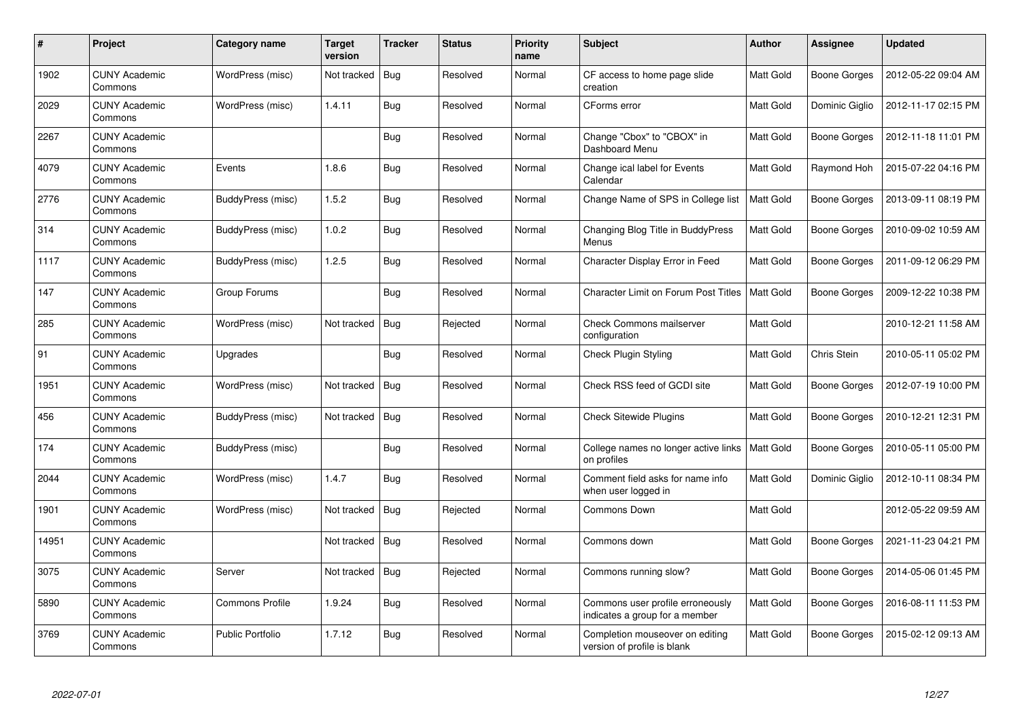| $\#$  | Project                         | Category name           | Target<br>version | <b>Tracker</b> | <b>Status</b> | <b>Priority</b><br>name | <b>Subject</b>                                                     | <b>Author</b>    | Assignee            | <b>Updated</b>      |
|-------|---------------------------------|-------------------------|-------------------|----------------|---------------|-------------------------|--------------------------------------------------------------------|------------------|---------------------|---------------------|
| 1902  | <b>CUNY Academic</b><br>Commons | WordPress (misc)        | Not tracked       | Bug            | Resolved      | Normal                  | CF access to home page slide<br>creation                           | Matt Gold        | Boone Gorges        | 2012-05-22 09:04 AM |
| 2029  | <b>CUNY Academic</b><br>Commons | WordPress (misc)        | 1.4.11            | <b>Bug</b>     | Resolved      | Normal                  | CForms error                                                       | <b>Matt Gold</b> | Dominic Giglio      | 2012-11-17 02:15 PM |
| 2267  | <b>CUNY Academic</b><br>Commons |                         |                   | <b>Bug</b>     | Resolved      | Normal                  | Change "Cbox" to "CBOX" in<br>Dashboard Menu                       | Matt Gold        | <b>Boone Gorges</b> | 2012-11-18 11:01 PM |
| 4079  | <b>CUNY Academic</b><br>Commons | Events                  | 1.8.6             | <b>Bug</b>     | Resolved      | Normal                  | Change ical label for Events<br>Calendar                           | Matt Gold        | Raymond Hoh         | 2015-07-22 04:16 PM |
| 2776  | <b>CUNY Academic</b><br>Commons | BuddyPress (misc)       | 1.5.2             | <b>Bug</b>     | Resolved      | Normal                  | Change Name of SPS in College list                                 | <b>Matt Gold</b> | Boone Gorges        | 2013-09-11 08:19 PM |
| 314   | <b>CUNY Academic</b><br>Commons | BuddyPress (misc)       | 1.0.2             | <b>Bug</b>     | Resolved      | Normal                  | Changing Blog Title in BuddyPress<br>Menus                         | Matt Gold        | Boone Gorges        | 2010-09-02 10:59 AM |
| 1117  | <b>CUNY Academic</b><br>Commons | BuddyPress (misc)       | 1.2.5             | Bug            | Resolved      | Normal                  | Character Display Error in Feed                                    | Matt Gold        | <b>Boone Gorges</b> | 2011-09-12 06:29 PM |
| 147   | <b>CUNY Academic</b><br>Commons | Group Forums            |                   | <b>Bug</b>     | Resolved      | Normal                  | <b>Character Limit on Forum Post Titles</b>                        | Matt Gold        | Boone Gorges        | 2009-12-22 10:38 PM |
| 285   | <b>CUNY Academic</b><br>Commons | WordPress (misc)        | Not tracked       | Bug            | Rejected      | Normal                  | <b>Check Commons mailserver</b><br>configuration                   | Matt Gold        |                     | 2010-12-21 11:58 AM |
| 91    | <b>CUNY Academic</b><br>Commons | Upgrades                |                   | Bug            | Resolved      | Normal                  | Check Plugin Styling                                               | Matt Gold        | Chris Stein         | 2010-05-11 05:02 PM |
| 1951  | <b>CUNY Academic</b><br>Commons | WordPress (misc)        | Not tracked       | Bug            | Resolved      | Normal                  | Check RSS feed of GCDI site                                        | Matt Gold        | <b>Boone Gorges</b> | 2012-07-19 10:00 PM |
| 456   | <b>CUNY Academic</b><br>Commons | BuddyPress (misc)       | Not tracked       | Bug            | Resolved      | Normal                  | <b>Check Sitewide Plugins</b>                                      | Matt Gold        | Boone Gorges        | 2010-12-21 12:31 PM |
| 174   | <b>CUNY Academic</b><br>Commons | BuddyPress (misc)       |                   | <b>Bug</b>     | Resolved      | Normal                  | College names no longer active links<br>on profiles                | Matt Gold        | Boone Gorges        | 2010-05-11 05:00 PM |
| 2044  | <b>CUNY Academic</b><br>Commons | WordPress (misc)        | 1.4.7             | <b>Bug</b>     | Resolved      | Normal                  | Comment field asks for name info<br>when user logged in            | Matt Gold        | Dominic Giglio      | 2012-10-11 08:34 PM |
| 1901  | <b>CUNY Academic</b><br>Commons | WordPress (misc)        | Not tracked       | Bug            | Rejected      | Normal                  | Commons Down                                                       | Matt Gold        |                     | 2012-05-22 09:59 AM |
| 14951 | <b>CUNY Academic</b><br>Commons |                         | Not tracked       | Bug            | Resolved      | Normal                  | Commons down                                                       | Matt Gold        | Boone Gorges        | 2021-11-23 04:21 PM |
| 3075  | <b>CUNY Academic</b><br>Commons | Server                  | Not tracked       | Bug            | Rejected      | Normal                  | Commons running slow?                                              | Matt Gold        | Boone Gorges        | 2014-05-06 01:45 PM |
| 5890  | <b>CUNY Academic</b><br>Commons | Commons Profile         | 1.9.24            | Bug            | Resolved      | Normal                  | Commons user profile erroneously<br>indicates a group for a member | Matt Gold        | Boone Gorges        | 2016-08-11 11:53 PM |
| 3769  | <b>CUNY Academic</b><br>Commons | <b>Public Portfolio</b> | 1.7.12            | Bug            | Resolved      | Normal                  | Completion mouseover on editing<br>version of profile is blank     | <b>Matt Gold</b> | <b>Boone Gorges</b> | 2015-02-12 09:13 AM |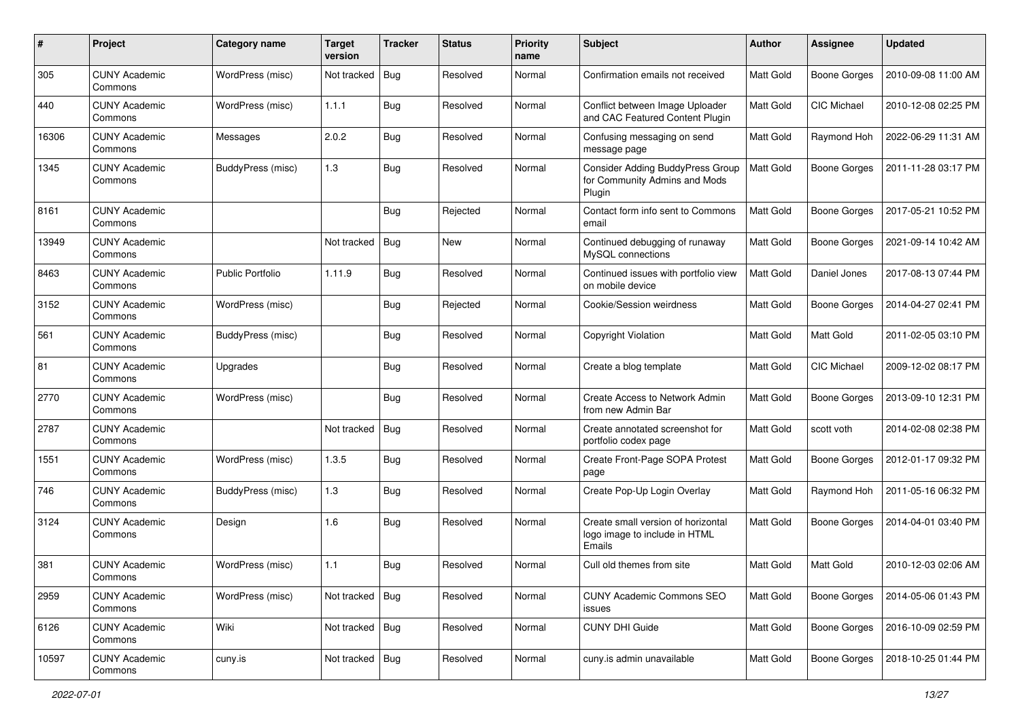| #     | Project                         | Category name            | <b>Target</b><br>version | <b>Tracker</b> | <b>Status</b> | <b>Priority</b><br>name | Subject                                                                            | Author           | Assignee            | <b>Updated</b>      |
|-------|---------------------------------|--------------------------|--------------------------|----------------|---------------|-------------------------|------------------------------------------------------------------------------------|------------------|---------------------|---------------------|
| 305   | <b>CUNY Academic</b><br>Commons | WordPress (misc)         | Not tracked              | <b>Bug</b>     | Resolved      | Normal                  | Confirmation emails not received                                                   | Matt Gold        | <b>Boone Gorges</b> | 2010-09-08 11:00 AM |
| 440   | <b>CUNY Academic</b><br>Commons | WordPress (misc)         | 1.1.1                    | <b>Bug</b>     | Resolved      | Normal                  | Conflict between Image Uploader<br>and CAC Featured Content Plugin                 | Matt Gold        | CIC Michael         | 2010-12-08 02:25 PM |
| 16306 | <b>CUNY Academic</b><br>Commons | Messages                 | 2.0.2                    | Bug            | Resolved      | Normal                  | Confusing messaging on send<br>message page                                        | Matt Gold        | Raymond Hoh         | 2022-06-29 11:31 AM |
| 1345  | <b>CUNY Academic</b><br>Commons | BuddyPress (misc)        | 1.3                      | Bug            | Resolved      | Normal                  | <b>Consider Adding BuddyPress Group</b><br>for Community Admins and Mods<br>Plugin | <b>Matt Gold</b> | <b>Boone Gorges</b> | 2011-11-28 03:17 PM |
| 8161  | <b>CUNY Academic</b><br>Commons |                          |                          | Bug            | Rejected      | Normal                  | Contact form info sent to Commons<br>email                                         | <b>Matt Gold</b> | <b>Boone Gorges</b> | 2017-05-21 10:52 PM |
| 13949 | <b>CUNY Academic</b><br>Commons |                          | Not tracked              | Bug            | New           | Normal                  | Continued debugging of runaway<br>MySQL connections                                | Matt Gold        | <b>Boone Gorges</b> | 2021-09-14 10:42 AM |
| 8463  | <b>CUNY Academic</b><br>Commons | <b>Public Portfolio</b>  | 1.11.9                   | Bug            | Resolved      | Normal                  | Continued issues with portfolio view<br>on mobile device                           | Matt Gold        | Daniel Jones        | 2017-08-13 07:44 PM |
| 3152  | <b>CUNY Academic</b><br>Commons | WordPress (misc)         |                          | Bug            | Rejected      | Normal                  | Cookie/Session weirdness                                                           | Matt Gold        | <b>Boone Gorges</b> | 2014-04-27 02:41 PM |
| 561   | <b>CUNY Academic</b><br>Commons | <b>BuddyPress (misc)</b> |                          | Bug            | Resolved      | Normal                  | <b>Copyright Violation</b>                                                         | Matt Gold        | Matt Gold           | 2011-02-05 03:10 PM |
| 81    | <b>CUNY Academic</b><br>Commons | Upgrades                 |                          | Bug            | Resolved      | Normal                  | Create a blog template                                                             | Matt Gold        | <b>CIC Michael</b>  | 2009-12-02 08:17 PM |
| 2770  | <b>CUNY Academic</b><br>Commons | WordPress (misc)         |                          | Bug            | Resolved      | Normal                  | Create Access to Network Admin<br>from new Admin Bar                               | Matt Gold        | <b>Boone Gorges</b> | 2013-09-10 12:31 PM |
| 2787  | <b>CUNY Academic</b><br>Commons |                          | Not tracked              | Bug            | Resolved      | Normal                  | Create annotated screenshot for<br>portfolio codex page                            | Matt Gold        | scott voth          | 2014-02-08 02:38 PM |
| 1551  | <b>CUNY Academic</b><br>Commons | WordPress (misc)         | 1.3.5                    | Bug            | Resolved      | Normal                  | Create Front-Page SOPA Protest<br>page                                             | <b>Matt Gold</b> | <b>Boone Gorges</b> | 2012-01-17 09:32 PM |
| 746   | <b>CUNY Academic</b><br>Commons | BuddyPress (misc)        | 1.3                      | Bug            | Resolved      | Normal                  | Create Pop-Up Login Overlay                                                        | Matt Gold        | Raymond Hoh         | 2011-05-16 06:32 PM |
| 3124  | <b>CUNY Academic</b><br>Commons | Design                   | 1.6                      | Bug            | Resolved      | Normal                  | Create small version of horizontal<br>logo image to include in HTML<br>Emails      | <b>Matt Gold</b> | <b>Boone Gorges</b> | 2014-04-01 03:40 PM |
| 381   | <b>CUNY Academic</b><br>Commons | WordPress (misc)         | 1.1                      | Bug            | Resolved      | Normal                  | Cull old themes from site                                                          | Matt Gold        | <b>Matt Gold</b>    | 2010-12-03 02:06 AM |
| 2959  | <b>CUNY Academic</b><br>Commons | WordPress (misc)         | Not tracked              | <b>Bug</b>     | Resolved      | Normal                  | <b>CUNY Academic Commons SEO</b><br>issues                                         | Matt Gold        | <b>Boone Gorges</b> | 2014-05-06 01:43 PM |
| 6126  | <b>CUNY Academic</b><br>Commons | Wiki                     | Not tracked $\vert$ Bug  |                | Resolved      | Normal                  | <b>CUNY DHI Guide</b>                                                              | Matt Gold        | Boone Gorges        | 2016-10-09 02:59 PM |
| 10597 | <b>CUNY Academic</b><br>Commons | cuny.is                  | Not tracked   Bug        |                | Resolved      | Normal                  | cuny.is admin unavailable                                                          | Matt Gold        | Boone Gorges        | 2018-10-25 01:44 PM |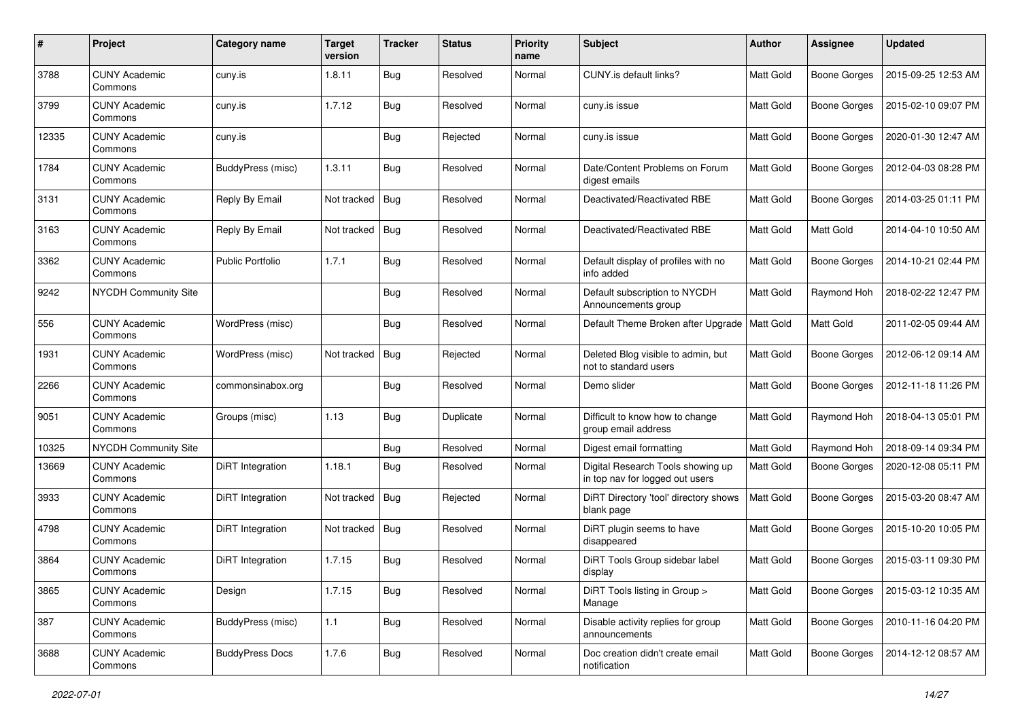| $\#$  | Project                         | Category name           | <b>Target</b><br>version | <b>Tracker</b> | <b>Status</b> | <b>Priority</b><br>name | Subject                                                              | Author           | <b>Assignee</b>     | <b>Updated</b>      |
|-------|---------------------------------|-------------------------|--------------------------|----------------|---------------|-------------------------|----------------------------------------------------------------------|------------------|---------------------|---------------------|
| 3788  | <b>CUNY Academic</b><br>Commons | cuny.is                 | 1.8.11                   | <b>Bug</b>     | Resolved      | Normal                  | <b>CUNY.is default links?</b>                                        | Matt Gold        | <b>Boone Gorges</b> | 2015-09-25 12:53 AM |
| 3799  | <b>CUNY Academic</b><br>Commons | cuny.is                 | 1.7.12                   | Bug            | Resolved      | Normal                  | cuny.is issue                                                        | Matt Gold        | <b>Boone Gorges</b> | 2015-02-10 09:07 PM |
| 12335 | <b>CUNY Academic</b><br>Commons | cuny.is                 |                          | Bug            | Rejected      | Normal                  | cuny.is issue                                                        | Matt Gold        | <b>Boone Gorges</b> | 2020-01-30 12:47 AM |
| 1784  | <b>CUNY Academic</b><br>Commons | BuddyPress (misc)       | 1.3.11                   | <b>Bug</b>     | Resolved      | Normal                  | Date/Content Problems on Forum<br>digest emails                      | <b>Matt Gold</b> | <b>Boone Gorges</b> | 2012-04-03 08:28 PM |
| 3131  | <b>CUNY Academic</b><br>Commons | Reply By Email          | Not tracked              | Bug            | Resolved      | Normal                  | Deactivated/Reactivated RBE                                          | <b>Matt Gold</b> | <b>Boone Gorges</b> | 2014-03-25 01:11 PM |
| 3163  | <b>CUNY Academic</b><br>Commons | Reply By Email          | Not tracked              | Bug            | Resolved      | Normal                  | Deactivated/Reactivated RBE                                          | Matt Gold        | Matt Gold           | 2014-04-10 10:50 AM |
| 3362  | <b>CUNY Academic</b><br>Commons | <b>Public Portfolio</b> | 1.7.1                    | Bug            | Resolved      | Normal                  | Default display of profiles with no<br>info added                    | Matt Gold        | <b>Boone Gorges</b> | 2014-10-21 02:44 PM |
| 9242  | <b>NYCDH Community Site</b>     |                         |                          | Bug            | Resolved      | Normal                  | Default subscription to NYCDH<br>Announcements group                 | Matt Gold        | Raymond Hoh         | 2018-02-22 12:47 PM |
| 556   | <b>CUNY Academic</b><br>Commons | WordPress (misc)        |                          | <b>Bug</b>     | Resolved      | Normal                  | Default Theme Broken after Upgrade   Matt Gold                       |                  | Matt Gold           | 2011-02-05 09:44 AM |
| 1931  | <b>CUNY Academic</b><br>Commons | WordPress (misc)        | Not tracked              | Bug            | Rejected      | Normal                  | Deleted Blog visible to admin, but<br>not to standard users          | Matt Gold        | <b>Boone Gorges</b> | 2012-06-12 09:14 AM |
| 2266  | <b>CUNY Academic</b><br>Commons | commonsinabox.org       |                          | <b>Bug</b>     | Resolved      | Normal                  | Demo slider                                                          | Matt Gold        | <b>Boone Gorges</b> | 2012-11-18 11:26 PM |
| 9051  | <b>CUNY Academic</b><br>Commons | Groups (misc)           | 1.13                     | Bug            | Duplicate     | Normal                  | Difficult to know how to change<br>group email address               | Matt Gold        | Raymond Hoh         | 2018-04-13 05:01 PM |
| 10325 | <b>NYCDH Community Site</b>     |                         |                          | <b>Bug</b>     | Resolved      | Normal                  | Digest email formatting                                              | Matt Gold        | Raymond Hoh         | 2018-09-14 09:34 PM |
| 13669 | <b>CUNY Academic</b><br>Commons | DiRT Integration        | 1.18.1                   | <b>Bug</b>     | Resolved      | Normal                  | Digital Research Tools showing up<br>in top nav for logged out users | Matt Gold        | <b>Boone Gorges</b> | 2020-12-08 05:11 PM |
| 3933  | <b>CUNY Academic</b><br>Commons | DiRT Integration        | Not tracked              | Bug            | Rejected      | Normal                  | DiRT Directory 'tool' directory shows<br>blank page                  | Matt Gold        | <b>Boone Gorges</b> | 2015-03-20 08:47 AM |
| 4798  | <b>CUNY Academic</b><br>Commons | DiRT Integration        | Not tracked              | Bug            | Resolved      | Normal                  | DiRT plugin seems to have<br>disappeared                             | <b>Matt Gold</b> | <b>Boone Gorges</b> | 2015-10-20 10:05 PM |
| 3864  | <b>CUNY Academic</b><br>Commons | <b>DiRT</b> Integration | 1.7.15                   | <b>Bug</b>     | Resolved      | Normal                  | DiRT Tools Group sidebar label<br>display                            | Matt Gold        | <b>Boone Gorges</b> | 2015-03-11 09:30 PM |
| 3865  | <b>CUNY Academic</b><br>Commons | Design                  | 1.7.15                   | <b>Bug</b>     | Resolved      | Normal                  | DiRT Tools listing in Group ><br>Manage                              | Matt Gold        | <b>Boone Gorges</b> | 2015-03-12 10:35 AM |
| 387   | <b>CUNY Academic</b><br>Commons | BuddyPress (misc)       | $1.1$                    | <b>Bug</b>     | Resolved      | Normal                  | Disable activity replies for group<br>announcements                  | Matt Gold        | Boone Gorges        | 2010-11-16 04:20 PM |
| 3688  | <b>CUNY Academic</b><br>Commons | <b>BuddyPress Docs</b>  | 1.7.6                    | <b>Bug</b>     | Resolved      | Normal                  | Doc creation didn't create email<br>notification                     | Matt Gold        | <b>Boone Gorges</b> | 2014-12-12 08:57 AM |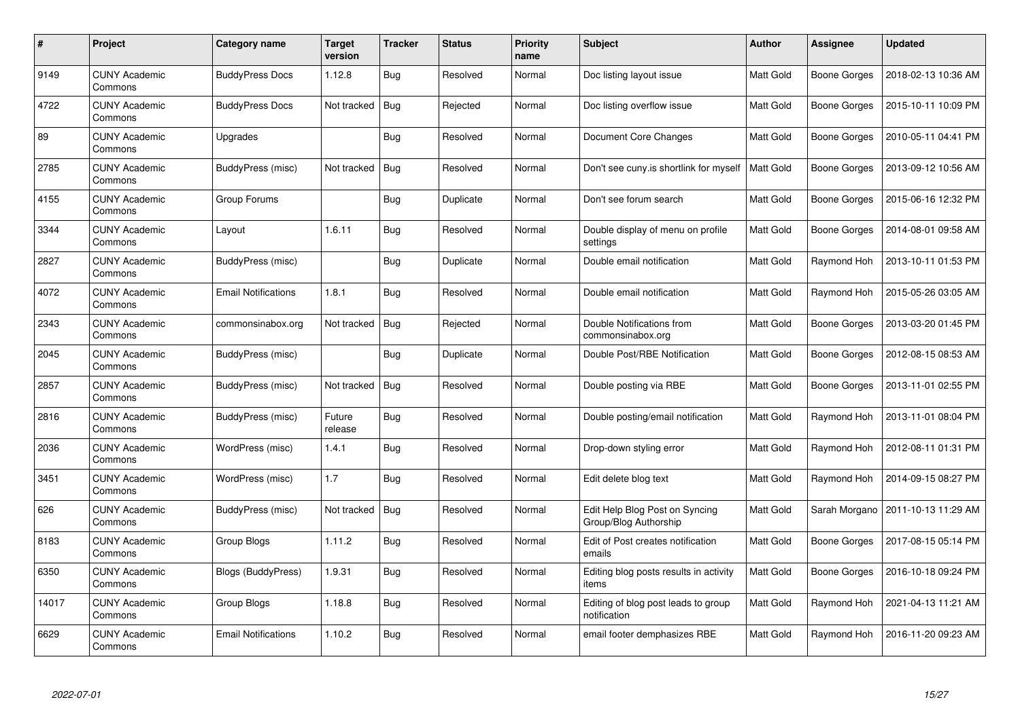| $\#$  | <b>Project</b>                  | Category name              | <b>Target</b><br>version | <b>Tracker</b> | <b>Status</b> | <b>Priority</b><br>name | <b>Subject</b>                                          | <b>Author</b>    | Assignee            | <b>Updated</b>      |
|-------|---------------------------------|----------------------------|--------------------------|----------------|---------------|-------------------------|---------------------------------------------------------|------------------|---------------------|---------------------|
| 9149  | <b>CUNY Academic</b><br>Commons | <b>BuddyPress Docs</b>     | 1.12.8                   | <b>Bug</b>     | Resolved      | Normal                  | Doc listing layout issue                                | Matt Gold        | <b>Boone Gorges</b> | 2018-02-13 10:36 AM |
| 4722  | <b>CUNY Academic</b><br>Commons | <b>BuddyPress Docs</b>     | Not tracked              | <b>Bug</b>     | Rejected      | Normal                  | Doc listing overflow issue                              | <b>Matt Gold</b> | <b>Boone Gorges</b> | 2015-10-11 10:09 PM |
| 89    | <b>CUNY Academic</b><br>Commons | Upgrades                   |                          | Bug            | Resolved      | Normal                  | Document Core Changes                                   | <b>Matt Gold</b> | <b>Boone Gorges</b> | 2010-05-11 04:41 PM |
| 2785  | <b>CUNY Academic</b><br>Commons | BuddyPress (misc)          | Not tracked              | <b>Bug</b>     | Resolved      | Normal                  | Don't see cuny.is shortlink for myself                  | Matt Gold        | <b>Boone Gorges</b> | 2013-09-12 10:56 AM |
| 4155  | <b>CUNY Academic</b><br>Commons | Group Forums               |                          | <b>Bug</b>     | Duplicate     | Normal                  | Don't see forum search                                  | Matt Gold        | <b>Boone Gorges</b> | 2015-06-16 12:32 PM |
| 3344  | <b>CUNY Academic</b><br>Commons | Layout                     | 1.6.11                   | <b>Bug</b>     | Resolved      | Normal                  | Double display of menu on profile<br>settings           | <b>Matt Gold</b> | Boone Gorges        | 2014-08-01 09:58 AM |
| 2827  | <b>CUNY Academic</b><br>Commons | BuddyPress (misc)          |                          | Bug            | Duplicate     | Normal                  | Double email notification                               | <b>Matt Gold</b> | Raymond Hoh         | 2013-10-11 01:53 PM |
| 4072  | <b>CUNY Academic</b><br>Commons | <b>Email Notifications</b> | 1.8.1                    | Bug            | Resolved      | Normal                  | Double email notification                               | Matt Gold        | Raymond Hoh         | 2015-05-26 03:05 AM |
| 2343  | <b>CUNY Academic</b><br>Commons | commonsinabox.org          | Not tracked              | Bug            | Rejected      | Normal                  | Double Notifications from<br>commonsinabox.org          | Matt Gold        | <b>Boone Gorges</b> | 2013-03-20 01:45 PM |
| 2045  | <b>CUNY Academic</b><br>Commons | BuddyPress (misc)          |                          | Bug            | Duplicate     | Normal                  | Double Post/RBE Notification                            | Matt Gold        | <b>Boone Gorges</b> | 2012-08-15 08:53 AM |
| 2857  | <b>CUNY Academic</b><br>Commons | BuddyPress (misc)          | Not tracked              | Bug            | Resolved      | Normal                  | Double posting via RBE                                  | Matt Gold        | <b>Boone Gorges</b> | 2013-11-01 02:55 PM |
| 2816  | <b>CUNY Academic</b><br>Commons | BuddyPress (misc)          | Future<br>release        | <b>Bug</b>     | Resolved      | Normal                  | Double posting/email notification                       | Matt Gold        | Raymond Hoh         | 2013-11-01 08:04 PM |
| 2036  | <b>CUNY Academic</b><br>Commons | WordPress (misc)           | 1.4.1                    | <b>Bug</b>     | Resolved      | Normal                  | Drop-down styling error                                 | Matt Gold        | Raymond Hoh         | 2012-08-11 01:31 PM |
| 3451  | <b>CUNY Academic</b><br>Commons | WordPress (misc)           | 1.7                      | <b>Bug</b>     | Resolved      | Normal                  | Edit delete blog text                                   | Matt Gold        | Raymond Hoh         | 2014-09-15 08:27 PM |
| 626   | <b>CUNY Academic</b><br>Commons | BuddyPress (misc)          | Not tracked              | Bug            | Resolved      | Normal                  | Edit Help Blog Post on Syncing<br>Group/Blog Authorship | Matt Gold        | Sarah Morgano       | 2011-10-13 11:29 AM |
| 8183  | <b>CUNY Academic</b><br>Commons | Group Blogs                | 1.11.2                   | <b>Bug</b>     | Resolved      | Normal                  | Edit of Post creates notification<br>emails             | Matt Gold        | Boone Gorges        | 2017-08-15 05:14 PM |
| 6350  | <b>CUNY Academic</b><br>Commons | Blogs (BuddyPress)         | 1.9.31                   | <b>Bug</b>     | Resolved      | Normal                  | Editing blog posts results in activity<br>items         | Matt Gold        | Boone Gorges        | 2016-10-18 09:24 PM |
| 14017 | <b>CUNY Academic</b><br>Commons | Group Blogs                | 1.18.8                   | Bug            | Resolved      | Normal                  | Editing of blog post leads to group<br>notification     | Matt Gold        | Raymond Hoh         | 2021-04-13 11:21 AM |
| 6629  | <b>CUNY Academic</b><br>Commons | <b>Email Notifications</b> | 1.10.2                   | Bug            | Resolved      | Normal                  | email footer demphasizes RBE                            | <b>Matt Gold</b> | Raymond Hoh         | 2016-11-20 09:23 AM |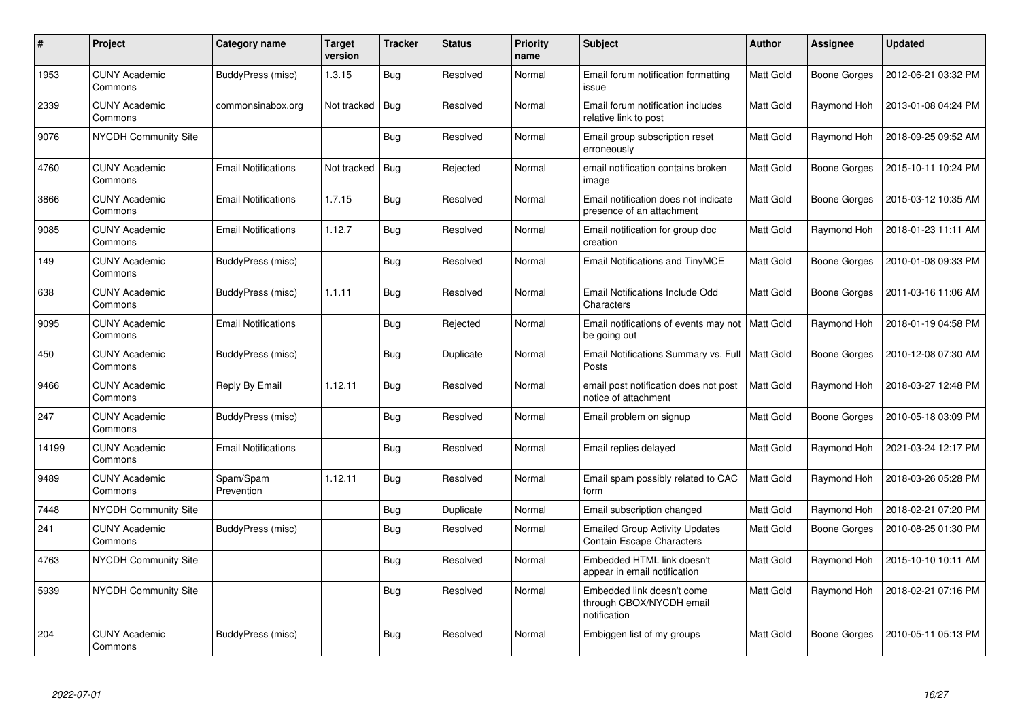| #     | Project                         | Category name              | Target<br>version | <b>Tracker</b> | <b>Status</b> | <b>Priority</b><br>name | <b>Subject</b>                                                            | <b>Author</b>    | Assignee            | <b>Updated</b>      |
|-------|---------------------------------|----------------------------|-------------------|----------------|---------------|-------------------------|---------------------------------------------------------------------------|------------------|---------------------|---------------------|
| 1953  | <b>CUNY Academic</b><br>Commons | BuddyPress (misc)          | 1.3.15            | <b>Bug</b>     | Resolved      | Normal                  | Email forum notification formatting<br>issue                              | Matt Gold        | <b>Boone Gorges</b> | 2012-06-21 03:32 PM |
| 2339  | <b>CUNY Academic</b><br>Commons | commonsinabox.org          | Not tracked       | Bug            | Resolved      | Normal                  | Email forum notification includes<br>relative link to post                | <b>Matt Gold</b> | Raymond Hoh         | 2013-01-08 04:24 PM |
| 9076  | <b>NYCDH Community Site</b>     |                            |                   | <b>Bug</b>     | Resolved      | Normal                  | Email group subscription reset<br>erroneously                             | Matt Gold        | Raymond Hoh         | 2018-09-25 09:52 AM |
| 4760  | <b>CUNY Academic</b><br>Commons | <b>Email Notifications</b> | Not tracked       | <b>Bug</b>     | Rejected      | Normal                  | email notification contains broken<br>image                               | Matt Gold        | <b>Boone Gorges</b> | 2015-10-11 10:24 PM |
| 3866  | <b>CUNY Academic</b><br>Commons | <b>Email Notifications</b> | 1.7.15            | Bug            | Resolved      | Normal                  | Email notification does not indicate<br>presence of an attachment         | <b>Matt Gold</b> | Boone Gorges        | 2015-03-12 10:35 AM |
| 9085  | <b>CUNY Academic</b><br>Commons | <b>Email Notifications</b> | 1.12.7            | Bug            | Resolved      | Normal                  | Email notification for group doc<br>creation                              | Matt Gold        | Raymond Hoh         | 2018-01-23 11:11 AM |
| 149   | <b>CUNY Academic</b><br>Commons | <b>BuddyPress (misc)</b>   |                   | <b>Bug</b>     | Resolved      | Normal                  | <b>Email Notifications and TinyMCE</b>                                    | Matt Gold        | <b>Boone Gorges</b> | 2010-01-08 09:33 PM |
| 638   | <b>CUNY Academic</b><br>Commons | BuddyPress (misc)          | 1.1.11            | <b>Bug</b>     | Resolved      | Normal                  | Email Notifications Include Odd<br>Characters                             | Matt Gold        | Boone Gorges        | 2011-03-16 11:06 AM |
| 9095  | <b>CUNY Academic</b><br>Commons | <b>Email Notifications</b> |                   | Bug            | Rejected      | Normal                  | Email notifications of events may not<br>be going out                     | Matt Gold        | Raymond Hoh         | 2018-01-19 04:58 PM |
| 450   | <b>CUNY Academic</b><br>Commons | BuddyPress (misc)          |                   | <b>Bug</b>     | Duplicate     | Normal                  | Email Notifications Summary vs. Full<br>Posts                             | Matt Gold        | <b>Boone Gorges</b> | 2010-12-08 07:30 AM |
| 9466  | <b>CUNY Academic</b><br>Commons | Reply By Email             | 1.12.11           | Bug            | Resolved      | Normal                  | email post notification does not post<br>notice of attachment             | Matt Gold        | Raymond Hoh         | 2018-03-27 12:48 PM |
| 247   | <b>CUNY Academic</b><br>Commons | BuddyPress (misc)          |                   | Bug            | Resolved      | Normal                  | Email problem on signup                                                   | Matt Gold        | <b>Boone Gorges</b> | 2010-05-18 03:09 PM |
| 14199 | <b>CUNY Academic</b><br>Commons | Email Notifications        |                   | Bug            | Resolved      | Normal                  | Email replies delayed                                                     | Matt Gold        | Raymond Hoh         | 2021-03-24 12:17 PM |
| 9489  | <b>CUNY Academic</b><br>Commons | Spam/Spam<br>Prevention    | 1.12.11           | <b>Bug</b>     | Resolved      | Normal                  | Email spam possibly related to CAC<br>form                                | Matt Gold        | Raymond Hoh         | 2018-03-26 05:28 PM |
| 7448  | <b>NYCDH Community Site</b>     |                            |                   | <b>Bug</b>     | Duplicate     | Normal                  | Email subscription changed                                                | Matt Gold        | Raymond Hoh         | 2018-02-21 07:20 PM |
| 241   | <b>CUNY Academic</b><br>Commons | BuddyPress (misc)          |                   | <b>Bug</b>     | Resolved      | Normal                  | <b>Emailed Group Activity Updates</b><br><b>Contain Escape Characters</b> | Matt Gold        | <b>Boone Gorges</b> | 2010-08-25 01:30 PM |
| 4763  | <b>NYCDH Community Site</b>     |                            |                   | <b>Bug</b>     | Resolved      | Normal                  | Embedded HTML link doesn't<br>appear in email notification                | Matt Gold        | Raymond Hoh         | 2015-10-10 10:11 AM |
| 5939  | <b>NYCDH Community Site</b>     |                            |                   | Bug            | Resolved      | Normal                  | Embedded link doesn't come<br>through CBOX/NYCDH email<br>notification    | Matt Gold        | Raymond Hoh         | 2018-02-21 07:16 PM |
| 204   | <b>CUNY Academic</b><br>Commons | BuddyPress (misc)          |                   | <b>Bug</b>     | Resolved      | Normal                  | Embiggen list of my groups                                                | <b>Matt Gold</b> | <b>Boone Gorges</b> | 2010-05-11 05:13 PM |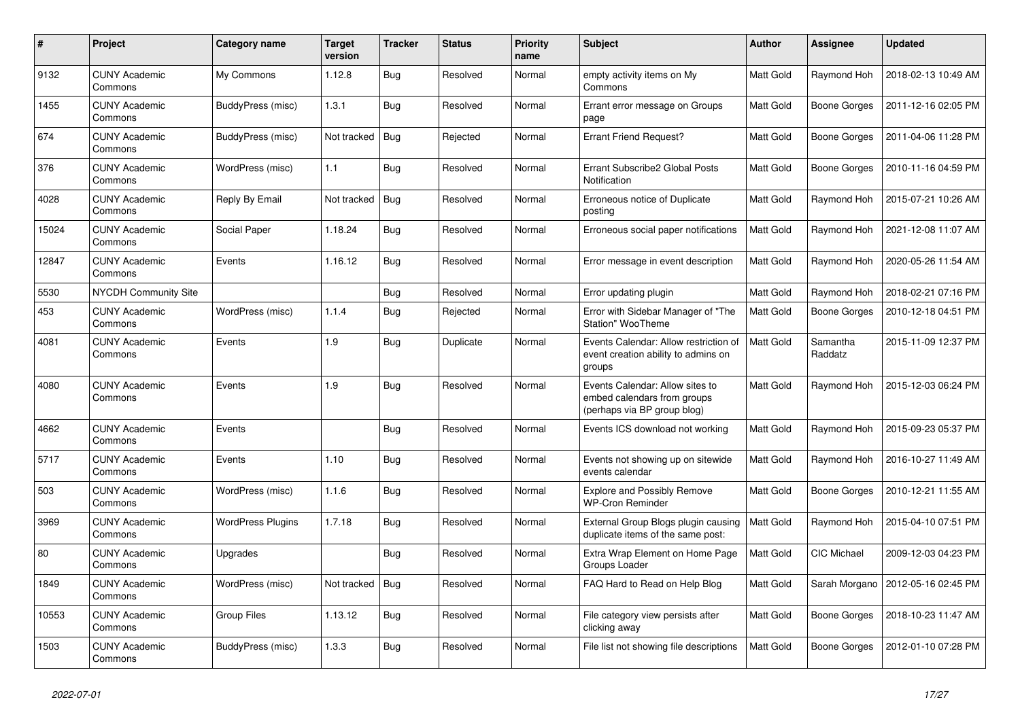| #     | Project                         | Category name            | Target<br>version | <b>Tracker</b> | <b>Status</b> | <b>Priority</b><br>name | <b>Subject</b>                                                                                | <b>Author</b>    | <b>Assignee</b>     | <b>Updated</b>      |
|-------|---------------------------------|--------------------------|-------------------|----------------|---------------|-------------------------|-----------------------------------------------------------------------------------------------|------------------|---------------------|---------------------|
| 9132  | <b>CUNY Academic</b><br>Commons | My Commons               | 1.12.8            | <b>Bug</b>     | Resolved      | Normal                  | empty activity items on My<br>Commons                                                         | Matt Gold        | Raymond Hoh         | 2018-02-13 10:49 AM |
| 1455  | <b>CUNY Academic</b><br>Commons | <b>BuddyPress (misc)</b> | 1.3.1             | <b>Bug</b>     | Resolved      | Normal                  | Errant error message on Groups<br>page                                                        | <b>Matt Gold</b> | <b>Boone Gorges</b> | 2011-12-16 02:05 PM |
| 674   | <b>CUNY Academic</b><br>Commons | BuddyPress (misc)        | Not tracked       | Bug            | Rejected      | Normal                  | <b>Errant Friend Request?</b>                                                                 | Matt Gold        | <b>Boone Gorges</b> | 2011-04-06 11:28 PM |
| 376   | <b>CUNY Academic</b><br>Commons | WordPress (misc)         | 1.1               | <b>Bug</b>     | Resolved      | Normal                  | Errant Subscribe2 Global Posts<br>Notification                                                | Matt Gold        | Boone Gorges        | 2010-11-16 04:59 PM |
| 4028  | <b>CUNY Academic</b><br>Commons | Reply By Email           | Not tracked       | <b>Bug</b>     | Resolved      | Normal                  | Erroneous notice of Duplicate<br>posting                                                      | Matt Gold        | Raymond Hoh         | 2015-07-21 10:26 AM |
| 15024 | <b>CUNY Academic</b><br>Commons | Social Paper             | 1.18.24           | <b>Bug</b>     | Resolved      | Normal                  | Erroneous social paper notifications                                                          | Matt Gold        | Raymond Hoh         | 2021-12-08 11:07 AM |
| 12847 | <b>CUNY Academic</b><br>Commons | Events                   | 1.16.12           | <b>Bug</b>     | Resolved      | Normal                  | Error message in event description                                                            | Matt Gold        | Raymond Hoh         | 2020-05-26 11:54 AM |
| 5530  | <b>NYCDH Community Site</b>     |                          |                   | Bug            | Resolved      | Normal                  | Error updating plugin                                                                         | Matt Gold        | Raymond Hoh         | 2018-02-21 07:16 PM |
| 453   | <b>CUNY Academic</b><br>Commons | WordPress (misc)         | 1.1.4             | <b>Bug</b>     | Rejected      | Normal                  | Error with Sidebar Manager of "The<br>Station" WooTheme                                       | <b>Matt Gold</b> | Boone Gorges        | 2010-12-18 04:51 PM |
| 4081  | <b>CUNY Academic</b><br>Commons | Events                   | 1.9               | <b>Bug</b>     | Duplicate     | Normal                  | Events Calendar: Allow restriction of<br>event creation ability to admins on<br>groups        | <b>Matt Gold</b> | Samantha<br>Raddatz | 2015-11-09 12:37 PM |
| 4080  | <b>CUNY Academic</b><br>Commons | Events                   | 1.9               | Bug            | Resolved      | Normal                  | Events Calendar: Allow sites to<br>embed calendars from groups<br>(perhaps via BP group blog) | Matt Gold        | Raymond Hoh         | 2015-12-03 06:24 PM |
| 4662  | <b>CUNY Academic</b><br>Commons | Events                   |                   | <b>Bug</b>     | Resolved      | Normal                  | Events ICS download not working                                                               | Matt Gold        | Raymond Hoh         | 2015-09-23 05:37 PM |
| 5717  | <b>CUNY Academic</b><br>Commons | Events                   | 1.10              | Bug            | Resolved      | Normal                  | Events not showing up on sitewide<br>events calendar                                          | Matt Gold        | Raymond Hoh         | 2016-10-27 11:49 AM |
| 503   | <b>CUNY Academic</b><br>Commons | WordPress (misc)         | 1.1.6             | <b>Bug</b>     | Resolved      | Normal                  | <b>Explore and Possibly Remove</b><br><b>WP-Cron Reminder</b>                                 | Matt Gold        | Boone Gorges        | 2010-12-21 11:55 AM |
| 3969  | <b>CUNY Academic</b><br>Commons | <b>WordPress Plugins</b> | 1.7.18            | Bug            | Resolved      | Normal                  | External Group Blogs plugin causing<br>duplicate items of the same post:                      | Matt Gold        | Raymond Hoh         | 2015-04-10 07:51 PM |
| 80    | <b>CUNY Academic</b><br>Commons | Upgrades                 |                   | <b>Bug</b>     | Resolved      | Normal                  | Extra Wrap Element on Home Page<br>Groups Loader                                              | Matt Gold        | <b>CIC Michael</b>  | 2009-12-03 04:23 PM |
| 1849  | <b>CUNY Academic</b><br>Commons | WordPress (misc)         | Not tracked       | <b>Bug</b>     | Resolved      | Normal                  | FAQ Hard to Read on Help Blog                                                                 | Matt Gold        | Sarah Morgano       | 2012-05-16 02:45 PM |
| 10553 | <b>CUNY Academic</b><br>Commons | <b>Group Files</b>       | 1.13.12           | <b>Bug</b>     | Resolved      | Normal                  | File category view persists after<br>clicking away                                            | <b>Matt Gold</b> | <b>Boone Gorges</b> | 2018-10-23 11:47 AM |
| 1503  | <b>CUNY Academic</b><br>Commons | <b>BuddyPress (misc)</b> | 1.3.3             | <b>Bug</b>     | Resolved      | Normal                  | File list not showing file descriptions                                                       | <b>Matt Gold</b> | Boone Gorges        | 2012-01-10 07:28 PM |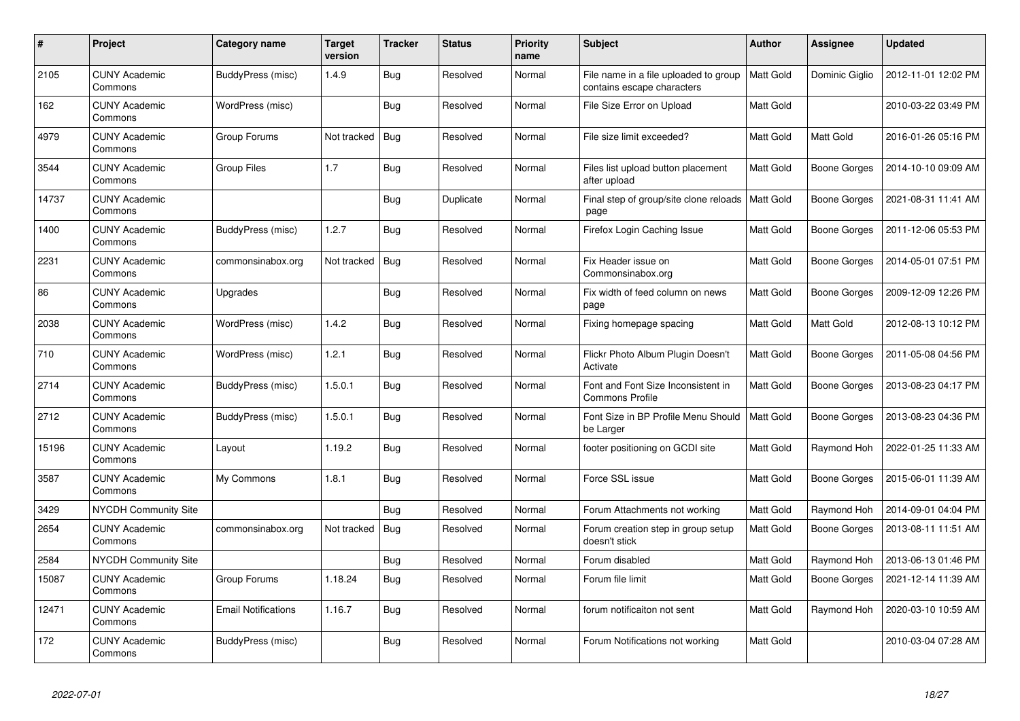| #     | Project                         | Category name              | <b>Target</b><br>version | <b>Tracker</b> | <b>Status</b> | <b>Priority</b><br>name | <b>Subject</b>                                                      | <b>Author</b>    | <b>Assignee</b>     | <b>Updated</b>      |
|-------|---------------------------------|----------------------------|--------------------------|----------------|---------------|-------------------------|---------------------------------------------------------------------|------------------|---------------------|---------------------|
| 2105  | <b>CUNY Academic</b><br>Commons | BuddyPress (misc)          | 1.4.9                    | <b>Bug</b>     | Resolved      | Normal                  | File name in a file uploaded to group<br>contains escape characters | <b>Matt Gold</b> | Dominic Giglio      | 2012-11-01 12:02 PM |
| 162   | <b>CUNY Academic</b><br>Commons | WordPress (misc)           |                          | <b>Bug</b>     | Resolved      | Normal                  | File Size Error on Upload                                           | Matt Gold        |                     | 2010-03-22 03:49 PM |
| 4979  | <b>CUNY Academic</b><br>Commons | Group Forums               | Not tracked              | Bug            | Resolved      | Normal                  | File size limit exceeded?                                           | <b>Matt Gold</b> | Matt Gold           | 2016-01-26 05:16 PM |
| 3544  | <b>CUNY Academic</b><br>Commons | Group Files                | 1.7                      | <b>Bug</b>     | Resolved      | Normal                  | Files list upload button placement<br>after upload                  | Matt Gold        | <b>Boone Gorges</b> | 2014-10-10 09:09 AM |
| 14737 | <b>CUNY Academic</b><br>Commons |                            |                          | <b>Bug</b>     | Duplicate     | Normal                  | Final step of group/site clone reloads   Matt Gold<br>page          |                  | Boone Gorges        | 2021-08-31 11:41 AM |
| 1400  | <b>CUNY Academic</b><br>Commons | <b>BuddyPress (misc)</b>   | 1.2.7                    | Bug            | Resolved      | Normal                  | Firefox Login Caching Issue                                         | Matt Gold        | <b>Boone Gorges</b> | 2011-12-06 05:53 PM |
| 2231  | <b>CUNY Academic</b><br>Commons | commonsinabox.org          | Not tracked              | Bug            | Resolved      | Normal                  | Fix Header issue on<br>Commonsinabox.org                            | Matt Gold        | Boone Gorges        | 2014-05-01 07:51 PM |
| 86    | <b>CUNY Academic</b><br>Commons | Upgrades                   |                          | <b>Bug</b>     | Resolved      | Normal                  | Fix width of feed column on news<br>page                            | <b>Matt Gold</b> | <b>Boone Gorges</b> | 2009-12-09 12:26 PM |
| 2038  | <b>CUNY Academic</b><br>Commons | WordPress (misc)           | 1.4.2                    | <b>Bug</b>     | Resolved      | Normal                  | Fixing homepage spacing                                             | Matt Gold        | Matt Gold           | 2012-08-13 10:12 PM |
| 710   | <b>CUNY Academic</b><br>Commons | WordPress (misc)           | 1.2.1                    | Bug            | Resolved      | Normal                  | Flickr Photo Album Plugin Doesn't<br>Activate                       | Matt Gold        | <b>Boone Gorges</b> | 2011-05-08 04:56 PM |
| 2714  | <b>CUNY Academic</b><br>Commons | BuddyPress (misc)          | 1.5.0.1                  | Bug            | Resolved      | Normal                  | Font and Font Size Inconsistent in<br><b>Commons Profile</b>        | Matt Gold        | Boone Gorges        | 2013-08-23 04:17 PM |
| 2712  | <b>CUNY Academic</b><br>Commons | <b>BuddyPress (misc)</b>   | 1.5.0.1                  | <b>Bug</b>     | Resolved      | Normal                  | Font Size in BP Profile Menu Should<br>be Larger                    | Matt Gold        | Boone Gorges        | 2013-08-23 04:36 PM |
| 15196 | <b>CUNY Academic</b><br>Commons | Layout                     | 1.19.2                   | <b>Bug</b>     | Resolved      | Normal                  | footer positioning on GCDI site                                     | Matt Gold        | Raymond Hoh         | 2022-01-25 11:33 AM |
| 3587  | <b>CUNY Academic</b><br>Commons | My Commons                 | 1.8.1                    | <b>Bug</b>     | Resolved      | Normal                  | Force SSL issue                                                     | Matt Gold        | Boone Gorges        | 2015-06-01 11:39 AM |
| 3429  | <b>NYCDH Community Site</b>     |                            |                          | Bug            | Resolved      | Normal                  | Forum Attachments not working                                       | Matt Gold        | Raymond Hoh         | 2014-09-01 04:04 PM |
| 2654  | <b>CUNY Academic</b><br>Commons | commonsinabox.org          | Not tracked              | Bug            | Resolved      | Normal                  | Forum creation step in group setup<br>doesn't stick                 | Matt Gold        | Boone Gorges        | 2013-08-11 11:51 AM |
| 2584  | <b>NYCDH Community Site</b>     |                            |                          | <b>Bug</b>     | Resolved      | Normal                  | Forum disabled                                                      | Matt Gold        | Raymond Hoh         | 2013-06-13 01:46 PM |
| 15087 | <b>CUNY Academic</b><br>Commons | Group Forums               | 1.18.24                  | Bug            | Resolved      | Normal                  | Forum file limit                                                    | Matt Gold        | Boone Gorges        | 2021-12-14 11:39 AM |
| 12471 | <b>CUNY Academic</b><br>Commons | <b>Email Notifications</b> | 1.16.7                   | <b>Bug</b>     | Resolved      | Normal                  | forum notificaiton not sent                                         | Matt Gold        | Raymond Hoh         | 2020-03-10 10:59 AM |
| 172   | <b>CUNY Academic</b><br>Commons | BuddyPress (misc)          |                          | <b>Bug</b>     | Resolved      | Normal                  | Forum Notifications not working                                     | Matt Gold        |                     | 2010-03-04 07:28 AM |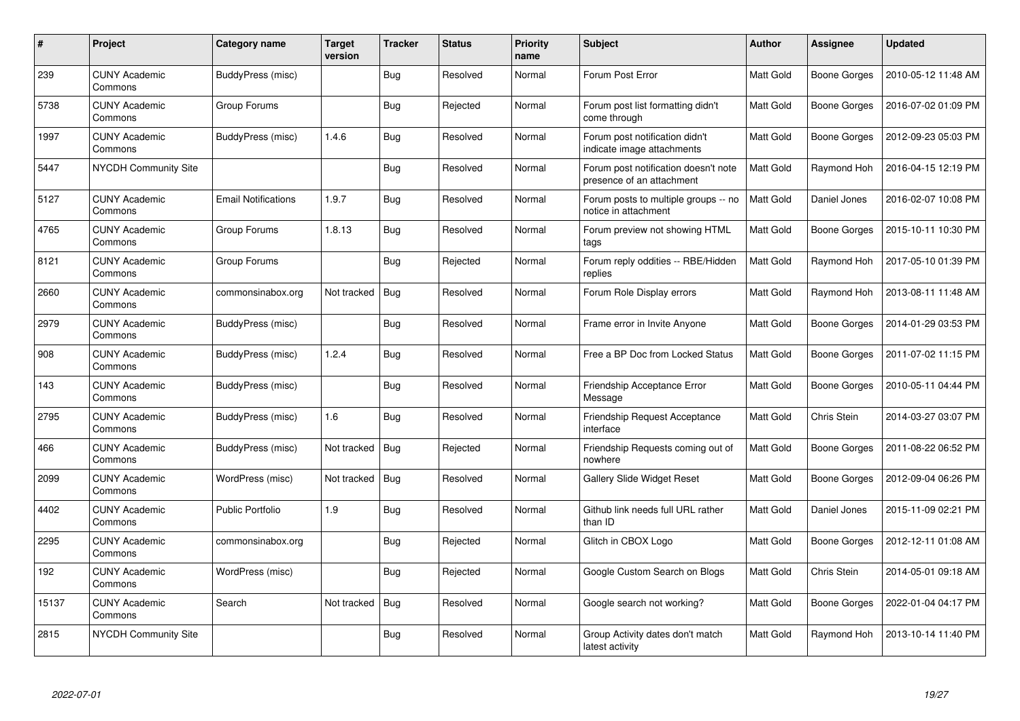| #     | Project                         | Category name              | Target<br>version | <b>Tracker</b> | <b>Status</b> | <b>Priority</b><br>name | Subject                                                           | <b>Author</b>    | Assignee            | <b>Updated</b>      |
|-------|---------------------------------|----------------------------|-------------------|----------------|---------------|-------------------------|-------------------------------------------------------------------|------------------|---------------------|---------------------|
| 239   | <b>CUNY Academic</b><br>Commons | BuddyPress (misc)          |                   | <b>Bug</b>     | Resolved      | Normal                  | Forum Post Error                                                  | <b>Matt Gold</b> | Boone Gorges        | 2010-05-12 11:48 AM |
| 5738  | <b>CUNY Academic</b><br>Commons | Group Forums               |                   | Bug            | Rejected      | Normal                  | Forum post list formatting didn't<br>come through                 | <b>Matt Gold</b> | <b>Boone Gorges</b> | 2016-07-02 01:09 PM |
| 1997  | <b>CUNY Academic</b><br>Commons | BuddyPress (misc)          | 1.4.6             | <b>Bug</b>     | Resolved      | Normal                  | Forum post notification didn't<br>indicate image attachments      | <b>Matt Gold</b> | <b>Boone Gorges</b> | 2012-09-23 05:03 PM |
| 5447  | <b>NYCDH Community Site</b>     |                            |                   | <b>Bug</b>     | Resolved      | Normal                  | Forum post notification doesn't note<br>presence of an attachment | Matt Gold        | Raymond Hoh         | 2016-04-15 12:19 PM |
| 5127  | <b>CUNY Academic</b><br>Commons | <b>Email Notifications</b> | 1.9.7             | <b>Bug</b>     | Resolved      | Normal                  | Forum posts to multiple groups -- no<br>notice in attachment      | <b>Matt Gold</b> | Daniel Jones        | 2016-02-07 10:08 PM |
| 4765  | <b>CUNY Academic</b><br>Commons | Group Forums               | 1.8.13            | Bug            | Resolved      | Normal                  | Forum preview not showing HTML<br>tags                            | Matt Gold        | Boone Gorges        | 2015-10-11 10:30 PM |
| 8121  | <b>CUNY Academic</b><br>Commons | Group Forums               |                   | <b>Bug</b>     | Rejected      | Normal                  | Forum reply oddities -- RBE/Hidden<br>replies                     | Matt Gold        | Raymond Hoh         | 2017-05-10 01:39 PM |
| 2660  | <b>CUNY Academic</b><br>Commons | commonsinabox.org          | Not tracked       | <b>Bug</b>     | Resolved      | Normal                  | Forum Role Display errors                                         | Matt Gold        | Raymond Hoh         | 2013-08-11 11:48 AM |
| 2979  | <b>CUNY Academic</b><br>Commons | BuddyPress (misc)          |                   | Bug            | Resolved      | Normal                  | Frame error in Invite Anyone                                      | <b>Matt Gold</b> | Boone Gorges        | 2014-01-29 03:53 PM |
| 908   | <b>CUNY Academic</b><br>Commons | BuddyPress (misc)          | 1.2.4             | <b>Bug</b>     | Resolved      | Normal                  | Free a BP Doc from Locked Status                                  | Matt Gold        | <b>Boone Gorges</b> | 2011-07-02 11:15 PM |
| 143   | <b>CUNY Academic</b><br>Commons | BuddyPress (misc)          |                   | <b>Bug</b>     | Resolved      | Normal                  | Friendship Acceptance Error<br>Message                            | Matt Gold        | <b>Boone Gorges</b> | 2010-05-11 04:44 PM |
| 2795  | <b>CUNY Academic</b><br>Commons | BuddyPress (misc)          | 1.6               | Bug            | Resolved      | Normal                  | Friendship Request Acceptance<br>interface                        | Matt Gold        | Chris Stein         | 2014-03-27 03:07 PM |
| 466   | <b>CUNY Academic</b><br>Commons | BuddyPress (misc)          | Not tracked       | Bug            | Rejected      | Normal                  | Friendship Requests coming out of<br>nowhere                      | Matt Gold        | <b>Boone Gorges</b> | 2011-08-22 06:52 PM |
| 2099  | <b>CUNY Academic</b><br>Commons | WordPress (misc)           | Not tracked       | Bug            | Resolved      | Normal                  | <b>Gallery Slide Widget Reset</b>                                 | Matt Gold        | <b>Boone Gorges</b> | 2012-09-04 06:26 PM |
| 4402  | <b>CUNY Academic</b><br>Commons | <b>Public Portfolio</b>    | 1.9               | Bug            | Resolved      | Normal                  | Github link needs full URL rather<br>than ID                      | Matt Gold        | Daniel Jones        | 2015-11-09 02:21 PM |
| 2295  | <b>CUNY Academic</b><br>Commons | commonsinabox.org          |                   | Bug            | Rejected      | Normal                  | Glitch in CBOX Logo                                               | Matt Gold        | Boone Gorges        | 2012-12-11 01:08 AM |
| 192   | <b>CUNY Academic</b><br>Commons | WordPress (misc)           |                   | Bug            | Rejected      | Normal                  | Google Custom Search on Blogs                                     | <b>Matt Gold</b> | Chris Stein         | 2014-05-01 09:18 AM |
| 15137 | <b>CUNY Academic</b><br>Commons | Search                     | Not tracked       | <b>Bug</b>     | Resolved      | Normal                  | Google search not working?                                        | Matt Gold        | Boone Gorges        | 2022-01-04 04:17 PM |
| 2815  | <b>NYCDH Community Site</b>     |                            |                   | <b>Bug</b>     | Resolved      | Normal                  | Group Activity dates don't match<br>latest activity               | Matt Gold        | Raymond Hoh         | 2013-10-14 11:40 PM |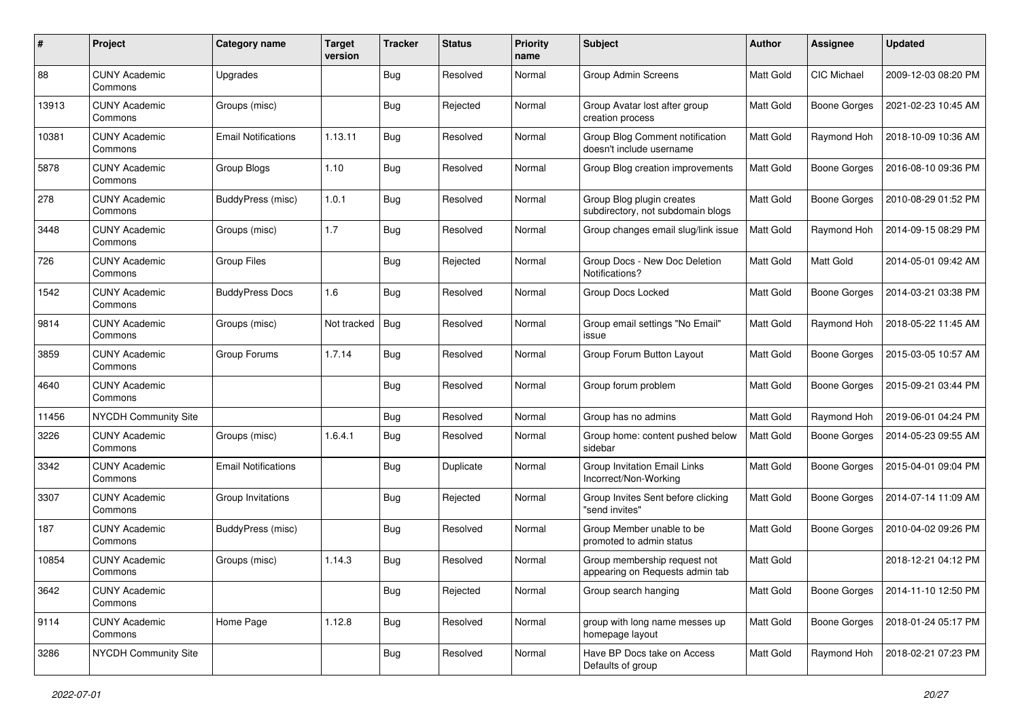| #     | Project                         | Category name              | <b>Target</b><br>version | <b>Tracker</b> | <b>Status</b> | <b>Priority</b><br>name | Subject                                                         | Author           | Assignee            | <b>Updated</b>      |
|-------|---------------------------------|----------------------------|--------------------------|----------------|---------------|-------------------------|-----------------------------------------------------------------|------------------|---------------------|---------------------|
| 88    | <b>CUNY Academic</b><br>Commons | Upgrades                   |                          | Bug            | Resolved      | Normal                  | <b>Group Admin Screens</b>                                      | <b>Matt Gold</b> | CIC Michael         | 2009-12-03 08:20 PM |
| 13913 | <b>CUNY Academic</b><br>Commons | Groups (misc)              |                          | Bug            | Rejected      | Normal                  | Group Avatar lost after group<br>creation process               | Matt Gold        | <b>Boone Gorges</b> | 2021-02-23 10:45 AM |
| 10381 | <b>CUNY Academic</b><br>Commons | Email Notifications        | 1.13.11                  | <b>Bug</b>     | Resolved      | Normal                  | Group Blog Comment notification<br>doesn't include username     | Matt Gold        | Raymond Hoh         | 2018-10-09 10:36 AM |
| 5878  | <b>CUNY Academic</b><br>Commons | Group Blogs                | 1.10                     | Bug            | Resolved      | Normal                  | Group Blog creation improvements                                | Matt Gold        | <b>Boone Gorges</b> | 2016-08-10 09:36 PM |
| 278   | <b>CUNY Academic</b><br>Commons | <b>BuddyPress (misc)</b>   | 1.0.1                    | <b>Bug</b>     | Resolved      | Normal                  | Group Blog plugin creates<br>subdirectory, not subdomain blogs  | Matt Gold        | <b>Boone Gorges</b> | 2010-08-29 01:52 PM |
| 3448  | <b>CUNY Academic</b><br>Commons | Groups (misc)              | 1.7                      | Bug            | Resolved      | Normal                  | Group changes email slug/link issue                             | Matt Gold        | Raymond Hoh         | 2014-09-15 08:29 PM |
| 726   | <b>CUNY Academic</b><br>Commons | <b>Group Files</b>         |                          | Bug            | Rejected      | Normal                  | Group Docs - New Doc Deletion<br>Notifications?                 | Matt Gold        | Matt Gold           | 2014-05-01 09:42 AM |
| 1542  | <b>CUNY Academic</b><br>Commons | <b>BuddyPress Docs</b>     | 1.6                      | <b>Bug</b>     | Resolved      | Normal                  | Group Docs Locked                                               | Matt Gold        | <b>Boone Gorges</b> | 2014-03-21 03:38 PM |
| 9814  | <b>CUNY Academic</b><br>Commons | Groups (misc)              | Not tracked              | Bug            | Resolved      | Normal                  | Group email settings "No Email"<br>issue                        | Matt Gold        | Raymond Hoh         | 2018-05-22 11:45 AM |
| 3859  | <b>CUNY Academic</b><br>Commons | Group Forums               | 1.7.14                   | Bug            | Resolved      | Normal                  | Group Forum Button Layout                                       | Matt Gold        | <b>Boone Gorges</b> | 2015-03-05 10:57 AM |
| 4640  | <b>CUNY Academic</b><br>Commons |                            |                          | Bug            | Resolved      | Normal                  | Group forum problem                                             | Matt Gold        | <b>Boone Gorges</b> | 2015-09-21 03:44 PM |
| 11456 | <b>NYCDH Community Site</b>     |                            |                          | <b>Bug</b>     | Resolved      | Normal                  | Group has no admins                                             | Matt Gold        | Raymond Hoh         | 2019-06-01 04:24 PM |
| 3226  | <b>CUNY Academic</b><br>Commons | Groups (misc)              | 1.6.4.1                  | <b>Bug</b>     | Resolved      | Normal                  | Group home: content pushed below<br>sidebar                     | Matt Gold        | <b>Boone Gorges</b> | 2014-05-23 09:55 AM |
| 3342  | <b>CUNY Academic</b><br>Commons | <b>Email Notifications</b> |                          | Bug            | Duplicate     | Normal                  | Group Invitation Email Links<br>Incorrect/Non-Working           | Matt Gold        | <b>Boone Gorges</b> | 2015-04-01 09:04 PM |
| 3307  | <b>CUNY Academic</b><br>Commons | Group Invitations          |                          | Bug            | Rejected      | Normal                  | Group Invites Sent before clicking<br>"send invites"            | Matt Gold        | <b>Boone Gorges</b> | 2014-07-14 11:09 AM |
| 187   | <b>CUNY Academic</b><br>Commons | <b>BuddyPress (misc)</b>   |                          | <b>Bug</b>     | Resolved      | Normal                  | Group Member unable to be<br>promoted to admin status           | Matt Gold        | <b>Boone Gorges</b> | 2010-04-02 09:26 PM |
| 10854 | <b>CUNY Academic</b><br>Commons | Groups (misc)              | 1.14.3                   | <b>Bug</b>     | Resolved      | Normal                  | Group membership request not<br>appearing on Requests admin tab | <b>Matt Gold</b> |                     | 2018-12-21 04:12 PM |
| 3642  | <b>CUNY Academic</b><br>Commons |                            |                          | <b>Bug</b>     | Rejected      | Normal                  | Group search hanging                                            | Matt Gold        | <b>Boone Gorges</b> | 2014-11-10 12:50 PM |
| 9114  | <b>CUNY Academic</b><br>Commons | Home Page                  | 1.12.8                   | <b>Bug</b>     | Resolved      | Normal                  | group with long name messes up<br>homepage layout               | Matt Gold        | <b>Boone Gorges</b> | 2018-01-24 05:17 PM |
| 3286  | NYCDH Community Site            |                            |                          | <b>Bug</b>     | Resolved      | Normal                  | Have BP Docs take on Access<br>Defaults of group                | Matt Gold        | Raymond Hoh         | 2018-02-21 07:23 PM |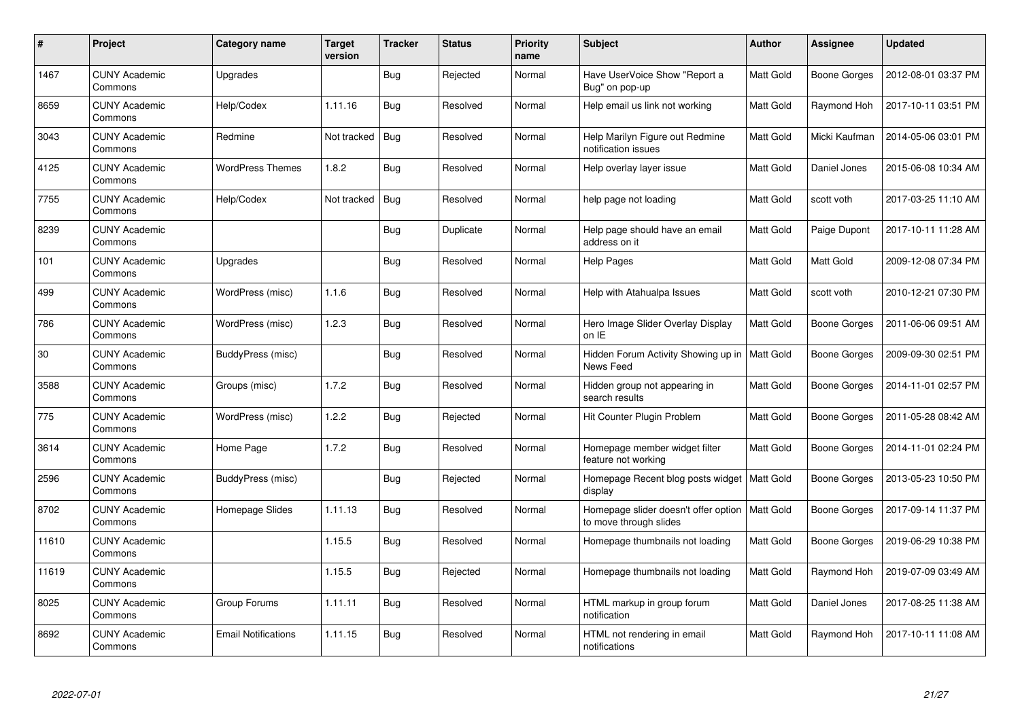| $\#$  | <b>Project</b>                  | Category name            | Target<br>version | <b>Tracker</b> | <b>Status</b> | <b>Priority</b><br>name | <b>Subject</b>                                                             | <b>Author</b>    | Assignee            | <b>Updated</b>      |
|-------|---------------------------------|--------------------------|-------------------|----------------|---------------|-------------------------|----------------------------------------------------------------------------|------------------|---------------------|---------------------|
| 1467  | <b>CUNY Academic</b><br>Commons | Upgrades                 |                   | <b>Bug</b>     | Rejected      | Normal                  | Have UserVoice Show "Report a<br>Bug" on pop-up                            | Matt Gold        | Boone Gorges        | 2012-08-01 03:37 PM |
| 8659  | <b>CUNY Academic</b><br>Commons | Help/Codex               | 1.11.16           | <b>Bug</b>     | Resolved      | Normal                  | Help email us link not working                                             | <b>Matt Gold</b> | Raymond Hoh         | 2017-10-11 03:51 PM |
| 3043  | <b>CUNY Academic</b><br>Commons | Redmine                  | Not tracked       | <b>Bug</b>     | Resolved      | Normal                  | Help Marilyn Figure out Redmine<br>notification issues                     | <b>Matt Gold</b> | Micki Kaufman       | 2014-05-06 03:01 PM |
| 4125  | <b>CUNY Academic</b><br>Commons | <b>WordPress Themes</b>  | 1.8.2             | <b>Bug</b>     | Resolved      | Normal                  | Help overlay layer issue                                                   | Matt Gold        | Daniel Jones        | 2015-06-08 10:34 AM |
| 7755  | <b>CUNY Academic</b><br>Commons | Help/Codex               | Not tracked       | Bug            | Resolved      | Normal                  | help page not loading                                                      | Matt Gold        | scott voth          | 2017-03-25 11:10 AM |
| 8239  | <b>CUNY Academic</b><br>Commons |                          |                   | <b>Bug</b>     | Duplicate     | Normal                  | Help page should have an email<br>address on it                            | Matt Gold        | Paige Dupont        | 2017-10-11 11:28 AM |
| 101   | <b>CUNY Academic</b><br>Commons | Upgrades                 |                   | Bug            | Resolved      | Normal                  | <b>Help Pages</b>                                                          | Matt Gold        | Matt Gold           | 2009-12-08 07:34 PM |
| 499   | <b>CUNY Academic</b><br>Commons | WordPress (misc)         | 1.1.6             | <b>Bug</b>     | Resolved      | Normal                  | Help with Atahualpa Issues                                                 | Matt Gold        | scott voth          | 2010-12-21 07:30 PM |
| 786   | <b>CUNY Academic</b><br>Commons | WordPress (misc)         | 1.2.3             | <b>Bug</b>     | Resolved      | Normal                  | Hero Image Slider Overlay Display<br>on IE                                 | Matt Gold        | Boone Gorges        | 2011-06-06 09:51 AM |
| 30    | <b>CUNY Academic</b><br>Commons | BuddyPress (misc)        |                   | Bug            | Resolved      | Normal                  | Hidden Forum Activity Showing up in<br>News Feed                           | Matt Gold        | <b>Boone Gorges</b> | 2009-09-30 02:51 PM |
| 3588  | <b>CUNY Academic</b><br>Commons | Groups (misc)            | 1.7.2             | Bug            | Resolved      | Normal                  | Hidden group not appearing in<br>search results                            | Matt Gold        | <b>Boone Gorges</b> | 2014-11-01 02:57 PM |
| 775   | <b>CUNY Academic</b><br>Commons | WordPress (misc)         | 1.2.2             | <b>Bug</b>     | Rejected      | Normal                  | Hit Counter Plugin Problem                                                 | Matt Gold        | Boone Gorges        | 2011-05-28 08:42 AM |
| 3614  | <b>CUNY Academic</b><br>Commons | Home Page                | 1.7.2             | <b>Bug</b>     | Resolved      | Normal                  | Homepage member widget filter<br>feature not working                       | Matt Gold        | Boone Gorges        | 2014-11-01 02:24 PM |
| 2596  | <b>CUNY Academic</b><br>Commons | <b>BuddyPress (misc)</b> |                   | <b>Bug</b>     | Rejected      | Normal                  | Homepage Recent blog posts widget<br>display                               | Matt Gold        | Boone Gorges        | 2013-05-23 10:50 PM |
| 8702  | <b>CUNY Academic</b><br>Commons | Homepage Slides          | 1.11.13           | Bug            | Resolved      | Normal                  | Homepage slider doesn't offer option   Matt Gold<br>to move through slides |                  | Boone Gorges        | 2017-09-14 11:37 PM |
| 11610 | <b>CUNY Academic</b><br>Commons |                          | 1.15.5            | <b>Bug</b>     | Resolved      | Normal                  | Homepage thumbnails not loading                                            | Matt Gold        | Boone Gorges        | 2019-06-29 10:38 PM |
| 11619 | <b>CUNY Academic</b><br>Commons |                          | 1.15.5            | <b>Bug</b>     | Rejected      | Normal                  | Homepage thumbnails not loading                                            | Matt Gold        | Raymond Hoh         | 2019-07-09 03:49 AM |
| 8025  | <b>CUNY Academic</b><br>Commons | Group Forums             | 1.11.11           | Bug            | Resolved      | Normal                  | HTML markup in group forum<br>notification                                 | Matt Gold        | Daniel Jones        | 2017-08-25 11:38 AM |
| 8692  | <b>CUNY Academic</b><br>Commons | Email Notifications      | 1.11.15           | Bug            | Resolved      | Normal                  | HTML not rendering in email<br>notifications                               | <b>Matt Gold</b> | Raymond Hoh         | 2017-10-11 11:08 AM |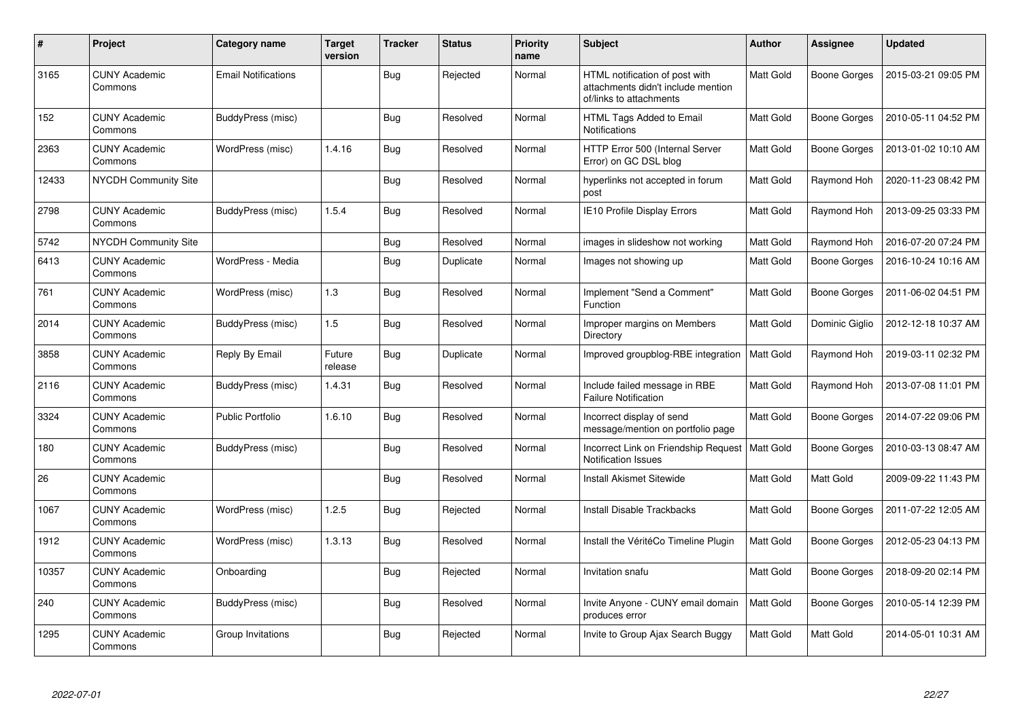| $\pmb{\#}$ | Project                         | Category name              | <b>Target</b><br>version | <b>Tracker</b> | <b>Status</b> | <b>Priority</b><br>name | <b>Subject</b>                                                                                  | <b>Author</b>    | Assignee            | <b>Updated</b>      |
|------------|---------------------------------|----------------------------|--------------------------|----------------|---------------|-------------------------|-------------------------------------------------------------------------------------------------|------------------|---------------------|---------------------|
| 3165       | <b>CUNY Academic</b><br>Commons | <b>Email Notifications</b> |                          | <b>Bug</b>     | Rejected      | Normal                  | HTML notification of post with<br>attachments didn't include mention<br>of/links to attachments | Matt Gold        | <b>Boone Gorges</b> | 2015-03-21 09:05 PM |
| 152        | <b>CUNY Academic</b><br>Commons | BuddyPress (misc)          |                          | Bug            | Resolved      | Normal                  | HTML Tags Added to Email<br><b>Notifications</b>                                                | Matt Gold        | Boone Gorges        | 2010-05-11 04:52 PM |
| 2363       | <b>CUNY Academic</b><br>Commons | WordPress (misc)           | 1.4.16                   | <b>Bug</b>     | Resolved      | Normal                  | HTTP Error 500 (Internal Server<br>Error) on GC DSL blog                                        | Matt Gold        | <b>Boone Gorges</b> | 2013-01-02 10:10 AM |
| 12433      | <b>NYCDH Community Site</b>     |                            |                          | Bug            | Resolved      | Normal                  | hyperlinks not accepted in forum<br>post                                                        | Matt Gold        | Raymond Hoh         | 2020-11-23 08:42 PM |
| 2798       | <b>CUNY Academic</b><br>Commons | BuddyPress (misc)          | 1.5.4                    | Bug            | Resolved      | Normal                  | <b>IE10 Profile Display Errors</b>                                                              | Matt Gold        | Raymond Hoh         | 2013-09-25 03:33 PM |
| 5742       | NYCDH Community Site            |                            |                          | Bug            | Resolved      | Normal                  | images in slideshow not working                                                                 | Matt Gold        | Raymond Hoh         | 2016-07-20 07:24 PM |
| 6413       | <b>CUNY Academic</b><br>Commons | WordPress - Media          |                          | Bug            | Duplicate     | Normal                  | Images not showing up                                                                           | Matt Gold        | <b>Boone Gorges</b> | 2016-10-24 10:16 AM |
| 761        | <b>CUNY Academic</b><br>Commons | WordPress (misc)           | 1.3                      | Bug            | Resolved      | Normal                  | Implement "Send a Comment"<br><b>Function</b>                                                   | Matt Gold        | <b>Boone Gorges</b> | 2011-06-02 04:51 PM |
| 2014       | <b>CUNY Academic</b><br>Commons | BuddyPress (misc)          | 1.5                      | Bug            | Resolved      | Normal                  | Improper margins on Members<br>Directory                                                        | Matt Gold        | Dominic Giglio      | 2012-12-18 10:37 AM |
| 3858       | <b>CUNY Academic</b><br>Commons | Reply By Email             | Future<br>release        | <b>Bug</b>     | Duplicate     | Normal                  | Improved groupblog-RBE integration                                                              | <b>Matt Gold</b> | Raymond Hoh         | 2019-03-11 02:32 PM |
| 2116       | <b>CUNY Academic</b><br>Commons | BuddyPress (misc)          | 1.4.31                   | Bug            | Resolved      | Normal                  | Include failed message in RBE<br><b>Failure Notification</b>                                    | Matt Gold        | Raymond Hoh         | 2013-07-08 11:01 PM |
| 3324       | <b>CUNY Academic</b><br>Commons | <b>Public Portfolio</b>    | 1.6.10                   | <b>Bug</b>     | Resolved      | Normal                  | Incorrect display of send<br>message/mention on portfolio page                                  | Matt Gold        | <b>Boone Gorges</b> | 2014-07-22 09:06 PM |
| 180        | <b>CUNY Academic</b><br>Commons | BuddyPress (misc)          |                          | <b>Bug</b>     | Resolved      | Normal                  | Incorrect Link on Friendship Request   Matt Gold<br><b>Notification Issues</b>                  |                  | <b>Boone Gorges</b> | 2010-03-13 08:47 AM |
| 26         | <b>CUNY Academic</b><br>Commons |                            |                          | <b>Bug</b>     | Resolved      | Normal                  | Install Akismet Sitewide                                                                        | Matt Gold        | Matt Gold           | 2009-09-22 11:43 PM |
| 1067       | <b>CUNY Academic</b><br>Commons | WordPress (misc)           | 1.2.5                    | Bug            | Rejected      | Normal                  | <b>Install Disable Trackbacks</b>                                                               | Matt Gold        | Boone Gorges        | 2011-07-22 12:05 AM |
| 1912       | <b>CUNY Academic</b><br>Commons | WordPress (misc)           | 1.3.13                   | <b>Bug</b>     | Resolved      | Normal                  | Install the VéritéCo Timeline Plugin                                                            | Matt Gold        | <b>Boone Gorges</b> | 2012-05-23 04:13 PM |
| 10357      | <b>CUNY Academic</b><br>Commons | Onboarding                 |                          | <b>Bug</b>     | Rejected      | Normal                  | Invitation snafu                                                                                | Matt Gold        | <b>Boone Gorges</b> | 2018-09-20 02:14 PM |
| 240        | <b>CUNY Academic</b><br>Commons | BuddyPress (misc)          |                          | <b>Bug</b>     | Resolved      | Normal                  | Invite Anyone - CUNY email domain<br>produces error                                             | Matt Gold        | <b>Boone Gorges</b> | 2010-05-14 12:39 PM |
| 1295       | CUNY Academic<br>Commons        | Group Invitations          |                          | Bug            | Rejected      | Normal                  | Invite to Group Ajax Search Buggy                                                               | Matt Gold        | Matt Gold           | 2014-05-01 10:31 AM |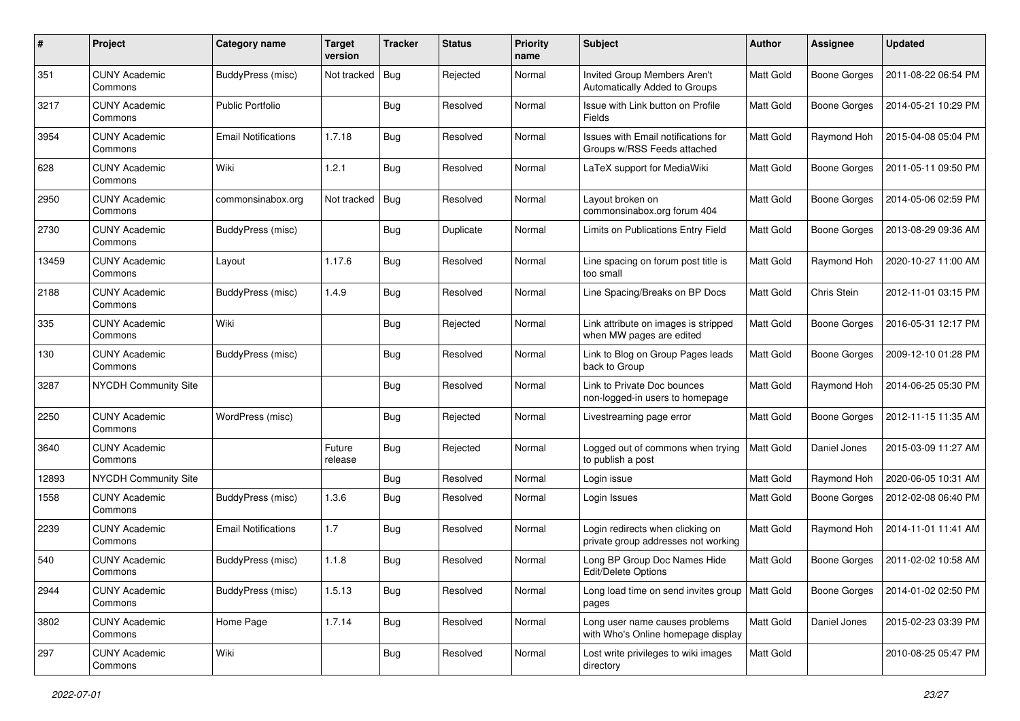| $\#$  | Project                         | Category name            | <b>Target</b><br>version | <b>Tracker</b> | <b>Status</b> | <b>Priority</b><br>name | Subject                                                                 | Author           | Assignee            | <b>Updated</b>      |
|-------|---------------------------------|--------------------------|--------------------------|----------------|---------------|-------------------------|-------------------------------------------------------------------------|------------------|---------------------|---------------------|
| 351   | <b>CUNY Academic</b><br>Commons | <b>BuddyPress (misc)</b> | Not tracked              | Bug            | Rejected      | Normal                  | Invited Group Members Aren't<br>Automatically Added to Groups           | Matt Gold        | <b>Boone Gorges</b> | 2011-08-22 06:54 PM |
| 3217  | <b>CUNY Academic</b><br>Commons | <b>Public Portfolio</b>  |                          | <b>Bug</b>     | Resolved      | Normal                  | Issue with Link button on Profile<br>Fields                             | <b>Matt Gold</b> | <b>Boone Gorges</b> | 2014-05-21 10:29 PM |
| 3954  | <b>CUNY Academic</b><br>Commons | Email Notifications      | 1.7.18                   | Bug            | Resolved      | Normal                  | Issues with Email notifications for<br>Groups w/RSS Feeds attached      | <b>Matt Gold</b> | Raymond Hoh         | 2015-04-08 05:04 PM |
| 628   | <b>CUNY Academic</b><br>Commons | Wiki                     | 1.2.1                    | <b>Bug</b>     | Resolved      | Normal                  | LaTeX support for MediaWiki                                             | Matt Gold        | <b>Boone Gorges</b> | 2011-05-11 09:50 PM |
| 2950  | <b>CUNY Academic</b><br>Commons | commonsinabox.org        | Not tracked              | Bug            | Resolved      | Normal                  | Layout broken on<br>commonsinabox.org forum 404                         | Matt Gold        | <b>Boone Gorges</b> | 2014-05-06 02:59 PM |
| 2730  | <b>CUNY Academic</b><br>Commons | BuddyPress (misc)        |                          | Bug            | Duplicate     | Normal                  | Limits on Publications Entry Field                                      | Matt Gold        | <b>Boone Gorges</b> | 2013-08-29 09:36 AM |
| 13459 | <b>CUNY Academic</b><br>Commons | Layout                   | 1.17.6                   | <b>Bug</b>     | Resolved      | Normal                  | Line spacing on forum post title is<br>too small                        | Matt Gold        | Raymond Hoh         | 2020-10-27 11:00 AM |
| 2188  | <b>CUNY Academic</b><br>Commons | <b>BuddyPress (misc)</b> | 1.4.9                    | Bug            | Resolved      | Normal                  | Line Spacing/Breaks on BP Docs                                          | <b>Matt Gold</b> | Chris Stein         | 2012-11-01 03:15 PM |
| 335   | <b>CUNY Academic</b><br>Commons | Wiki                     |                          | <b>Bug</b>     | Rejected      | Normal                  | Link attribute on images is stripped<br>when MW pages are edited        | Matt Gold        | <b>Boone Gorges</b> | 2016-05-31 12:17 PM |
| 130   | <b>CUNY Academic</b><br>Commons | BuddyPress (misc)        |                          | Bug            | Resolved      | Normal                  | Link to Blog on Group Pages leads<br>back to Group                      | Matt Gold        | <b>Boone Gorges</b> | 2009-12-10 01:28 PM |
| 3287  | <b>NYCDH Community Site</b>     |                          |                          | <b>Bug</b>     | Resolved      | Normal                  | Link to Private Doc bounces<br>non-logged-in users to homepage          | Matt Gold        | Raymond Hoh         | 2014-06-25 05:30 PM |
| 2250  | <b>CUNY Academic</b><br>Commons | WordPress (misc)         |                          | Bug            | Rejected      | Normal                  | Livestreaming page error                                                | Matt Gold        | <b>Boone Gorges</b> | 2012-11-15 11:35 AM |
| 3640  | <b>CUNY Academic</b><br>Commons |                          | Future<br>release        | Bug            | Rejected      | Normal                  | Logged out of commons when trying<br>to publish a post                  | Matt Gold        | Daniel Jones        | 2015-03-09 11:27 AM |
| 12893 | <b>NYCDH Community Site</b>     |                          |                          | Bug            | Resolved      | Normal                  | Login issue                                                             | Matt Gold        | Raymond Hoh         | 2020-06-05 10:31 AM |
| 1558  | <b>CUNY Academic</b><br>Commons | BuddyPress (misc)        | 1.3.6                    | Bug            | Resolved      | Normal                  | Login Issues                                                            | Matt Gold        | <b>Boone Gorges</b> | 2012-02-08 06:40 PM |
| 2239  | <b>CUNY Academic</b><br>Commons | Email Notifications      | 1.7                      | Bug            | Resolved      | Normal                  | Login redirects when clicking on<br>private group addresses not working | Matt Gold        | Raymond Hoh         | 2014-11-01 11:41 AM |
| 540   | <b>CUNY Academic</b><br>Commons | BuddyPress (misc)        | 1.1.8                    | <b>Bug</b>     | Resolved      | Normal                  | Long BP Group Doc Names Hide<br>Edit/Delete Options                     | Matt Gold        | <b>Boone Gorges</b> | 2011-02-02 10:58 AM |
| 2944  | <b>CUNY Academic</b><br>Commons | <b>BuddyPress (misc)</b> | 1.5.13                   | <b>Bug</b>     | Resolved      | Normal                  | Long load time on send invites group   Matt Gold<br>pages               |                  | <b>Boone Gorges</b> | 2014-01-02 02:50 PM |
| 3802  | <b>CUNY Academic</b><br>Commons | Home Page                | 1.7.14                   | <b>Bug</b>     | Resolved      | Normal                  | Long user name causes problems<br>with Who's Online homepage display    | Matt Gold        | Daniel Jones        | 2015-02-23 03:39 PM |
| 297   | <b>CUNY Academic</b><br>Commons | Wiki                     |                          | <b>Bug</b>     | Resolved      | Normal                  | Lost write privileges to wiki images<br>directory                       | <b>Matt Gold</b> |                     | 2010-08-25 05:47 PM |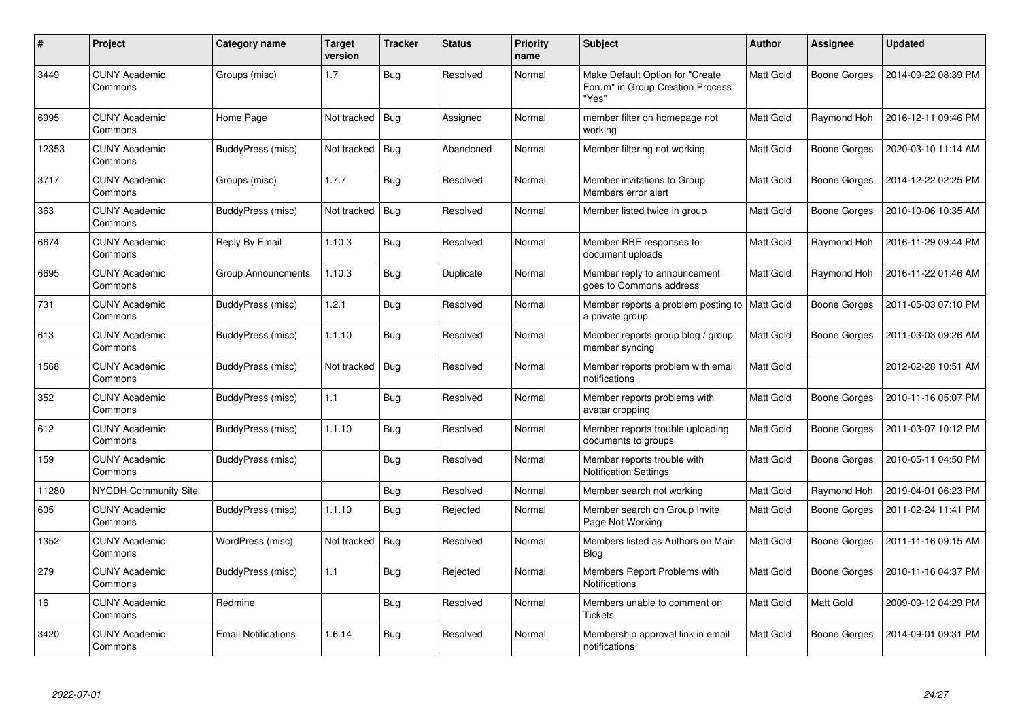| #     | Project                         | Category name              | <b>Target</b><br>version | <b>Tracker</b> | <b>Status</b> | <b>Priority</b><br>name | <b>Subject</b>                                                               | Author           | Assignee            | <b>Updated</b>      |
|-------|---------------------------------|----------------------------|--------------------------|----------------|---------------|-------------------------|------------------------------------------------------------------------------|------------------|---------------------|---------------------|
| 3449  | <b>CUNY Academic</b><br>Commons | Groups (misc)              | 1.7                      | <b>Bug</b>     | Resolved      | Normal                  | Make Default Option for "Create<br>Forum" in Group Creation Process<br>"Yes" | Matt Gold        | <b>Boone Gorges</b> | 2014-09-22 08:39 PM |
| 6995  | <b>CUNY Academic</b><br>Commons | Home Page                  | Not tracked              | Bug            | Assigned      | Normal                  | member filter on homepage not<br>working                                     | Matt Gold        | Raymond Hoh         | 2016-12-11 09:46 PM |
| 12353 | <b>CUNY Academic</b><br>Commons | BuddyPress (misc)          | Not tracked              | <b>Bug</b>     | Abandoned     | Normal                  | Member filtering not working                                                 | Matt Gold        | <b>Boone Gorges</b> | 2020-03-10 11:14 AM |
| 3717  | <b>CUNY Academic</b><br>Commons | Groups (misc)              | 1.7.7                    | <b>Bug</b>     | Resolved      | Normal                  | Member invitations to Group<br>Members error alert                           | Matt Gold        | <b>Boone Gorges</b> | 2014-12-22 02:25 PM |
| 363   | <b>CUNY Academic</b><br>Commons | BuddyPress (misc)          | Not tracked              | <b>Bug</b>     | Resolved      | Normal                  | Member listed twice in group                                                 | Matt Gold        | <b>Boone Gorges</b> | 2010-10-06 10:35 AM |
| 6674  | <b>CUNY Academic</b><br>Commons | Reply By Email             | 1.10.3                   | Bug            | Resolved      | Normal                  | Member RBE responses to<br>document uploads                                  | Matt Gold        | Raymond Hoh         | 2016-11-29 09:44 PM |
| 6695  | <b>CUNY Academic</b><br>Commons | Group Announcments         | 1.10.3                   | <b>Bug</b>     | Duplicate     | Normal                  | Member reply to announcement<br>goes to Commons address                      | Matt Gold        | Raymond Hoh         | 2016-11-22 01:46 AM |
| 731   | <b>CUNY Academic</b><br>Commons | BuddyPress (misc)          | 1.2.1                    | Bug            | Resolved      | Normal                  | Member reports a problem posting to<br>a private group                       | <b>Matt Gold</b> | Boone Gorges        | 2011-05-03 07:10 PM |
| 613   | <b>CUNY Academic</b><br>Commons | BuddyPress (misc)          | 1.1.10                   | Bug            | Resolved      | Normal                  | Member reports group blog / group<br>member syncing                          | Matt Gold        | Boone Gorges        | 2011-03-03 09:26 AM |
| 1568  | <b>CUNY Academic</b><br>Commons | BuddyPress (misc)          | Not tracked              | <b>Bug</b>     | Resolved      | Normal                  | Member reports problem with email<br>notifications                           | Matt Gold        |                     | 2012-02-28 10:51 AM |
| 352   | <b>CUNY Academic</b><br>Commons | BuddyPress (misc)          | 1.1                      | Bug            | Resolved      | Normal                  | Member reports problems with<br>avatar cropping                              | Matt Gold        | <b>Boone Gorges</b> | 2010-11-16 05:07 PM |
| 612   | <b>CUNY Academic</b><br>Commons | BuddyPress (misc)          | 1.1.10                   | <b>Bug</b>     | Resolved      | Normal                  | Member reports trouble uploading<br>documents to groups                      | Matt Gold        | <b>Boone Gorges</b> | 2011-03-07 10:12 PM |
| 159   | <b>CUNY Academic</b><br>Commons | BuddyPress (misc)          |                          | Bug            | Resolved      | Normal                  | Member reports trouble with<br><b>Notification Settings</b>                  | Matt Gold        | <b>Boone Gorges</b> | 2010-05-11 04:50 PM |
| 11280 | <b>NYCDH Community Site</b>     |                            |                          | Bug            | Resolved      | Normal                  | Member search not working                                                    | Matt Gold        | Raymond Hoh         | 2019-04-01 06:23 PM |
| 605   | <b>CUNY Academic</b><br>Commons | BuddyPress (misc)          | 1.1.10                   | <b>Bug</b>     | Rejected      | Normal                  | Member search on Group Invite<br>Page Not Working                            | Matt Gold        | <b>Boone Gorges</b> | 2011-02-24 11:41 PM |
| 1352  | <b>CUNY Academic</b><br>Commons | WordPress (misc)           | Not tracked              | Bug            | Resolved      | Normal                  | Members listed as Authors on Main<br><b>Blog</b>                             | Matt Gold        | <b>Boone Gorges</b> | 2011-11-16 09:15 AM |
| 279   | <b>CUNY Academic</b><br>Commons | BuddyPress (misc)          | 1.1                      | Bug            | Rejected      | Normal                  | Members Report Problems with<br>Notifications                                | Matt Gold        | Boone Gorges        | 2010-11-16 04:37 PM |
| 16    | <b>CUNY Academic</b><br>Commons | Redmine                    |                          | <b>Bug</b>     | Resolved      | Normal                  | Members unable to comment on<br><b>Tickets</b>                               | Matt Gold        | Matt Gold           | 2009-09-12 04:29 PM |
| 3420  | CUNY Academic<br>Commons        | <b>Email Notifications</b> | 1.6.14                   | <b>Bug</b>     | Resolved      | Normal                  | Membership approval link in email<br>notifications                           | Matt Gold        | Boone Gorges        | 2014-09-01 09:31 PM |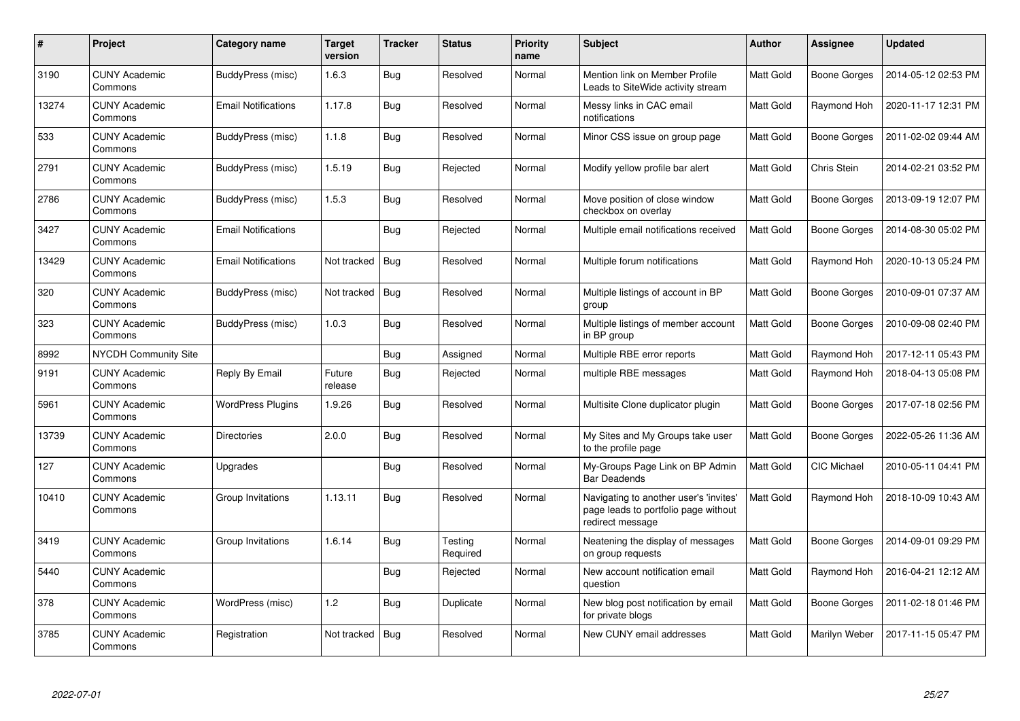| $\#$  | <b>Project</b>                  | Category name              | Target<br>version | <b>Tracker</b> | <b>Status</b>       | <b>Priority</b><br>name | <b>Subject</b>                                                                                     | <b>Author</b>    | Assignee            | <b>Updated</b>      |
|-------|---------------------------------|----------------------------|-------------------|----------------|---------------------|-------------------------|----------------------------------------------------------------------------------------------------|------------------|---------------------|---------------------|
| 3190  | <b>CUNY Academic</b><br>Commons | BuddyPress (misc)          | 1.6.3             | <b>Bug</b>     | Resolved            | Normal                  | Mention link on Member Profile<br>Leads to SiteWide activity stream                                | <b>Matt Gold</b> | <b>Boone Gorges</b> | 2014-05-12 02:53 PM |
| 13274 | <b>CUNY Academic</b><br>Commons | <b>Email Notifications</b> | 1.17.8            | Bug            | Resolved            | Normal                  | Messy links in CAC email<br>notifications                                                          | <b>Matt Gold</b> | Raymond Hoh         | 2020-11-17 12:31 PM |
| 533   | <b>CUNY Academic</b><br>Commons | BuddyPress (misc)          | 1.1.8             | Bug            | Resolved            | Normal                  | Minor CSS issue on group page                                                                      | Matt Gold        | <b>Boone Gorges</b> | 2011-02-02 09:44 AM |
| 2791  | <b>CUNY Academic</b><br>Commons | BuddyPress (misc)          | 1.5.19            | <b>Bug</b>     | Rejected            | Normal                  | Modify yellow profile bar alert                                                                    | Matt Gold        | Chris Stein         | 2014-02-21 03:52 PM |
| 2786  | <b>CUNY Academic</b><br>Commons | BuddyPress (misc)          | 1.5.3             | Bug            | Resolved            | Normal                  | Move position of close window<br>checkbox on overlay                                               | <b>Matt Gold</b> | Boone Gorges        | 2013-09-19 12:07 PM |
| 3427  | <b>CUNY Academic</b><br>Commons | <b>Email Notifications</b> |                   | <b>Bug</b>     | Rejected            | Normal                  | Multiple email notifications received                                                              | <b>Matt Gold</b> | Boone Gorges        | 2014-08-30 05:02 PM |
| 13429 | <b>CUNY Academic</b><br>Commons | <b>Email Notifications</b> | Not tracked       | <b>Bug</b>     | Resolved            | Normal                  | Multiple forum notifications                                                                       | Matt Gold        | Raymond Hoh         | 2020-10-13 05:24 PM |
| 320   | <b>CUNY Academic</b><br>Commons | BuddyPress (misc)          | Not tracked       | Bug            | Resolved            | Normal                  | Multiple listings of account in BP<br>group                                                        | Matt Gold        | Boone Gorges        | 2010-09-01 07:37 AM |
| 323   | <b>CUNY Academic</b><br>Commons | BuddyPress (misc)          | 1.0.3             | Bug            | Resolved            | Normal                  | Multiple listings of member account<br>in BP group                                                 | Matt Gold        | <b>Boone Gorges</b> | 2010-09-08 02:40 PM |
| 8992  | <b>NYCDH Community Site</b>     |                            |                   | <b>Bug</b>     | Assigned            | Normal                  | Multiple RBE error reports                                                                         | Matt Gold        | Raymond Hoh         | 2017-12-11 05:43 PM |
| 9191  | <b>CUNY Academic</b><br>Commons | Reply By Email             | Future<br>release | <b>Bug</b>     | Rejected            | Normal                  | multiple RBE messages                                                                              | <b>Matt Gold</b> | Raymond Hoh         | 2018-04-13 05:08 PM |
| 5961  | <b>CUNY Academic</b><br>Commons | <b>WordPress Plugins</b>   | 1.9.26            | <b>Bug</b>     | Resolved            | Normal                  | Multisite Clone duplicator plugin                                                                  | Matt Gold        | <b>Boone Gorges</b> | 2017-07-18 02:56 PM |
| 13739 | <b>CUNY Academic</b><br>Commons | Directories                | 2.0.0             | <b>Bug</b>     | Resolved            | Normal                  | My Sites and My Groups take user<br>to the profile page                                            | Matt Gold        | <b>Boone Gorges</b> | 2022-05-26 11:36 AM |
| 127   | <b>CUNY Academic</b><br>Commons | Upgrades                   |                   | Bug            | Resolved            | Normal                  | My-Groups Page Link on BP Admin<br><b>Bar Deadends</b>                                             | Matt Gold        | <b>CIC Michael</b>  | 2010-05-11 04:41 PM |
| 10410 | <b>CUNY Academic</b><br>Commons | Group Invitations          | 1.13.11           | Bug            | Resolved            | Normal                  | Navigating to another user's 'invites'<br>page leads to portfolio page without<br>redirect message | Matt Gold        | Raymond Hoh         | 2018-10-09 10:43 AM |
| 3419  | <b>CUNY Academic</b><br>Commons | Group Invitations          | 1.6.14            | Bug            | Testing<br>Required | Normal                  | Neatening the display of messages<br>on group requests                                             | Matt Gold        | Boone Gorges        | 2014-09-01 09:29 PM |
| 5440  | <b>CUNY Academic</b><br>Commons |                            |                   | Bug            | Rejected            | Normal                  | New account notification email<br>question                                                         | Matt Gold        | Raymond Hoh         | 2016-04-21 12:12 AM |
| 378   | <b>CUNY Academic</b><br>Commons | WordPress (misc)           | 1.2               | <b>Bug</b>     | Duplicate           | Normal                  | New blog post notification by email<br>for private blogs                                           | Matt Gold        | <b>Boone Gorges</b> | 2011-02-18 01:46 PM |
| 3785  | <b>CUNY Academic</b><br>Commons | Registration               | Not tracked       | <b>Bug</b>     | Resolved            | Normal                  | New CUNY email addresses                                                                           | Matt Gold        | Marilyn Weber       | 2017-11-15 05:47 PM |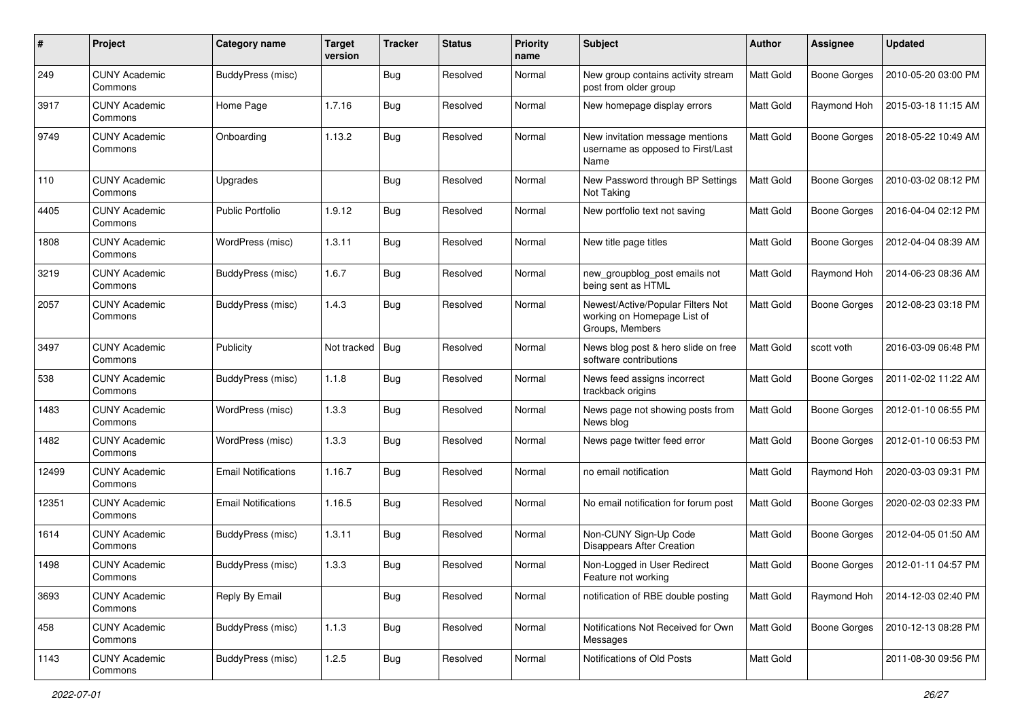| #     | Project                         | Category name              | <b>Target</b><br>version | <b>Tracker</b> | <b>Status</b> | <b>Priority</b><br>name | Subject                                                                             | Author           | Assignee            | <b>Updated</b>      |
|-------|---------------------------------|----------------------------|--------------------------|----------------|---------------|-------------------------|-------------------------------------------------------------------------------------|------------------|---------------------|---------------------|
| 249   | <b>CUNY Academic</b><br>Commons | <b>BuddyPress (misc)</b>   |                          | <b>Bug</b>     | Resolved      | Normal                  | New group contains activity stream<br>post from older group                         | Matt Gold        | <b>Boone Gorges</b> | 2010-05-20 03:00 PM |
| 3917  | <b>CUNY Academic</b><br>Commons | Home Page                  | 1.7.16                   | Bug            | Resolved      | Normal                  | New homepage display errors                                                         | <b>Matt Gold</b> | Raymond Hoh         | 2015-03-18 11:15 AM |
| 9749  | <b>CUNY Academic</b><br>Commons | Onboarding                 | 1.13.2                   | Bug            | Resolved      | Normal                  | New invitation message mentions<br>username as opposed to First/Last<br>Name        | <b>Matt Gold</b> | <b>Boone Gorges</b> | 2018-05-22 10:49 AM |
| 110   | <b>CUNY Academic</b><br>Commons | Upgrades                   |                          | Bug            | Resolved      | Normal                  | New Password through BP Settings<br>Not Taking                                      | Matt Gold        | <b>Boone Gorges</b> | 2010-03-02 08:12 PM |
| 4405  | <b>CUNY Academic</b><br>Commons | <b>Public Portfolio</b>    | 1.9.12                   | <b>Bug</b>     | Resolved      | Normal                  | New portfolio text not saving                                                       | Matt Gold        | <b>Boone Gorges</b> | 2016-04-04 02:12 PM |
| 1808  | <b>CUNY Academic</b><br>Commons | WordPress (misc)           | 1.3.11                   | <b>Bug</b>     | Resolved      | Normal                  | New title page titles                                                               | Matt Gold        | <b>Boone Gorges</b> | 2012-04-04 08:39 AM |
| 3219  | <b>CUNY Academic</b><br>Commons | BuddyPress (misc)          | 1.6.7                    | Bug            | Resolved      | Normal                  | new_groupblog_post emails not<br>being sent as HTML                                 | <b>Matt Gold</b> | Raymond Hoh         | 2014-06-23 08:36 AM |
| 2057  | <b>CUNY Academic</b><br>Commons | BuddyPress (misc)          | 1.4.3                    | Bug            | Resolved      | Normal                  | Newest/Active/Popular Filters Not<br>working on Homepage List of<br>Groups, Members | Matt Gold        | <b>Boone Gorges</b> | 2012-08-23 03:18 PM |
| 3497  | <b>CUNY Academic</b><br>Commons | Publicity                  | Not tracked              | Bug            | Resolved      | Normal                  | News blog post & hero slide on free<br>software contributions                       | Matt Gold        | scott voth          | 2016-03-09 06:48 PM |
| 538   | <b>CUNY Academic</b><br>Commons | <b>BuddyPress (misc)</b>   | 1.1.8                    | <b>Bug</b>     | Resolved      | Normal                  | News feed assigns incorrect<br>trackback origins                                    | Matt Gold        | <b>Boone Gorges</b> | 2011-02-02 11:22 AM |
| 1483  | <b>CUNY Academic</b><br>Commons | WordPress (misc)           | 1.3.3                    | Bug            | Resolved      | Normal                  | News page not showing posts from<br>News blog                                       | Matt Gold        | <b>Boone Gorges</b> | 2012-01-10 06:55 PM |
| 1482  | <b>CUNY Academic</b><br>Commons | WordPress (misc)           | 1.3.3                    | Bug            | Resolved      | Normal                  | News page twitter feed error                                                        | Matt Gold        | <b>Boone Gorges</b> | 2012-01-10 06:53 PM |
| 12499 | <b>CUNY Academic</b><br>Commons | <b>Email Notifications</b> | 1.16.7                   | <b>Bug</b>     | Resolved      | Normal                  | no email notification                                                               | Matt Gold        | Raymond Hoh         | 2020-03-03 09:31 PM |
| 12351 | <b>CUNY Academic</b><br>Commons | <b>Email Notifications</b> | 1.16.5                   | Bug            | Resolved      | Normal                  | No email notification for forum post                                                | <b>Matt Gold</b> | <b>Boone Gorges</b> | 2020-02-03 02:33 PM |
| 1614  | <b>CUNY Academic</b><br>Commons | <b>BuddyPress (misc)</b>   | 1.3.11                   | Bug            | Resolved      | Normal                  | Non-CUNY Sign-Up Code<br>Disappears After Creation                                  | <b>Matt Gold</b> | <b>Boone Gorges</b> | 2012-04-05 01:50 AM |
| 1498  | <b>CUNY Academic</b><br>Commons | BuddyPress (misc)          | 1.3.3                    | <b>Bug</b>     | Resolved      | Normal                  | Non-Logged in User Redirect<br>Feature not working                                  | Matt Gold        | <b>Boone Gorges</b> | 2012-01-11 04:57 PM |
| 3693  | <b>CUNY Academic</b><br>Commons | Reply By Email             |                          | <b>Bug</b>     | Resolved      | Normal                  | notification of RBE double posting                                                  | Matt Gold        | Raymond Hoh         | 2014-12-03 02:40 PM |
| 458   | <b>CUNY Academic</b><br>Commons | BuddyPress (misc)          | 1.1.3                    | <b>Bug</b>     | Resolved      | Normal                  | Notifications Not Received for Own<br>Messages                                      | Matt Gold        | <b>Boone Gorges</b> | 2010-12-13 08:28 PM |
| 1143  | <b>CUNY Academic</b><br>Commons | BuddyPress (misc)          | 1.2.5                    | <b>Bug</b>     | Resolved      | Normal                  | Notifications of Old Posts                                                          | Matt Gold        |                     | 2011-08-30 09:56 PM |